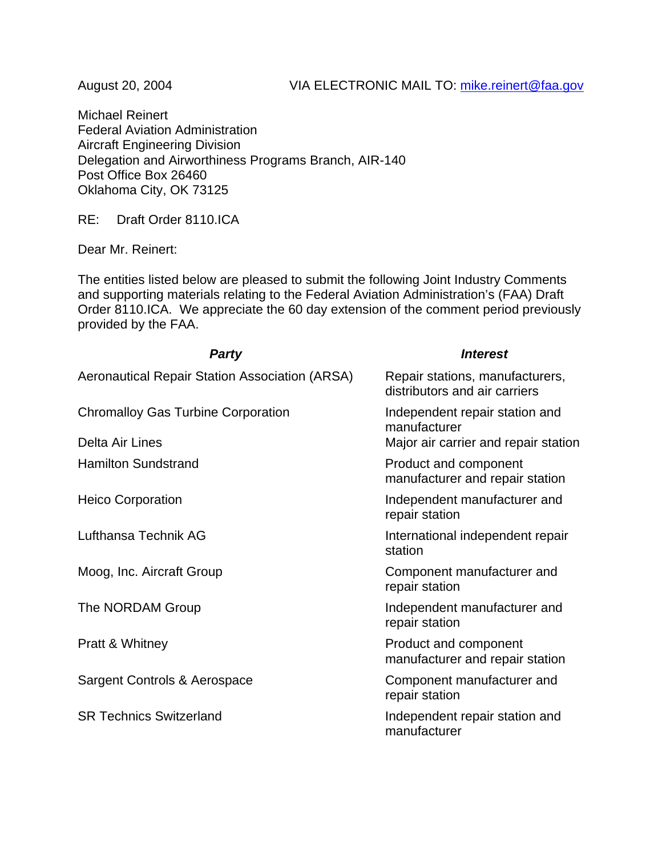Michael Reinert Federal Aviation Administration Aircraft Engineering Division Delegation and Airworthiness Programs Branch, AIR-140 Post Office Box 26460 Oklahoma City, OK 73125

RE: Draft Order 8110.ICA

Dear Mr. Reinert:

The entities listed below are pleased to submit the following Joint Industry Comments and supporting materials relating to the Federal Aviation Administration's (FAA) Draft Order 8110.ICA. We appreciate the 60 day extension of the comment period previously provided by the FAA.

| <b>Party</b>                                   | <b>Interest</b>                                                  |
|------------------------------------------------|------------------------------------------------------------------|
| Aeronautical Repair Station Association (ARSA) | Repair stations, manufacturers,<br>distributors and air carriers |
| <b>Chromalloy Gas Turbine Corporation</b>      | Independent repair station and<br>manufacturer                   |
| Delta Air Lines                                | Major air carrier and repair station                             |
| <b>Hamilton Sundstrand</b>                     | Product and component<br>manufacturer and repair station         |
| <b>Heico Corporation</b>                       | Independent manufacturer and<br>repair station                   |
| Lufthansa Technik AG                           | International independent repair<br>station                      |
| Moog, Inc. Aircraft Group                      | Component manufacturer and<br>repair station                     |
| The NORDAM Group                               | Independent manufacturer and<br>repair station                   |
| Pratt & Whitney                                | Product and component<br>manufacturer and repair station         |
| Sargent Controls & Aerospace                   | Component manufacturer and<br>repair station                     |
| <b>SR Technics Switzerland</b>                 | Independent repair station and<br>manufacturer                   |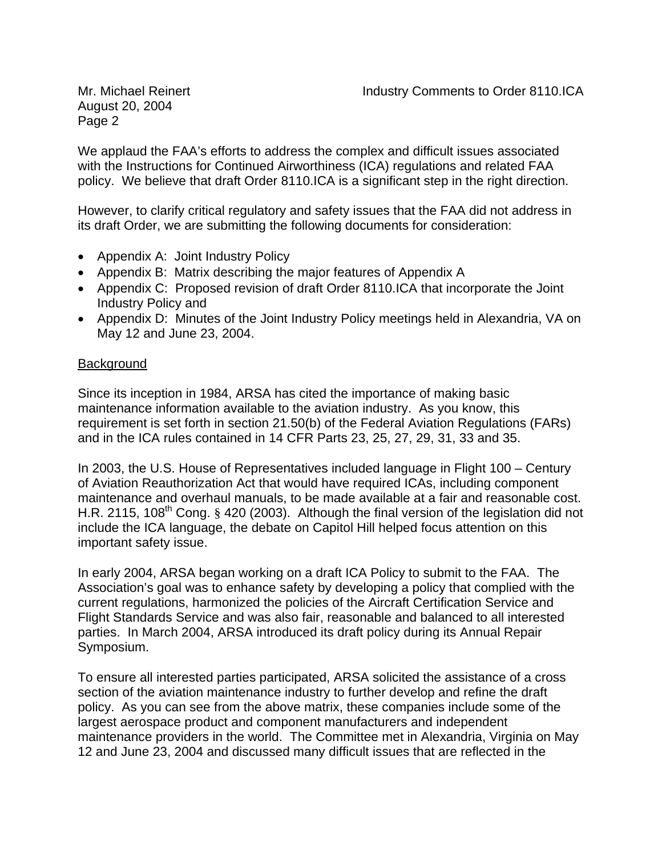August 20, 2004 Page 2

We applaud the FAA's efforts to address the complex and difficult issues associated with the Instructions for Continued Airworthiness (ICA) regulations and related FAA policy. We believe that draft Order 8110.ICA is a significant step in the right direction.

However, to clarify critical regulatory and safety issues that the FAA did not address in its draft Order, we are submitting the following documents for consideration:

- Appendix A: Joint Industry Policy
- Appendix B: Matrix describing the major features of Appendix A
- Appendix C: Proposed revision of draft Order 8110.ICA that incorporate the Joint Industry Policy and
- Appendix D: Minutes of the Joint Industry Policy meetings held in Alexandria, VA on May 12 and June 23, 2004.

## **Background**

Since its inception in 1984, ARSA has cited the importance of making basic maintenance information available to the aviation industry. As you know, this requirement is set forth in section 21.50(b) of the Federal Aviation Regulations (FARs) and in the ICA rules contained in 14 CFR Parts 23, 25, 27, 29, 31, 33 and 35.

In 2003, the U.S. House of Representatives included language in Flight 100 – Century of Aviation Reauthorization Act that would have required ICAs, including component maintenance and overhaul manuals, to be made available at a fair and reasonable cost. H.R. 2115, 108<sup>th</sup> Cong. § 420 (2003). Although the final version of the legislation did not include the ICA language, the debate on Capitol Hill helped focus attention on this important safety issue.

In early 2004, ARSA began working on a draft ICA Policy to submit to the FAA. The Association's goal was to enhance safety by developing a policy that complied with the current regulations, harmonized the policies of the Aircraft Certification Service and Flight Standards Service and was also fair, reasonable and balanced to all interested parties. In March 2004, ARSA introduced its draft policy during its Annual Repair Symposium.

To ensure all interested parties participated, ARSA solicited the assistance of a cross section of the aviation maintenance industry to further develop and refine the draft policy. As you can see from the above matrix, these companies include some of the largest aerospace product and component manufacturers and independent maintenance providers in the world. The Committee met in Alexandria, Virginia on May 12 and June 23, 2004 and discussed many difficult issues that are reflected in the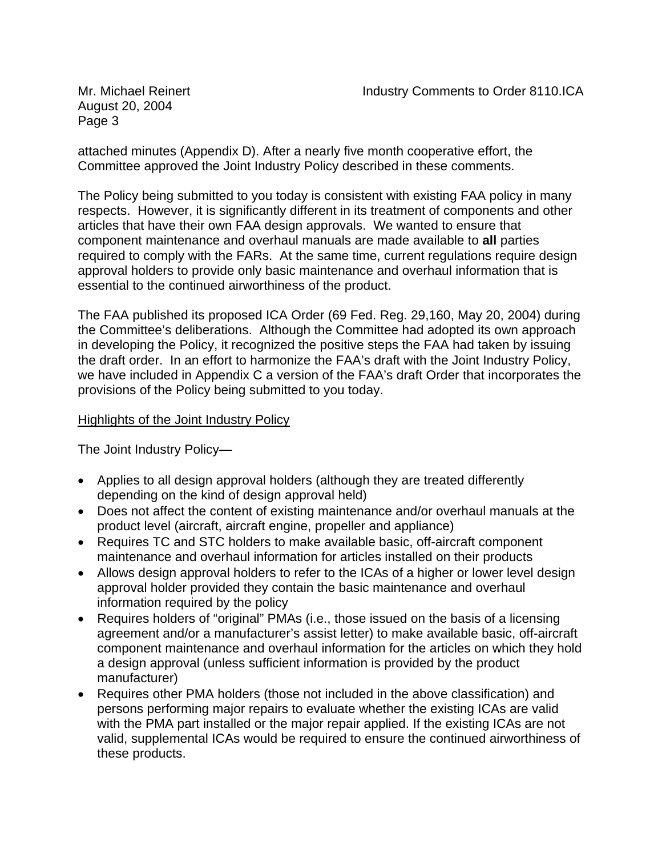August 20, 2004 Page 3

attached minutes (Appendix D). After a nearly five month cooperative effort, the Committee approved the Joint Industry Policy described in these comments.

The Policy being submitted to you today is consistent with existing FAA policy in many respects. However, it is significantly different in its treatment of components and other articles that have their own FAA design approvals. We wanted to ensure that component maintenance and overhaul manuals are made available to **all** parties required to comply with the FARs. At the same time, current regulations require design approval holders to provide only basic maintenance and overhaul information that is essential to the continued airworthiness of the product.

The FAA published its proposed ICA Order (69 Fed. Reg. 29,160, May 20, 2004) during the Committee's deliberations. Although the Committee had adopted its own approach in developing the Policy, it recognized the positive steps the FAA had taken by issuing the draft order. In an effort to harmonize the FAA's draft with the Joint Industry Policy, we have included in Appendix C a version of the FAA's draft Order that incorporates the provisions of the Policy being submitted to you today.

#### Highlights of the Joint Industry Policy

The Joint Industry Policy—

- Applies to all design approval holders (although they are treated differently depending on the kind of design approval held)
- Does not affect the content of existing maintenance and/or overhaul manuals at the product level (aircraft, aircraft engine, propeller and appliance)
- Requires TC and STC holders to make available basic, off-aircraft component maintenance and overhaul information for articles installed on their products
- Allows design approval holders to refer to the ICAs of a higher or lower level design approval holder provided they contain the basic maintenance and overhaul information required by the policy
- Requires holders of "original" PMAs (i.e., those issued on the basis of a licensing agreement and/or a manufacturer's assist letter) to make available basic, off-aircraft component maintenance and overhaul information for the articles on which they hold a design approval (unless sufficient information is provided by the product manufacturer)
- Requires other PMA holders (those not included in the above classification) and persons performing major repairs to evaluate whether the existing ICAs are valid with the PMA part installed or the major repair applied. If the existing ICAs are not valid, supplemental ICAs would be required to ensure the continued airworthiness of these products.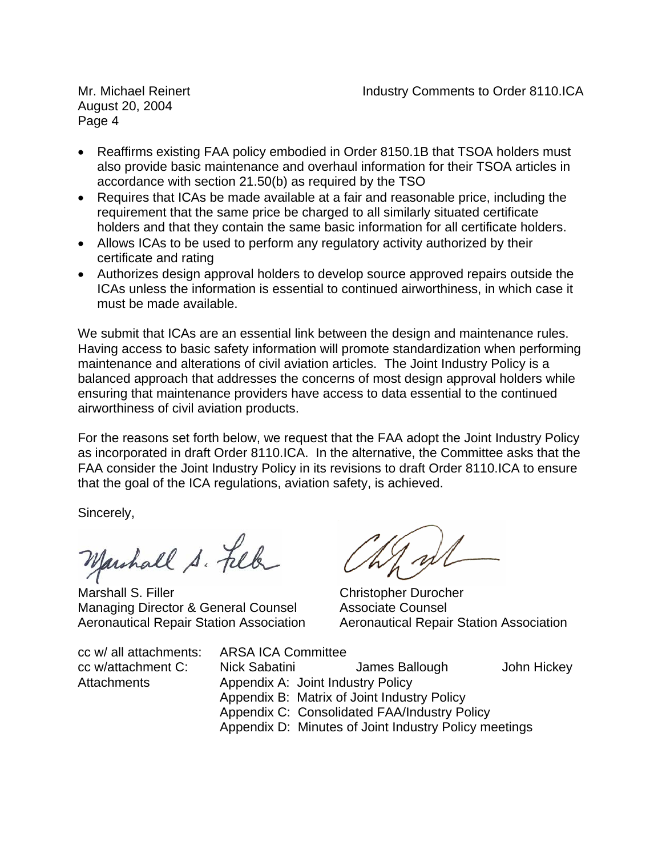August 20, 2004 Page 4

- Reaffirms existing FAA policy embodied in Order 8150.1B that TSOA holders must also provide basic maintenance and overhaul information for their TSOA articles in accordance with section 21.50(b) as required by the TSO
- Requires that ICAs be made available at a fair and reasonable price, including the requirement that the same price be charged to all similarly situated certificate holders and that they contain the same basic information for all certificate holders.
- Allows ICAs to be used to perform any regulatory activity authorized by their certificate and rating
- Authorizes design approval holders to develop source approved repairs outside the ICAs unless the information is essential to continued airworthiness, in which case it must be made available.

We submit that ICAs are an essential link between the design and maintenance rules. Having access to basic safety information will promote standardization when performing maintenance and alterations of civil aviation articles. The Joint Industry Policy is a balanced approach that addresses the concerns of most design approval holders while ensuring that maintenance providers have access to data essential to the continued airworthiness of civil aviation products.

For the reasons set forth below, we request that the FAA adopt the Joint Industry Policy as incorporated in draft Order 8110.ICA. In the alternative, the Committee asks that the FAA consider the Joint Industry Policy in its revisions to draft Order 8110.ICA to ensure that the goal of the ICA regulations, aviation safety, is achieved.

Sincerely,

Marshall S. Fell

Managing Director & General Counsel Aeronautical Repair Station Association

Christopher Durocher Associate Counsel Aeronautical Repair Station Association

cc w/ all attachments: ARSA ICA Committee

cc w/attachment C: Nick Sabatini James Ballough John Hickey Attachments **Appendix A:** Joint Industry Policy Appendix B: Matrix of Joint Industry Policy Appendix C: Consolidated FAA/Industry Policy Appendix D: Minutes of Joint Industry Policy meetings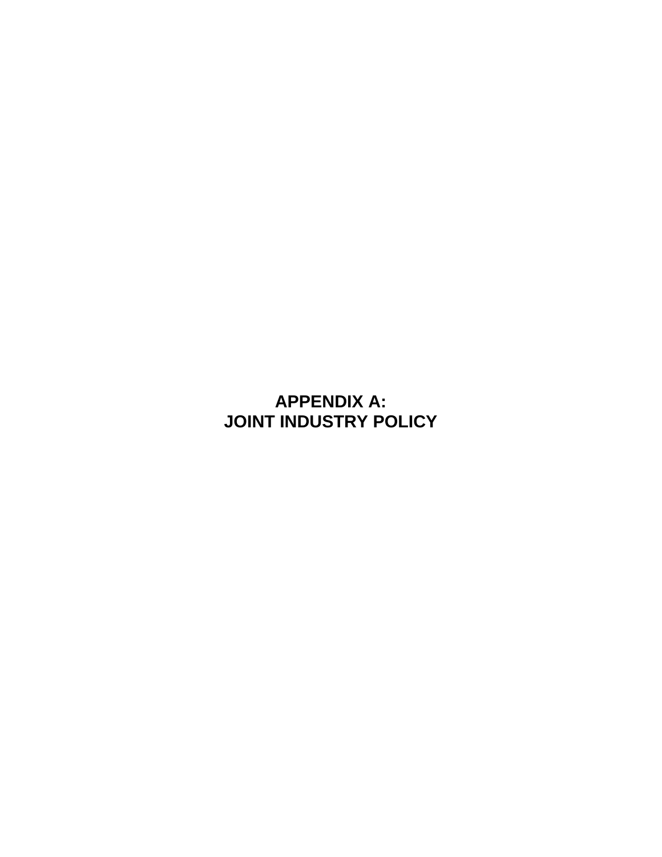**APPENDIX A: JOINT INDUSTRY POLICY**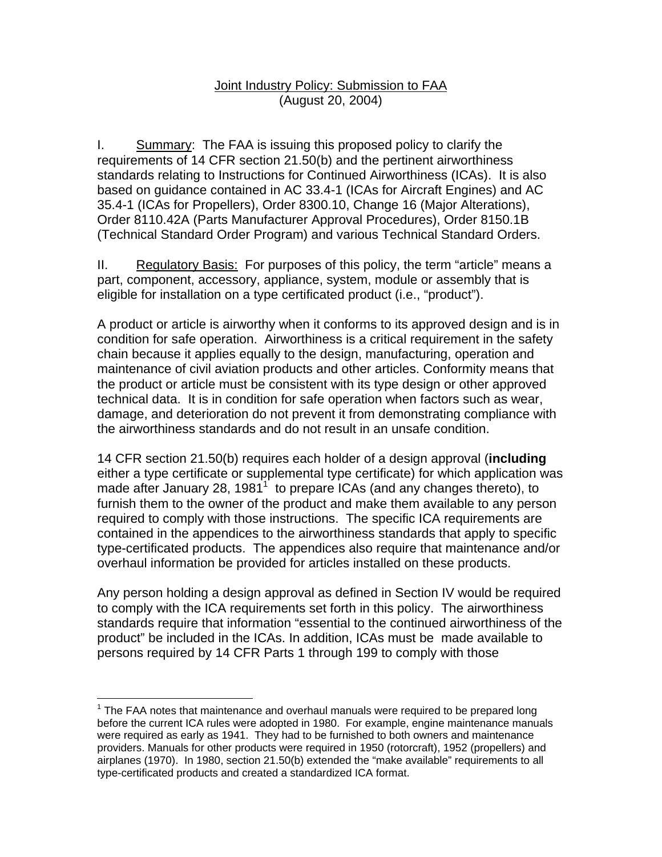# Joint Industry Policy: Submission to FAA (August 20, 2004)

I. Summary: The FAA is issuing this proposed policy to clarify the requirements of 14 CFR section 21.50(b) and the pertinent airworthiness standards relating to Instructions for Continued Airworthiness (ICAs). It is also based on guidance contained in AC 33.4-1 (ICAs for Aircraft Engines) and AC 35.4-1 (ICAs for Propellers), Order 8300.10, Change 16 (Major Alterations), Order 8110.42A (Parts Manufacturer Approval Procedures), Order 8150.1B (Technical Standard Order Program) and various Technical Standard Orders.

II. Regulatory Basis: For purposes of this policy, the term "article" means a part, component, accessory, appliance, system, module or assembly that is eligible for installation on a type certificated product (i.e., "product").

A product or article is airworthy when it conforms to its approved design and is in condition for safe operation. Airworthiness is a critical requirement in the safety chain because it applies equally to the design, manufacturing, operation and maintenance of civil aviation products and other articles. Conformity means that the product or article must be consistent with its type design or other approved technical data. It is in condition for safe operation when factors such as wear, damage, and deterioration do not prevent it from demonstrating compliance with the airworthiness standards and do not result in an unsafe condition.

14 CFR section 21.50(b) requires each holder of a design approval (**including**  either a type certificate or supplemental type certificate) for which application was made after January 28, 1981<sup>1</sup> to prepare ICAs (and any changes thereto), to furnish them to the owner of the product and make them available to any person required to comply with those instructions. The specific ICA requirements are contained in the appendices to the airworthiness standards that apply to specific type-certificated products. The appendices also require that maintenance and/or overhaul information be provided for articles installed on these products.

Any person holding a design approval as defined in Section IV would be required to comply with the ICA requirements set forth in this policy. The airworthiness standards require that information "essential to the continued airworthiness of the product" be included in the ICAs. In addition, ICAs must be made available to persons required by 14 CFR Parts 1 through 199 to comply with those

 $\overline{a}$ 

<span id="page-5-0"></span> $1$  The FAA notes that maintenance and overhaul manuals were required to be prepared long before the current ICA rules were adopted in 1980. For example, engine maintenance manuals were required as early as 1941. They had to be furnished to both owners and maintenance providers. Manuals for other products were required in 1950 (rotorcraft), 1952 (propellers) and airplanes (1970). In 1980, section 21.50(b) extended the "make available" requirements to all type-certificated products and created a standardized ICA format.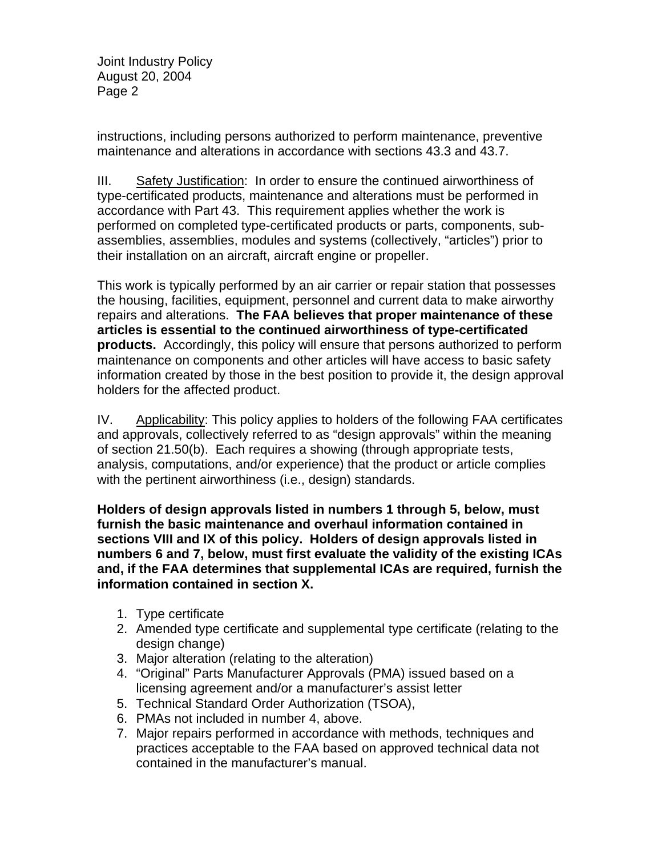instructions, including persons authorized to perform maintenance, preventive maintenance and alterations in accordance with sections 43.3 and 43.7.

III. Safety Justification: In order to ensure the continued airworthiness of type-certificated products, maintenance and alterations must be performed in accordance with Part 43. This requirement applies whether the work is performed on completed type-certificated products or parts, components, subassemblies, assemblies, modules and systems (collectively, "articles") prior to their installation on an aircraft, aircraft engine or propeller.

This work is typically performed by an air carrier or repair station that possesses the housing, facilities, equipment, personnel and current data to make airworthy repairs and alterations. **The FAA believes that proper maintenance of these articles is essential to the continued airworthiness of type-certificated products.** Accordingly, this policy will ensure that persons authorized to perform maintenance on components and other articles will have access to basic safety information created by those in the best position to provide it, the design approval holders for the affected product.

IV. Applicability: This policy applies to holders of the following FAA certificates and approvals, collectively referred to as "design approvals" within the meaning of section 21.50(b). Each requires a showing (through appropriate tests, analysis, computations, and/or experience) that the product or article complies with the pertinent airworthiness (i.e., design) standards.

**Holders of design approvals listed in numbers 1 through 5, below, must furnish the basic maintenance and overhaul information contained in sections VIII and IX of this policy. Holders of design approvals listed in numbers 6 and 7, below, must first evaluate the validity of the existing ICAs and, if the FAA determines that supplemental ICAs are required, furnish the information contained in section X.** 

- 1. Type certificate
- 2. Amended type certificate and supplemental type certificate (relating to the design change)
- 3. Major alteration (relating to the alteration)
- 4. "Original" Parts Manufacturer Approvals (PMA) issued based on a licensing agreement and/or a manufacturer's assist letter
- 5. Technical Standard Order Authorization (TSOA),
- 6. PMAs not included in number 4, above.
- 7. Major repairs performed in accordance with methods, techniques and practices acceptable to the FAA based on approved technical data not contained in the manufacturer's manual.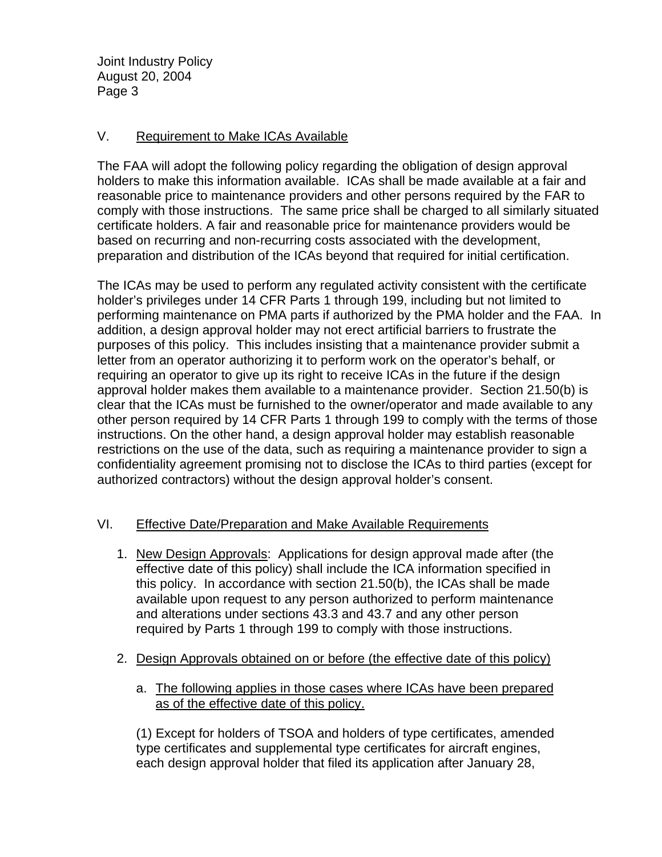# V. Requirement to Make ICAs Available

The FAA will adopt the following policy regarding the obligation of design approval holders to make this information available. ICAs shall be made available at a fair and reasonable price to maintenance providers and other persons required by the FAR to comply with those instructions. The same price shall be charged to all similarly situated certificate holders. A fair and reasonable price for maintenance providers would be based on recurring and non-recurring costs associated with the development, preparation and distribution of the ICAs beyond that required for initial certification.

The ICAs may be used to perform any regulated activity consistent with the certificate holder's privileges under 14 CFR Parts 1 through 199, including but not limited to performing maintenance on PMA parts if authorized by the PMA holder and the FAA. In addition, a design approval holder may not erect artificial barriers to frustrate the purposes of this policy. This includes insisting that a maintenance provider submit a letter from an operator authorizing it to perform work on the operator's behalf, or requiring an operator to give up its right to receive ICAs in the future if the design approval holder makes them available to a maintenance provider. Section 21.50(b) is clear that the ICAs must be furnished to the owner/operator and made available to any other person required by 14 CFR Parts 1 through 199 to comply with the terms of those instructions. On the other hand, a design approval holder may establish reasonable restrictions on the use of the data, such as requiring a maintenance provider to sign a confidentiality agreement promising not to disclose the ICAs to third parties (except for authorized contractors) without the design approval holder's consent.

## VI. Effective Date/Preparation and Make Available Requirements

- 1. New Design Approvals: Applications for design approval made after (the effective date of this policy) shall include the ICA information specified in this policy. In accordance with section 21.50(b), the ICAs shall be made available upon request to any person authorized to perform maintenance and alterations under sections 43.3 and 43.7 and any other person required by Parts 1 through 199 to comply with those instructions.
- 2. Design Approvals obtained on or before (the effective date of this policy)
	- a. The following applies in those cases where ICAs have been prepared as of the effective date of this policy.

(1) Except for holders of TSOA and holders of type certificates, amended type certificates and supplemental type certificates for aircraft engines, each design approval holder that filed its application after January 28,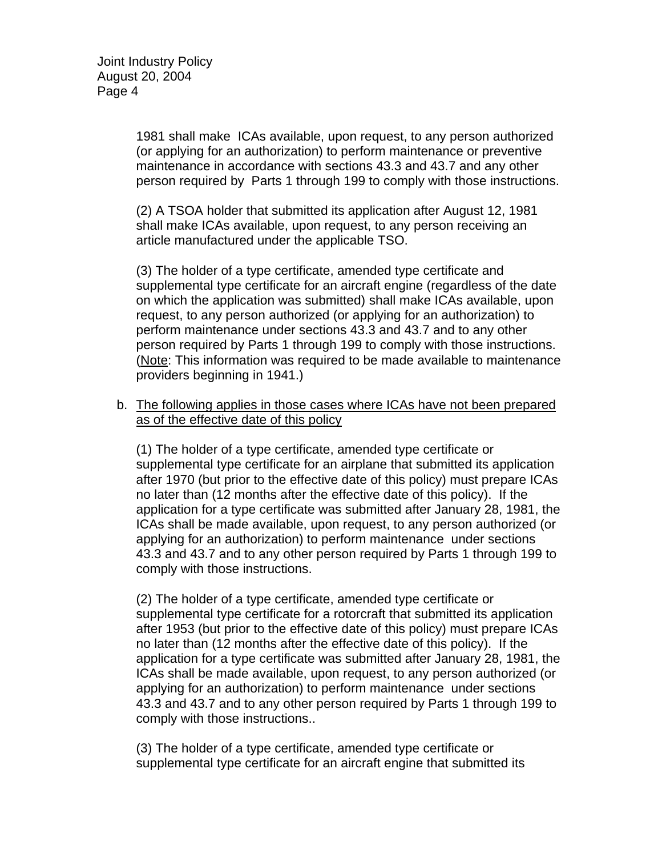1981 shall make ICAs available, upon request, to any person authorized (or applying for an authorization) to perform maintenance or preventive maintenance in accordance with sections 43.3 and 43.7 and any other person required by Parts 1 through 199 to comply with those instructions.

(2) A TSOA holder that submitted its application after August 12, 1981 shall make ICAs available, upon request, to any person receiving an article manufactured under the applicable TSO.

(3) The holder of a type certificate, amended type certificate and supplemental type certificate for an aircraft engine (regardless of the date on which the application was submitted) shall make ICAs available, upon request, to any person authorized (or applying for an authorization) to perform maintenance under sections 43.3 and 43.7 and to any other person required by Parts 1 through 199 to comply with those instructions. (Note: This information was required to be made available to maintenance providers beginning in 1941.)

## b. The following applies in those cases where ICAs have not been prepared as of the effective date of this policy

(1) The holder of a type certificate, amended type certificate or supplemental type certificate for an airplane that submitted its application after 1970 (but prior to the effective date of this policy) must prepare ICAs no later than (12 months after the effective date of this policy). If the application for a type certificate was submitted after January 28, 1981, the ICAs shall be made available, upon request, to any person authorized (or applying for an authorization) to perform maintenance under sections 43.3 and 43.7 and to any other person required by Parts 1 through 199 to comply with those instructions.

(2) The holder of a type certificate, amended type certificate or supplemental type certificate for a rotorcraft that submitted its application after 1953 (but prior to the effective date of this policy) must prepare ICAs no later than (12 months after the effective date of this policy). If the application for a type certificate was submitted after January 28, 1981, the ICAs shall be made available, upon request, to any person authorized (or applying for an authorization) to perform maintenance under sections 43.3 and 43.7 and to any other person required by Parts 1 through 199 to comply with those instructions..

(3) The holder of a type certificate, amended type certificate or supplemental type certificate for an aircraft engine that submitted its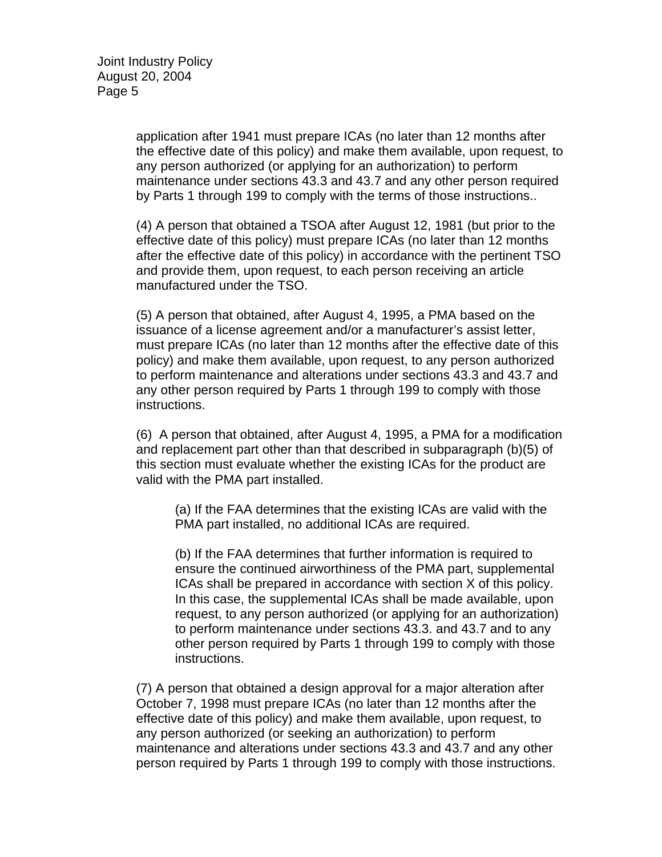application after 1941 must prepare ICAs (no later than 12 months after the effective date of this policy) and make them available, upon request, to any person authorized (or applying for an authorization) to perform maintenance under sections 43.3 and 43.7 and any other person required by Parts 1 through 199 to comply with the terms of those instructions..

(4) A person that obtained a TSOA after August 12, 1981 (but prior to the effective date of this policy) must prepare ICAs (no later than 12 months after the effective date of this policy) in accordance with the pertinent TSO and provide them, upon request, to each person receiving an article manufactured under the TSO.

(5) A person that obtained, after August 4, 1995, a PMA based on the issuance of a license agreement and/or a manufacturer's assist letter, must prepare ICAs (no later than 12 months after the effective date of this policy) and make them available, upon request, to any person authorized to perform maintenance and alterations under sections 43.3 and 43.7 and any other person required by Parts 1 through 199 to comply with those instructions.

(6) A person that obtained, after August 4, 1995, a PMA for a modification and replacement part other than that described in subparagraph (b)(5) of this section must evaluate whether the existing ICAs for the product are valid with the PMA part installed.

(a) If the FAA determines that the existing ICAs are valid with the PMA part installed, no additional ICAs are required.

(b) If the FAA determines that further information is required to ensure the continued airworthiness of the PMA part, supplemental ICAs shall be prepared in accordance with section X of this policy. In this case, the supplemental ICAs shall be made available, upon request, to any person authorized (or applying for an authorization) to perform maintenance under sections 43.3. and 43.7 and to any other person required by Parts 1 through 199 to comply with those instructions.

(7) A person that obtained a design approval for a major alteration after October 7, 1998 must prepare ICAs (no later than 12 months after the effective date of this policy) and make them available, upon request, to any person authorized (or seeking an authorization) to perform maintenance and alterations under sections 43.3 and 43.7 and any other person required by Parts 1 through 199 to comply with those instructions.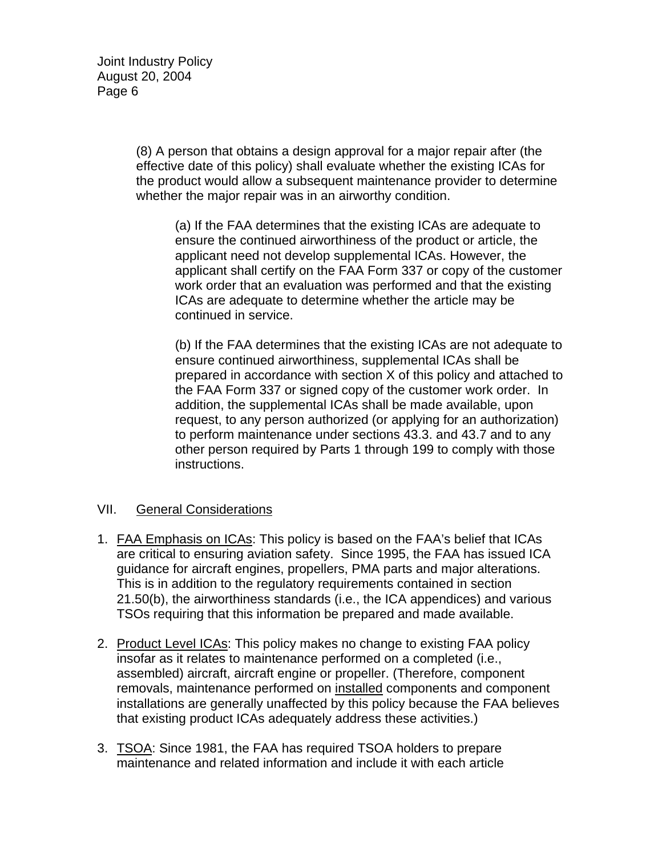(8) A person that obtains a design approval for a major repair after (the effective date of this policy) shall evaluate whether the existing ICAs for the product would allow a subsequent maintenance provider to determine whether the major repair was in an airworthy condition.

(a) If the FAA determines that the existing ICAs are adequate to ensure the continued airworthiness of the product or article, the applicant need not develop supplemental ICAs. However, the applicant shall certify on the FAA Form 337 or copy of the customer work order that an evaluation was performed and that the existing ICAs are adequate to determine whether the article may be continued in service.

(b) If the FAA determines that the existing ICAs are not adequate to ensure continued airworthiness, supplemental ICAs shall be prepared in accordance with section X of this policy and attached to the FAA Form 337 or signed copy of the customer work order. In addition, the supplemental ICAs shall be made available, upon request, to any person authorized (or applying for an authorization) to perform maintenance under sections 43.3. and 43.7 and to any other person required by Parts 1 through 199 to comply with those instructions.

## VII. General Considerations

- 1. FAA Emphasis on ICAs: This policy is based on the FAA's belief that ICAs are critical to ensuring aviation safety. Since 1995, the FAA has issued ICA guidance for aircraft engines, propellers, PMA parts and major alterations. This is in addition to the regulatory requirements contained in section 21.50(b), the airworthiness standards (i.e., the ICA appendices) and various TSOs requiring that this information be prepared and made available.
- 2. Product Level ICAs: This policy makes no change to existing FAA policy insofar as it relates to maintenance performed on a completed (i.e., assembled) aircraft, aircraft engine or propeller. (Therefore, component removals, maintenance performed on installed components and component installations are generally unaffected by this policy because the FAA believes that existing product ICAs adequately address these activities.)
- 3. TSOA: Since 1981, the FAA has required TSOA holders to prepare maintenance and related information and include it with each article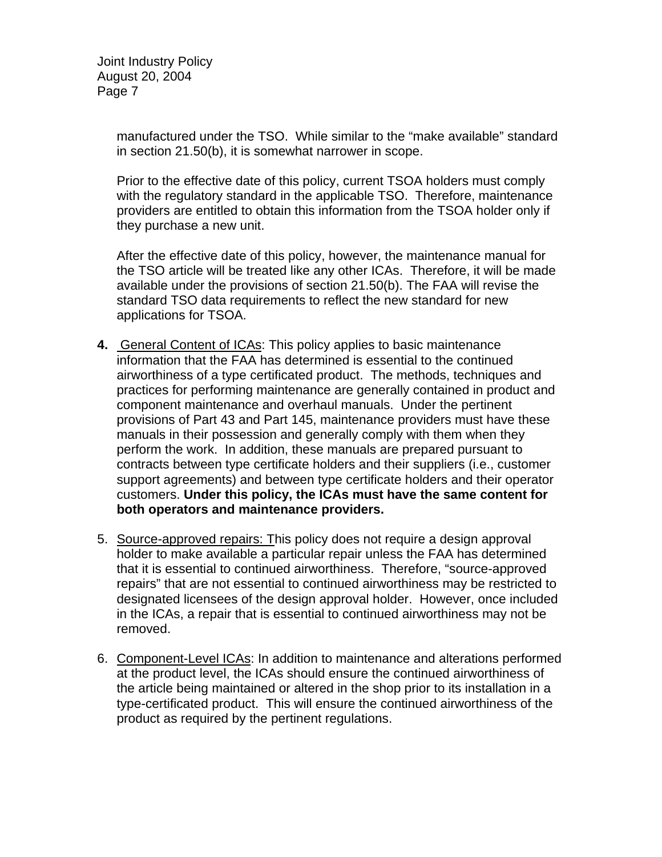> manufactured under the TSO. While similar to the "make available" standard in section 21.50(b), it is somewhat narrower in scope.

Prior to the effective date of this policy, current TSOA holders must comply with the regulatory standard in the applicable TSO. Therefore, maintenance providers are entitled to obtain this information from the TSOA holder only if they purchase a new unit.

After the effective date of this policy, however, the maintenance manual for the TSO article will be treated like any other ICAs. Therefore, it will be made available under the provisions of section 21.50(b). The FAA will revise the standard TSO data requirements to reflect the new standard for new applications for TSOA.

- **4.** General Content of ICAs: This policy applies to basic maintenance information that the FAA has determined is essential to the continued airworthiness of a type certificated product. The methods, techniques and practices for performing maintenance are generally contained in product and component maintenance and overhaul manuals. Under the pertinent provisions of Part 43 and Part 145, maintenance providers must have these manuals in their possession and generally comply with them when they perform the work. In addition, these manuals are prepared pursuant to contracts between type certificate holders and their suppliers (i.e., customer support agreements) and between type certificate holders and their operator customers. **Under this policy, the ICAs must have the same content for both operators and maintenance providers.**
- 5. Source-approved repairs: This policy does not require a design approval holder to make available a particular repair unless the FAA has determined that it is essential to continued airworthiness. Therefore, "source-approved repairs" that are not essential to continued airworthiness may be restricted to designated licensees of the design approval holder. However, once included in the ICAs, a repair that is essential to continued airworthiness may not be removed.
- 6. Component-Level ICAs: In addition to maintenance and alterations performed at the product level, the ICAs should ensure the continued airworthiness of the article being maintained or altered in the shop prior to its installation in a type-certificated product. This will ensure the continued airworthiness of the product as required by the pertinent regulations.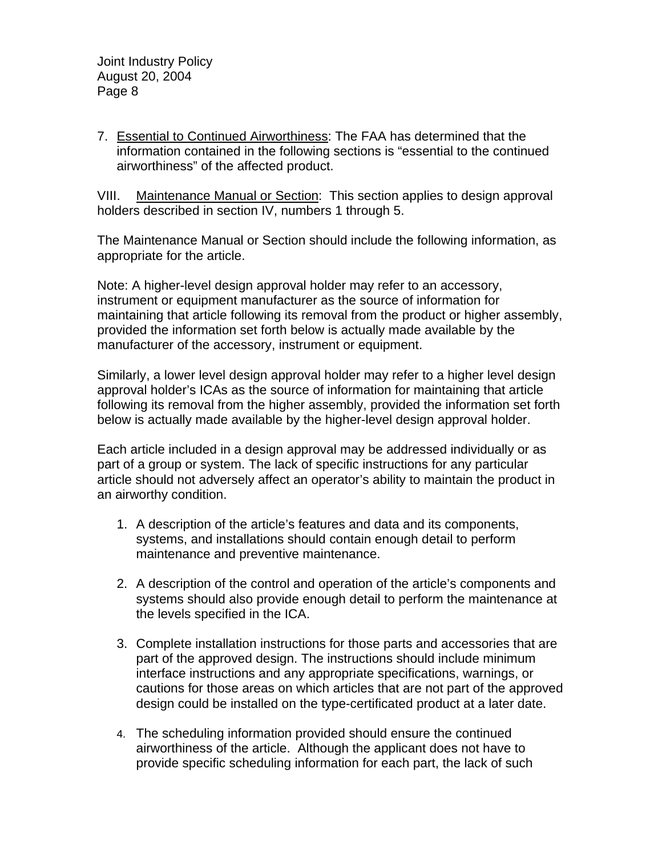7. Essential to Continued Airworthiness: The FAA has determined that the information contained in the following sections is "essential to the continued airworthiness" of the affected product.

VIII. Maintenance Manual or Section: This section applies to design approval holders described in section IV, numbers 1 through 5.

The Maintenance Manual or Section should include the following information, as appropriate for the article.

Note: A higher-level design approval holder may refer to an accessory, instrument or equipment manufacturer as the source of information for maintaining that article following its removal from the product or higher assembly, provided the information set forth below is actually made available by the manufacturer of the accessory, instrument or equipment.

Similarly, a lower level design approval holder may refer to a higher level design approval holder's ICAs as the source of information for maintaining that article following its removal from the higher assembly, provided the information set forth below is actually made available by the higher-level design approval holder.

Each article included in a design approval may be addressed individually or as part of a group or system. The lack of specific instructions for any particular article should not adversely affect an operator's ability to maintain the product in an airworthy condition.

- 1. A description of the article's features and data and its components, systems, and installations should contain enough detail to perform maintenance and preventive maintenance.
- 2. A description of the control and operation of the article's components and systems should also provide enough detail to perform the maintenance at the levels specified in the ICA.
- 3. Complete installation instructions for those parts and accessories that are part of the approved design. The instructions should include minimum interface instructions and any appropriate specifications, warnings, or cautions for those areas on which articles that are not part of the approved design could be installed on the type-certificated product at a later date.
- 4. The scheduling information provided should ensure the continued airworthiness of the article. Although the applicant does not have to provide specific scheduling information for each part, the lack of such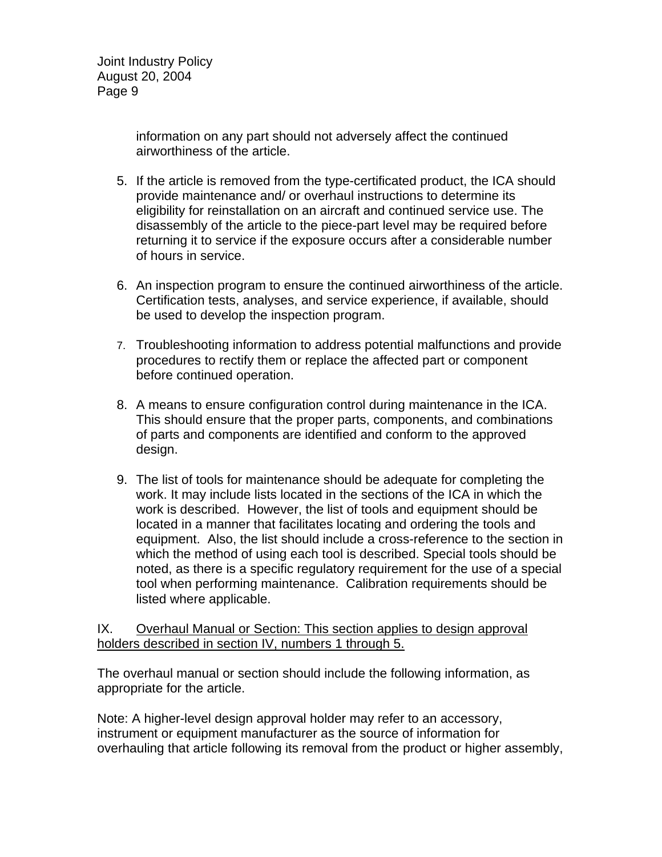> information on any part should not adversely affect the continued airworthiness of the article.

- 5. If the article is removed from the type-certificated product, the ICA should provide maintenance and/ or overhaul instructions to determine its eligibility for reinstallation on an aircraft and continued service use. The disassembly of the article to the piece-part level may be required before returning it to service if the exposure occurs after a considerable number of hours in service.
- 6. An inspection program to ensure the continued airworthiness of the article. Certification tests, analyses, and service experience, if available, should be used to develop the inspection program.
- 7. Troubleshooting information to address potential malfunctions and provide procedures to rectify them or replace the affected part or component before continued operation.
- 8. A means to ensure configuration control during maintenance in the ICA. This should ensure that the proper parts, components, and combinations of parts and components are identified and conform to the approved design.
- 9. The list of tools for maintenance should be adequate for completing the work. It may include lists located in the sections of the ICA in which the work is described. However, the list of tools and equipment should be located in a manner that facilitates locating and ordering the tools and equipment. Also, the list should include a cross-reference to the section in which the method of using each tool is described. Special tools should be noted, as there is a specific regulatory requirement for the use of a special tool when performing maintenance. Calibration requirements should be listed where applicable.

IX. Overhaul Manual or Section: This section applies to design approval holders described in section IV, numbers 1 through 5.

The overhaul manual or section should include the following information, as appropriate for the article.

Note: A higher-level design approval holder may refer to an accessory, instrument or equipment manufacturer as the source of information for overhauling that article following its removal from the product or higher assembly,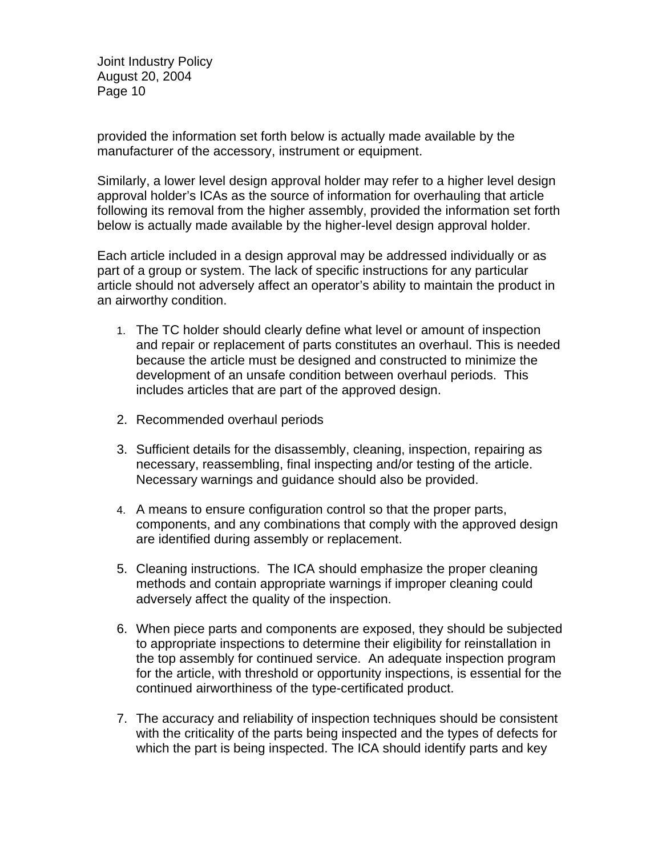provided the information set forth below is actually made available by the manufacturer of the accessory, instrument or equipment.

Similarly, a lower level design approval holder may refer to a higher level design approval holder's ICAs as the source of information for overhauling that article following its removal from the higher assembly, provided the information set forth below is actually made available by the higher-level design approval holder.

Each article included in a design approval may be addressed individually or as part of a group or system. The lack of specific instructions for any particular article should not adversely affect an operator's ability to maintain the product in an airworthy condition.

- 1. The TC holder should clearly define what level or amount of inspection and repair or replacement of parts constitutes an overhaul. This is needed because the article must be designed and constructed to minimize the development of an unsafe condition between overhaul periods. This includes articles that are part of the approved design.
- 2. Recommended overhaul periods
- 3. Sufficient details for the disassembly, cleaning, inspection, repairing as necessary, reassembling, final inspecting and/or testing of the article. Necessary warnings and guidance should also be provided.
- 4. A means to ensure configuration control so that the proper parts, components, and any combinations that comply with the approved design are identified during assembly or replacement.
- 5. Cleaning instructions. The ICA should emphasize the proper cleaning methods and contain appropriate warnings if improper cleaning could adversely affect the quality of the inspection.
- 6. When piece parts and components are exposed, they should be subjected to appropriate inspections to determine their eligibility for reinstallation in the top assembly for continued service. An adequate inspection program for the article, with threshold or opportunity inspections, is essential for the continued airworthiness of the type-certificated product.
- 7. The accuracy and reliability of inspection techniques should be consistent with the criticality of the parts being inspected and the types of defects for which the part is being inspected. The ICA should identify parts and key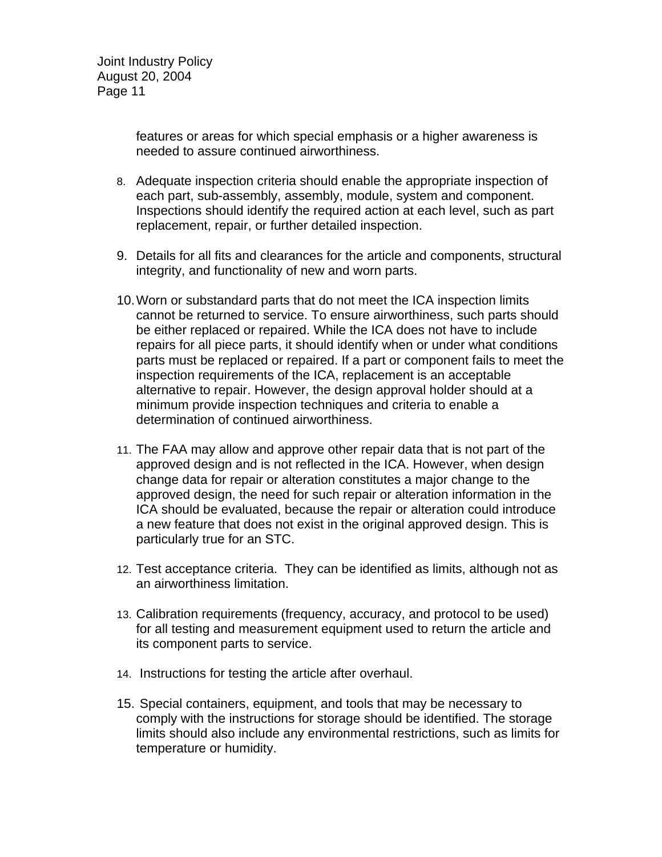> features or areas for which special emphasis or a higher awareness is needed to assure continued airworthiness.

- 8. Adequate inspection criteria should enable the appropriate inspection of each part, sub-assembly, assembly, module, system and component. Inspections should identify the required action at each level, such as part replacement, repair, or further detailed inspection.
- 9. Details for all fits and clearances for the article and components, structural integrity, and functionality of new and worn parts.
- 10. Worn or substandard parts that do not meet the ICA inspection limits cannot be returned to service. To ensure airworthiness, such parts should be either replaced or repaired. While the ICA does not have to include repairs for all piece parts, it should identify when or under what conditions parts must be replaced or repaired. If a part or component fails to meet the inspection requirements of the ICA, replacement is an acceptable alternative to repair. However, the design approval holder should at a minimum provide inspection techniques and criteria to enable a determination of continued airworthiness.
- 11. The FAA may allow and approve other repair data that is not part of the approved design and is not reflected in the ICA. However, when design change data for repair or alteration constitutes a major change to the approved design, the need for such repair or alteration information in the ICA should be evaluated, because the repair or alteration could introduce a new feature that does not exist in the original approved design. This is particularly true for an STC.
- 12. Test acceptance criteria. They can be identified as limits, although not as an airworthiness limitation.
- 13. Calibration requirements (frequency, accuracy, and protocol to be used) for all testing and measurement equipment used to return the article and its component parts to service.
- 14. Instructions for testing the article after overhaul.
- 15. Special containers, equipment, and tools that may be necessary to comply with the instructions for storage should be identified. The storage limits should also include any environmental restrictions, such as limits for temperature or humidity.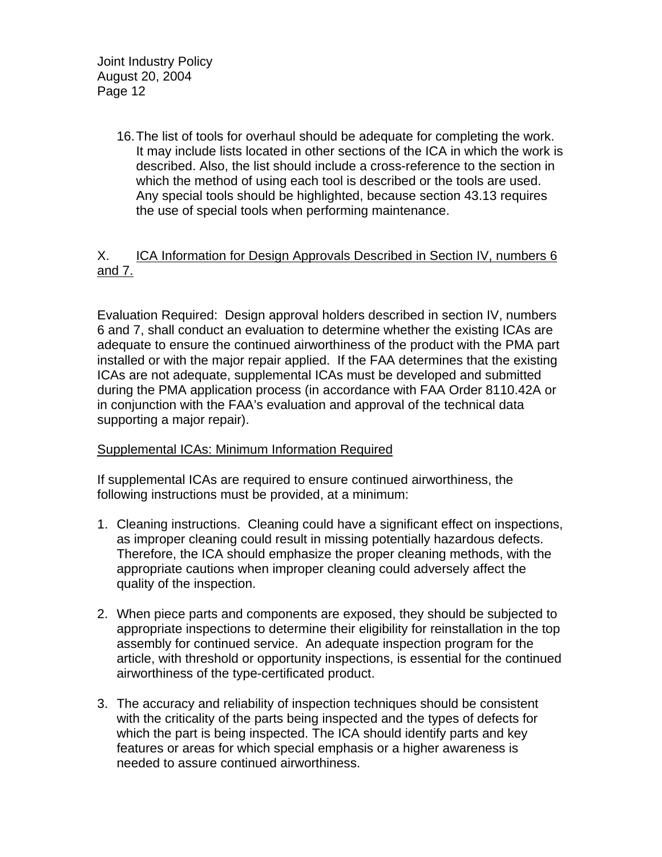> 16. The list of tools for overhaul should be adequate for completing the work. It may include lists located in other sections of the ICA in which the work is described. Also, the list should include a cross-reference to the section in which the method of using each tool is described or the tools are used. Any special tools should be highlighted, because section 43.13 requires the use of special tools when performing maintenance.

# X. ICA Information for Design Approvals Described in Section IV, numbers 6 and 7.

Evaluation Required: Design approval holders described in section IV, numbers 6 and 7, shall conduct an evaluation to determine whether the existing ICAs are adequate to ensure the continued airworthiness of the product with the PMA part installed or with the major repair applied. If the FAA determines that the existing ICAs are not adequate, supplemental ICAs must be developed and submitted during the PMA application process (in accordance with FAA Order 8110.42A or in conjunction with the FAA's evaluation and approval of the technical data supporting a major repair).

## Supplemental ICAs: Minimum Information Required

If supplemental ICAs are required to ensure continued airworthiness, the following instructions must be provided, at a minimum:

- 1. Cleaning instructions. Cleaning could have a significant effect on inspections, as improper cleaning could result in missing potentially hazardous defects. Therefore, the ICA should emphasize the proper cleaning methods, with the appropriate cautions when improper cleaning could adversely affect the quality of the inspection.
- 2. When piece parts and components are exposed, they should be subjected to appropriate inspections to determine their eligibility for reinstallation in the top assembly for continued service. An adequate inspection program for the article, with threshold or opportunity inspections, is essential for the continued airworthiness of the type-certificated product.
- 3. The accuracy and reliability of inspection techniques should be consistent with the criticality of the parts being inspected and the types of defects for which the part is being inspected. The ICA should identify parts and key features or areas for which special emphasis or a higher awareness is needed to assure continued airworthiness.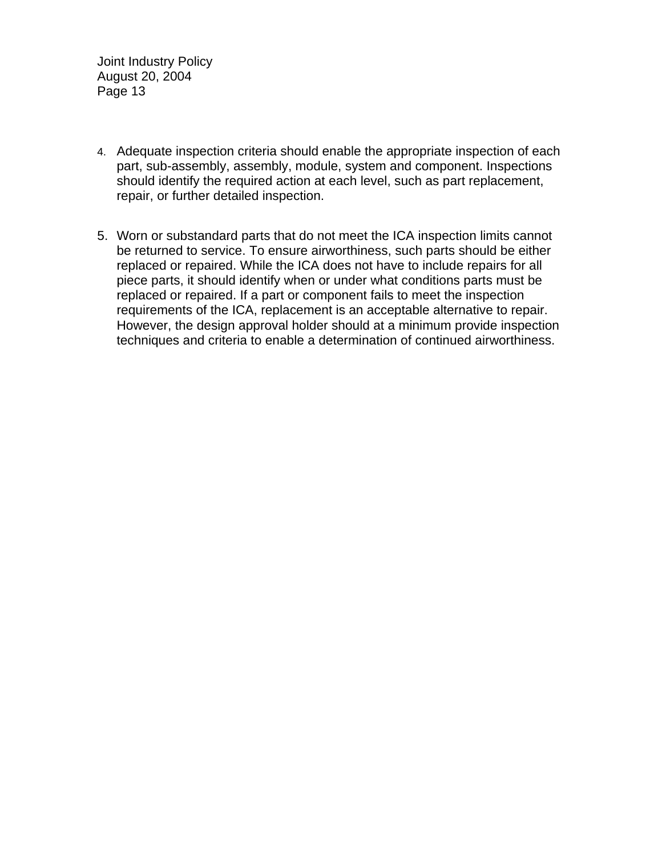- 4. Adequate inspection criteria should enable the appropriate inspection of each part, sub-assembly, assembly, module, system and component. Inspections should identify the required action at each level, such as part replacement, repair, or further detailed inspection.
- 5. Worn or substandard parts that do not meet the ICA inspection limits cannot be returned to service. To ensure airworthiness, such parts should be either replaced or repaired. While the ICA does not have to include repairs for all piece parts, it should identify when or under what conditions parts must be replaced or repaired. If a part or component fails to meet the inspection requirements of the ICA, replacement is an acceptable alternative to repair. However, the design approval holder should at a minimum provide inspection techniques and criteria to enable a determination of continued airworthiness.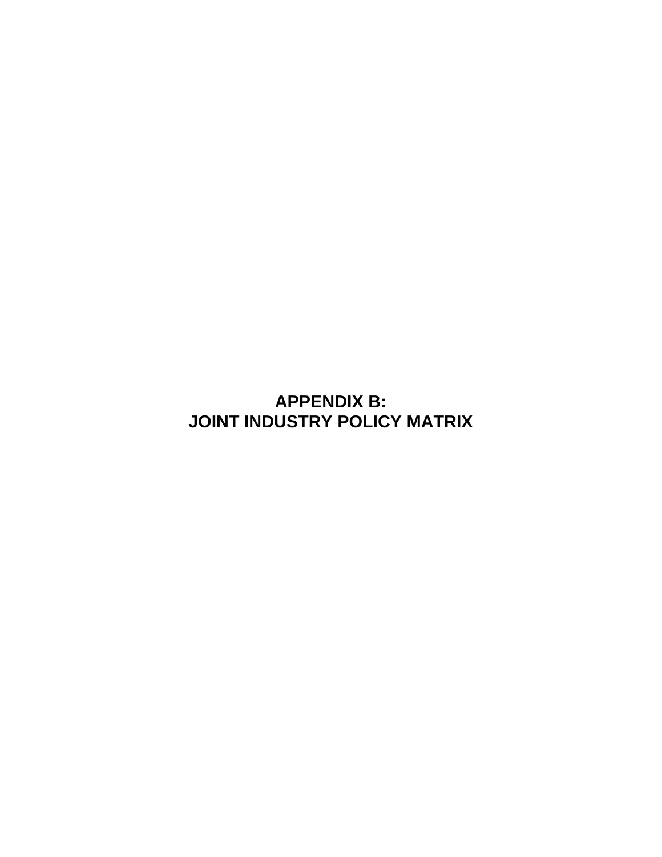**APPENDIX B: JOINT INDUSTRY POLICY MATRIX**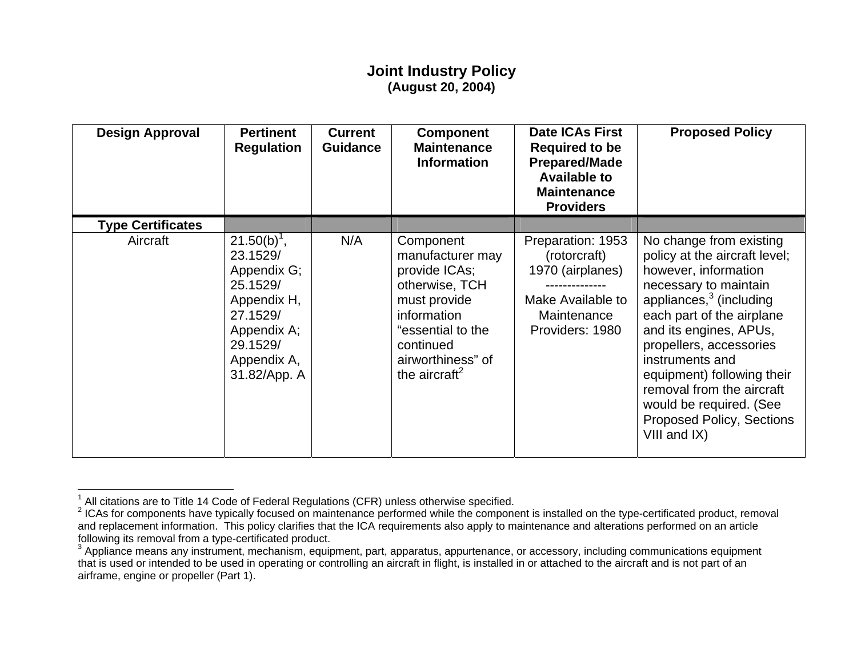| <b>Design Approval</b>   | <b>Pertinent</b><br><b>Regulation</b>                                                                                                      | <b>Current</b><br><b>Guidance</b> | <b>Component</b><br><b>Maintenance</b><br><b>Information</b>                                                                                                                        | <b>Date ICAs First</b><br><b>Required to be</b><br><b>Prepared/Made</b><br><b>Available to</b><br><b>Maintenance</b><br><b>Providers</b> | <b>Proposed Policy</b>                                                                                                                                                                                                                                                                                                                                                                 |
|--------------------------|--------------------------------------------------------------------------------------------------------------------------------------------|-----------------------------------|-------------------------------------------------------------------------------------------------------------------------------------------------------------------------------------|------------------------------------------------------------------------------------------------------------------------------------------|----------------------------------------------------------------------------------------------------------------------------------------------------------------------------------------------------------------------------------------------------------------------------------------------------------------------------------------------------------------------------------------|
| <b>Type Certificates</b> |                                                                                                                                            |                                   |                                                                                                                                                                                     |                                                                                                                                          |                                                                                                                                                                                                                                                                                                                                                                                        |
| Aircraft                 | $21.50(b)^1$ ,<br>23.1529/<br>Appendix G;<br>25.1529/<br>Appendix H,<br>27.1529/<br>Appendix A;<br>29.1529/<br>Appendix A,<br>31.82/App. A | N/A                               | Component<br>manufacturer may<br>provide ICAs;<br>otherwise, TCH<br>must provide<br>information<br>"essential to the<br>continued<br>airworthiness" of<br>the aircraft <sup>2</sup> | Preparation: 1953<br>(rotorcraft)<br>1970 (airplanes)<br>Make Available to<br>Maintenance<br>Providers: 1980                             | No change from existing<br>policy at the aircraft level;<br>however, information<br>necessary to maintain<br>appliances, $3$ (including<br>each part of the airplane<br>and its engines, APUs,<br>propellers, accessories<br>instruments and<br>equipment) following their<br>removal from the aircraft<br>would be required. (See<br><b>Proposed Policy, Sections</b><br>VIII and IX) |

<span id="page-19-0"></span>

<sup>&</sup>lt;sup>1</sup> All citations are to Title 14 Code of Federal Regulations (CFR) unless otherwise specified.<br><sup>2</sup> ICAs for components have typically focused on maintenance performed while the component is installed on the type-certifica and replacement information. This policy clarifies that the ICA requirements also apply to maintenance and alterations performed on an article following its removal from a type-certificated product.

<span id="page-19-2"></span><span id="page-19-1"></span> $3$  Appliance means any instrument, mechanism, equipment, part, apparatus, appurtenance, or accessory, including communications equipment that is used or intended to be used in operating or controlling an aircraft in flight, is installed in or attached to the aircraft and is not part of an airframe, engine or propeller (Part 1).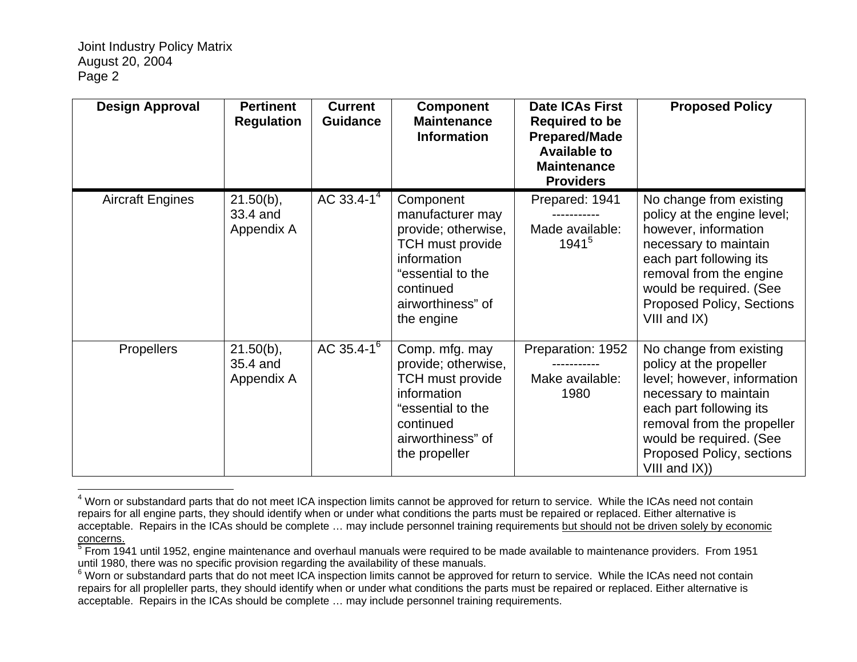| <b>Design Approval</b>  | <b>Pertinent</b><br><b>Regulation</b>  | <b>Current</b><br><b>Guidance</b> | <b>Component</b><br><b>Maintenance</b><br><b>Information</b>                                                                                                        | <b>Date ICAs First</b><br><b>Required to be</b><br><b>Prepared/Made</b><br><b>Available to</b><br><b>Maintenance</b><br><b>Providers</b> | <b>Proposed Policy</b>                                                                                                                                                                                                                       |
|-------------------------|----------------------------------------|-----------------------------------|---------------------------------------------------------------------------------------------------------------------------------------------------------------------|------------------------------------------------------------------------------------------------------------------------------------------|----------------------------------------------------------------------------------------------------------------------------------------------------------------------------------------------------------------------------------------------|
| <b>Aircraft Engines</b> | $21.50(b)$ ,<br>33.4 and<br>Appendix A | AC 33.4-1 <sup>4</sup>            | Component<br>manufacturer may<br>provide; otherwise,<br><b>TCH must provide</b><br>information<br>"essential to the<br>continued<br>airworthiness" of<br>the engine | Prepared: 1941<br>Made available:<br>$1941^5$                                                                                            | No change from existing<br>policy at the engine level;<br>however, information<br>necessary to maintain<br>each part following its<br>removal from the engine<br>would be required. (See<br>Proposed Policy, Sections<br>VIII and IX)        |
| <b>Propellers</b>       | $21.50(b)$ ,<br>35.4 and<br>Appendix A | AC 35.4-1 $^{6}$                  | Comp. mfg. may<br>provide; otherwise,<br><b>TCH must provide</b><br>information<br>"essential to the<br>continued<br>airworthiness" of<br>the propeller             | Preparation: 1952<br>Make available:<br>1980                                                                                             | No change from existing<br>policy at the propeller<br>level; however, information<br>necessary to maintain<br>each part following its<br>removal from the propeller<br>would be required. (See<br>Proposed Policy, sections<br>VIII and IX)) |

<sup>&</sup>lt;sup>4</sup> Worn or substandard parts that do not meet ICA inspection limits cannot be approved for return to service. While the ICAs need not contain repairs for all engine parts, they should identify when or under what conditions the parts must be repaired or replaced. Either alternative is acceptable. Repairs in the ICAs should be complete … may include personnel training requirements but should not be driven solely by economic concerns.

 $5$  From 1941 until 1952, engine maintenance and overhaul manuals were required to be made available to maintenance providers. From 1951 until 1980, there was no specific provision regarding the availability of these manuals.<br><sup>6</sup> Worn or substandard parts that do not meet ICA inspection limits cannot be approved for return to service. While the ICAs need no

<span id="page-20-2"></span><span id="page-20-1"></span><span id="page-20-0"></span>repairs for all propleller parts, they should identify when or under what conditions the parts must be repaired or replaced. Either alternative is acceptable. Repairs in the ICAs should be complete … may include personnel training requirements.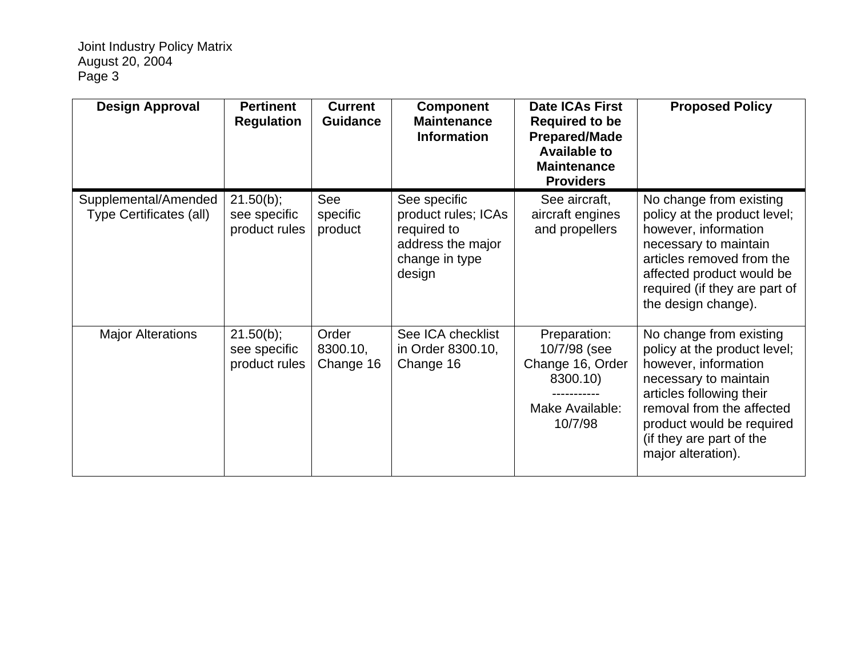| <b>Design Approval</b>                                 | <b>Pertinent</b><br><b>Regulation</b>         | <b>Current</b><br><b>Guidance</b> | <b>Component</b><br><b>Maintenance</b><br><b>Information</b>                                        | <b>Date ICAs First</b><br><b>Required to be</b><br><b>Prepared/Made</b><br><b>Available to</b><br><b>Maintenance</b><br><b>Providers</b> | <b>Proposed Policy</b>                                                                                                                                                                                                                           |
|--------------------------------------------------------|-----------------------------------------------|-----------------------------------|-----------------------------------------------------------------------------------------------------|------------------------------------------------------------------------------------------------------------------------------------------|--------------------------------------------------------------------------------------------------------------------------------------------------------------------------------------------------------------------------------------------------|
| Supplemental/Amended<br><b>Type Certificates (all)</b> | $21.50(b)$ ;<br>see specific<br>product rules | See<br>specific<br>product        | See specific<br>product rules; ICAs<br>required to<br>address the major<br>change in type<br>design | See aircraft,<br>aircraft engines<br>and propellers                                                                                      | No change from existing<br>policy at the product level;<br>however, information<br>necessary to maintain<br>articles removed from the<br>affected product would be<br>required (if they are part of<br>the design change).                       |
| <b>Major Alterations</b>                               | 21.50(b);<br>see specific<br>product rules    | Order<br>8300.10,<br>Change 16    | See ICA checklist<br>in Order 8300.10,<br>Change 16                                                 | Preparation:<br>10/7/98 (see<br>Change 16, Order<br>8300.10)<br>Make Available:<br>10/7/98                                               | No change from existing<br>policy at the product level;<br>however, information<br>necessary to maintain<br>articles following their<br>removal from the affected<br>product would be required<br>(if they are part of the<br>major alteration). |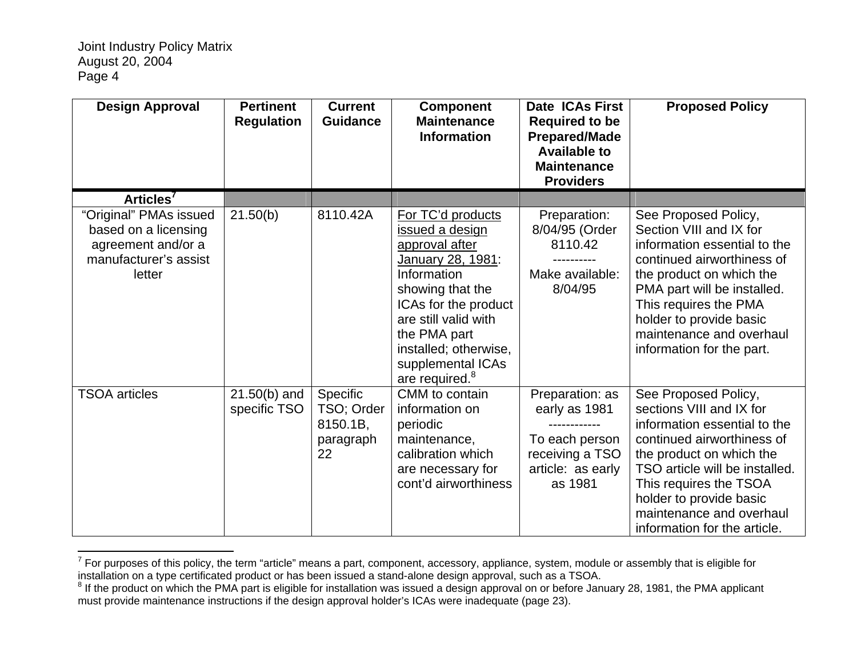| <b>Design Approval</b>                                                                                  | <b>Pertinent</b><br><b>Regulation</b> | <b>Current</b><br><b>Guidance</b>                     | <b>Component</b><br><b>Maintenance</b><br><b>Information</b>                                                                                                                                                                                               | <b>Date ICAs First</b><br><b>Required to be</b><br><b>Prepared/Made</b><br><b>Available to</b><br><b>Maintenance</b><br><b>Providers</b> | <b>Proposed Policy</b>                                                                                                                                                                                                                                                                        |
|---------------------------------------------------------------------------------------------------------|---------------------------------------|-------------------------------------------------------|------------------------------------------------------------------------------------------------------------------------------------------------------------------------------------------------------------------------------------------------------------|------------------------------------------------------------------------------------------------------------------------------------------|-----------------------------------------------------------------------------------------------------------------------------------------------------------------------------------------------------------------------------------------------------------------------------------------------|
| Articles <sup>7</sup>                                                                                   |                                       |                                                       |                                                                                                                                                                                                                                                            |                                                                                                                                          |                                                                                                                                                                                                                                                                                               |
| "Original" PMAs issued<br>based on a licensing<br>agreement and/or a<br>manufacturer's assist<br>letter | 21.50(b)                              | 8110.42A                                              | For TC'd products<br>issued a design<br>approval after<br>January 28, 1981:<br>Information<br>showing that the<br>ICAs for the product<br>are still valid with<br>the PMA part<br>installed; otherwise,<br>supplemental ICAs<br>are required. <sup>8</sup> | Preparation:<br>8/04/95 (Order<br>8110.42<br>Make available:<br>8/04/95                                                                  | See Proposed Policy,<br>Section VIII and IX for<br>information essential to the<br>continued airworthiness of<br>the product on which the<br>PMA part will be installed.<br>This requires the PMA<br>holder to provide basic<br>maintenance and overhaul<br>information for the part.         |
| <b>TSOA</b> articles                                                                                    | $21.50(b)$ and<br>specific TSO        | Specific<br>TSO; Order<br>8150.1B,<br>paragraph<br>22 | CMM to contain<br>information on<br>periodic<br>maintenance,<br>calibration which<br>are necessary for<br>cont'd airworthiness                                                                                                                             | Preparation: as<br>early as 1981<br>To each person<br>receiving a TSO<br>article: as early<br>as 1981                                    | See Proposed Policy,<br>sections VIII and IX for<br>information essential to the<br>continued airworthiness of<br>the product on which the<br>TSO article will be installed.<br>This requires the TSOA<br>holder to provide basic<br>maintenance and overhaul<br>information for the article. |

 $^7$  For purposes of this policy, the term "article" means a part, component, accessory, appliance, system, module or assembly that is eligible for installation on a type certificated product or has been issued a stand-al

<span id="page-22-1"></span><span id="page-22-0"></span><sup>&</sup>lt;sup>8</sup> If the product on which the PMA part is eligible for installation was issued a design approval on or before January 28, 1981, the PMA applicant must provide maintenance instructions if the design approval holder's ICAs were inadequate (page 23).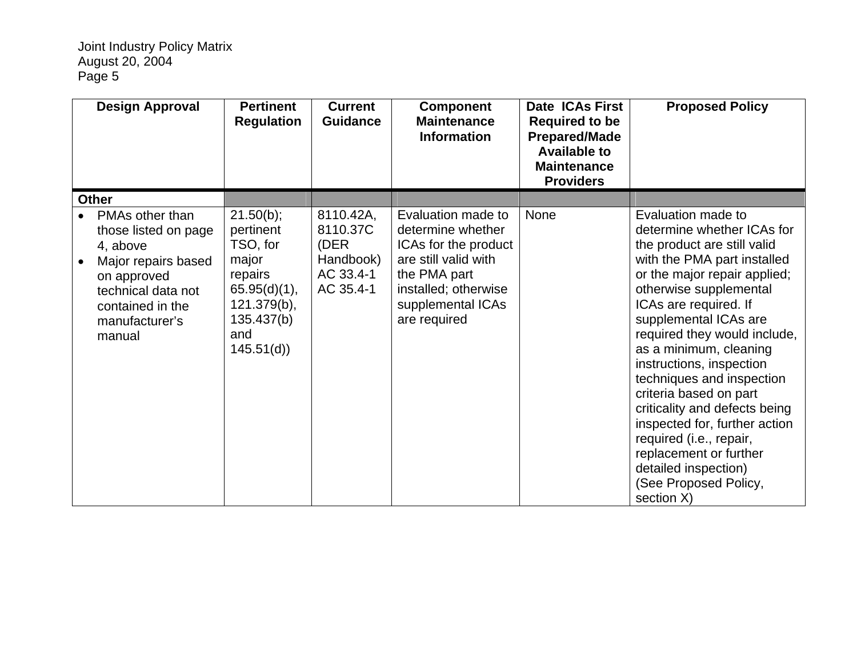| <b>Design Approval</b>                                                                                                                                          | <b>Pertinent</b><br><b>Regulation</b>                                                                                      | <b>Current</b><br><b>Guidance</b>                                    | <b>Component</b><br><b>Maintenance</b><br><b>Information</b>                                                                                                         | Date ICAs First<br><b>Required to be</b><br><b>Prepared/Made</b><br><b>Available to</b><br><b>Maintenance</b><br><b>Providers</b> | <b>Proposed Policy</b>                                                                                                                                                                                                                                                                                                                                                                                                                                                                                                                                        |
|-----------------------------------------------------------------------------------------------------------------------------------------------------------------|----------------------------------------------------------------------------------------------------------------------------|----------------------------------------------------------------------|----------------------------------------------------------------------------------------------------------------------------------------------------------------------|-----------------------------------------------------------------------------------------------------------------------------------|---------------------------------------------------------------------------------------------------------------------------------------------------------------------------------------------------------------------------------------------------------------------------------------------------------------------------------------------------------------------------------------------------------------------------------------------------------------------------------------------------------------------------------------------------------------|
| <b>Other</b>                                                                                                                                                    |                                                                                                                            |                                                                      |                                                                                                                                                                      |                                                                                                                                   |                                                                                                                                                                                                                                                                                                                                                                                                                                                                                                                                                               |
| PMAs other than<br>those listed on page<br>4, above<br>Major repairs based<br>on approved<br>technical data not<br>contained in the<br>manufacturer's<br>manual | $21.50(b)$ ;<br>pertinent<br>TSO, for<br>major<br>repairs<br>65.95(d)(1),<br>121.379(b),<br>135.437(b)<br>and<br>145.51(d) | 8110.42A,<br>8110.37C<br>(DER<br>Handbook)<br>AC 33.4-1<br>AC 35.4-1 | Evaluation made to<br>determine whether<br>ICAs for the product<br>are still valid with<br>the PMA part<br>installed; otherwise<br>supplemental ICAs<br>are required | None                                                                                                                              | Evaluation made to<br>determine whether ICAs for<br>the product are still valid<br>with the PMA part installed<br>or the major repair applied;<br>otherwise supplemental<br>ICAs are required. If<br>supplemental ICAs are<br>required they would include,<br>as a minimum, cleaning<br>instructions, inspection<br>techniques and inspection<br>criteria based on part<br>criticality and defects being<br>inspected for, further action<br>required (i.e., repair,<br>replacement or further<br>detailed inspection)<br>(See Proposed Policy,<br>section X) |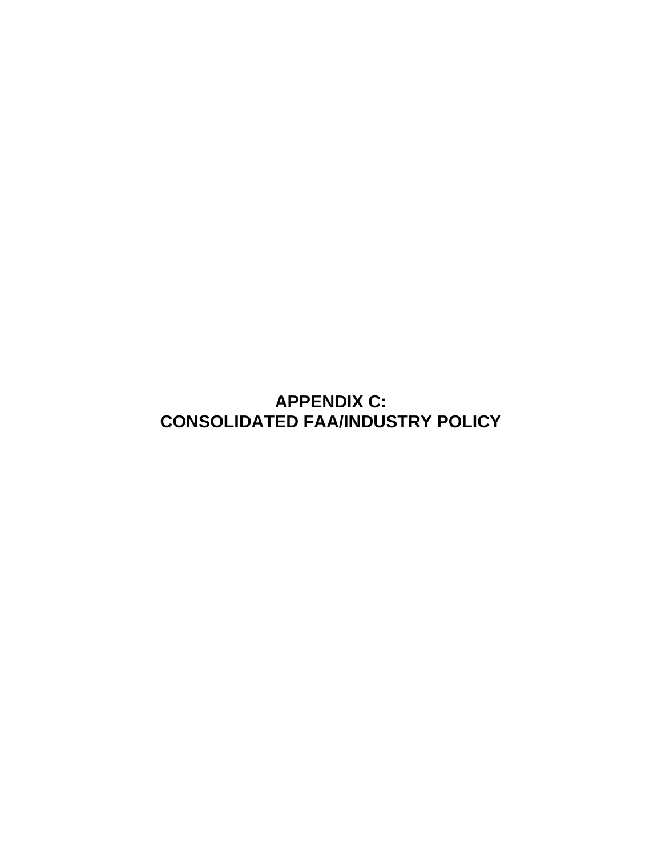**APPENDIX C: CONSOLIDATED FAA/INDUSTRY POLICY**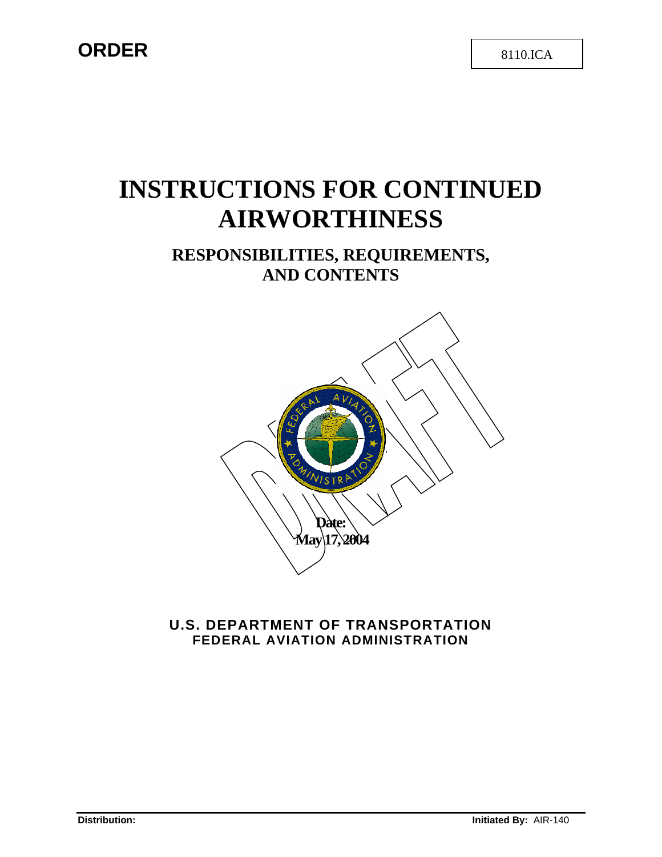# **ORDER**

# **INSTRUCTIONS FOR CONTINUED AIRWORTHINESS**

# **RESPONSIBILITIES, REQUIREMENTS, AND CONTENTS**



# **U.S. DEPARTMENT OF TRANSPORTATION FEDERAL AVIATION ADMINISTRATION**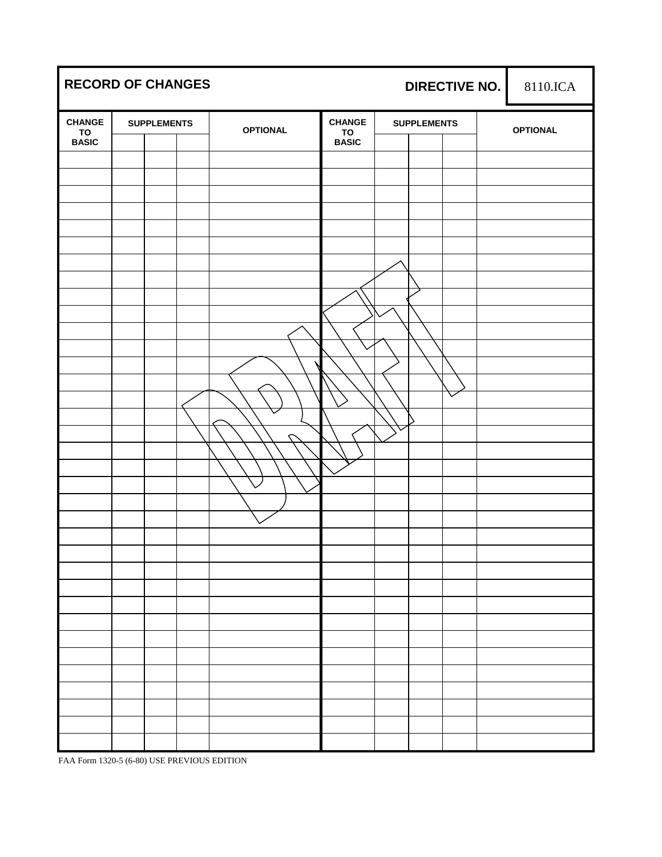| <b>RECORD OF CHANGES</b> |  |                    |  |                 |                     |                    | <b>DIRECTIVE NO.</b> | 8110.ICA        |
|--------------------------|--|--------------------|--|-----------------|---------------------|--------------------|----------------------|-----------------|
| <b>CHANGE</b><br>TO      |  | <b>SUPPLEMENTS</b> |  | <b>OPTIONAL</b> | <b>CHANGE</b><br>TO | <b>SUPPLEMENTS</b> |                      | <b>OPTIONAL</b> |
| <b>BASIC</b>             |  |                    |  |                 | <b>BASIC</b>        |                    |                      |                 |
|                          |  |                    |  |                 |                     |                    |                      |                 |
|                          |  |                    |  |                 |                     |                    |                      |                 |
|                          |  |                    |  |                 |                     |                    |                      |                 |
|                          |  |                    |  |                 |                     |                    |                      |                 |
|                          |  |                    |  |                 |                     |                    |                      |                 |
|                          |  |                    |  |                 |                     |                    |                      |                 |
|                          |  |                    |  |                 |                     |                    |                      |                 |
|                          |  |                    |  |                 |                     |                    |                      |                 |
|                          |  |                    |  |                 |                     |                    |                      |                 |
|                          |  |                    |  |                 |                     |                    |                      |                 |
|                          |  |                    |  |                 |                     |                    |                      |                 |
|                          |  |                    |  |                 |                     |                    |                      |                 |
|                          |  |                    |  |                 |                     |                    |                      |                 |
|                          |  |                    |  |                 |                     |                    |                      |                 |
|                          |  |                    |  |                 |                     |                    |                      |                 |
|                          |  |                    |  |                 |                     |                    |                      |                 |
|                          |  |                    |  |                 |                     |                    |                      |                 |
|                          |  |                    |  |                 |                     |                    |                      |                 |
|                          |  |                    |  |                 |                     |                    |                      |                 |
|                          |  |                    |  |                 |                     |                    |                      |                 |
|                          |  |                    |  |                 |                     |                    |                      |                 |
|                          |  |                    |  |                 |                     |                    |                      |                 |
|                          |  |                    |  |                 |                     |                    |                      |                 |
|                          |  |                    |  |                 |                     |                    |                      |                 |
|                          |  |                    |  |                 |                     |                    |                      |                 |
|                          |  |                    |  |                 |                     |                    |                      |                 |
|                          |  |                    |  |                 |                     |                    |                      |                 |
|                          |  |                    |  |                 |                     |                    |                      |                 |
|                          |  |                    |  |                 |                     |                    |                      |                 |
|                          |  |                    |  |                 |                     |                    |                      |                 |
|                          |  |                    |  |                 |                     |                    |                      |                 |
|                          |  |                    |  |                 |                     |                    |                      |                 |
|                          |  |                    |  |                 |                     |                    |                      |                 |

FAA Form 1320-5 (6-80) USE PREVIOUS EDITION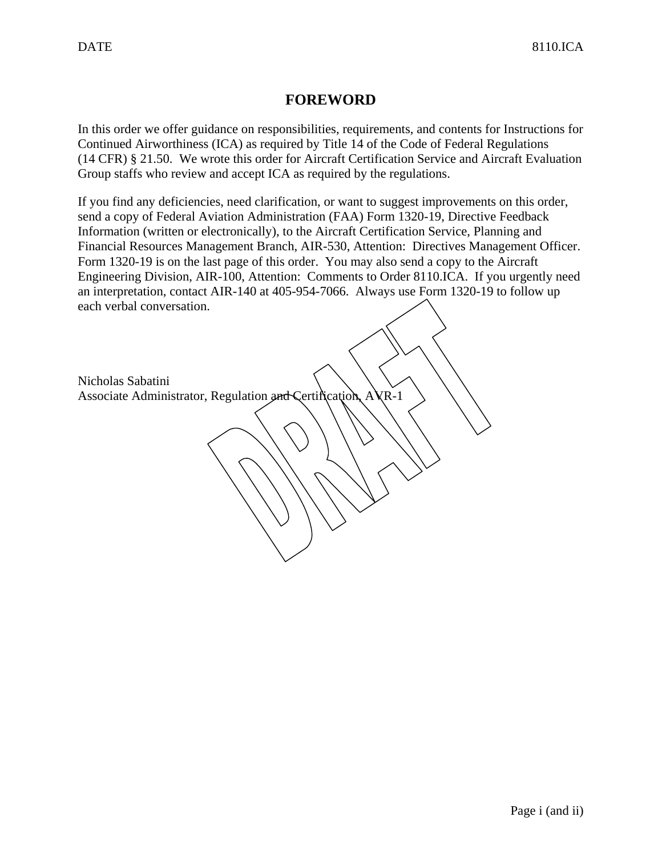# **FOREWORD**

In this order we offer guidance on responsibilities, requirements, and contents for Instructions for Continued Airworthiness (ICA) as required by Title 14 of the Code of Federal Regulations (14 CFR) § 21.50. We wrote this order for Aircraft Certification Service and Aircraft Evaluation Group staffs who review and accept ICA as required by the regulations.

If you find any deficiencies, need clarification, or want to suggest improvements on this order, send a copy of Federal Aviation Administration (FAA) Form 1320-19, Directive Feedback Information (written or electronically), to the Aircraft Certification Service, Planning and Financial Resources Management Branch, AIR-530, Attention: Directives Management Officer. Form 1320-19 is on the last page of this order. You may also send a copy to the Aircraft Engineering Division, AIR-100, Attention: Comments to Order 8110.ICA. If you urgently need an interpretation, contact AIR-140 at 405-954-7066. Always use Form 1320-19 to follow up each verbal conversation.

Nicholas Sabatini Associate Administrator, Regulation and Certification, AVR-1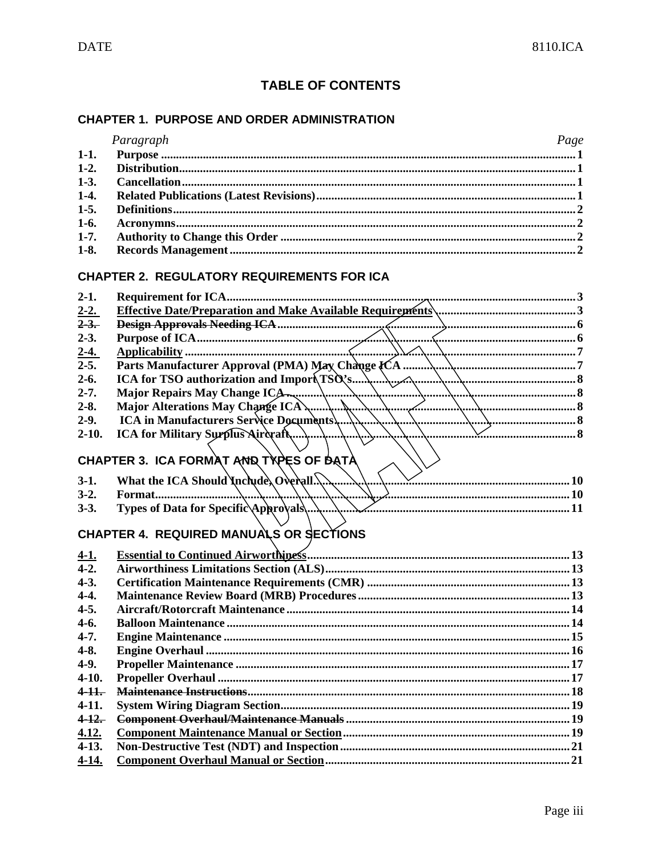# **TABLE OF CONTENTS**

#### **CHAPTER 1. PURPOSE AND ORDER ADMINISTRATION**

|          | Paragraph | Page |
|----------|-----------|------|
| $1-1.$   |           |      |
| $1-2.$   |           |      |
|          |           |      |
| $1-4.$   |           |      |
| $1-5.$   |           |      |
| $1-6.$   |           |      |
| $1 - 7.$ |           |      |
| $1-8.$   |           |      |

#### **CHAPTER 2. REGULATORY REQUIREMENTS FOR ICA**

| $2-1.$              |                                                                    |  |
|---------------------|--------------------------------------------------------------------|--|
|                     | <b>Effective Date/Preparation and Make Available Requirements\</b> |  |
| $\frac{2-2}{2-3}$   | <b>Design Approvals Needing ICA</b>                                |  |
| $2 - 3.$            |                                                                    |  |
|                     |                                                                    |  |
| $\frac{2-4}{2-5}$ . | Parts Manufacturer Approval (PMA) May Change ICA                   |  |
| $2 - 6.$            |                                                                    |  |
| $2 - 7.$            | Major Repairs May Change ICA<br>                                   |  |
| $2 - 8$ .           | Major Alterations May Change ICA.                                  |  |
| $2-9.$              | ICA in Manufacturers Service Documents.                            |  |
| $2-10.$             |                                                                    |  |
|                     |                                                                    |  |

# CHAPTER 3. ICA FORMAT AND TYPES OF BATA

| $3-1$    |  |  |  | What the ICA Should Include, Overall, American Communication and 10 |
|----------|--|--|--|---------------------------------------------------------------------|
| $3-2.$   |  |  |  |                                                                     |
| $3 - 3.$ |  |  |  |                                                                     |

# 

| $4-1.$    |  |
|-----------|--|
| $4 - 2.$  |  |
| $4 - 3.$  |  |
| $4 - 4.$  |  |
| $4 - 5.$  |  |
| $4-6.$    |  |
| $4 - 7.$  |  |
| $4-8.$    |  |
| $4-9.$    |  |
| $4-10.$   |  |
| $4 - 11$  |  |
| $4-11.$   |  |
| $4 - 12.$ |  |
| 4.12.     |  |
| $4-13.$   |  |
| $4-14.$   |  |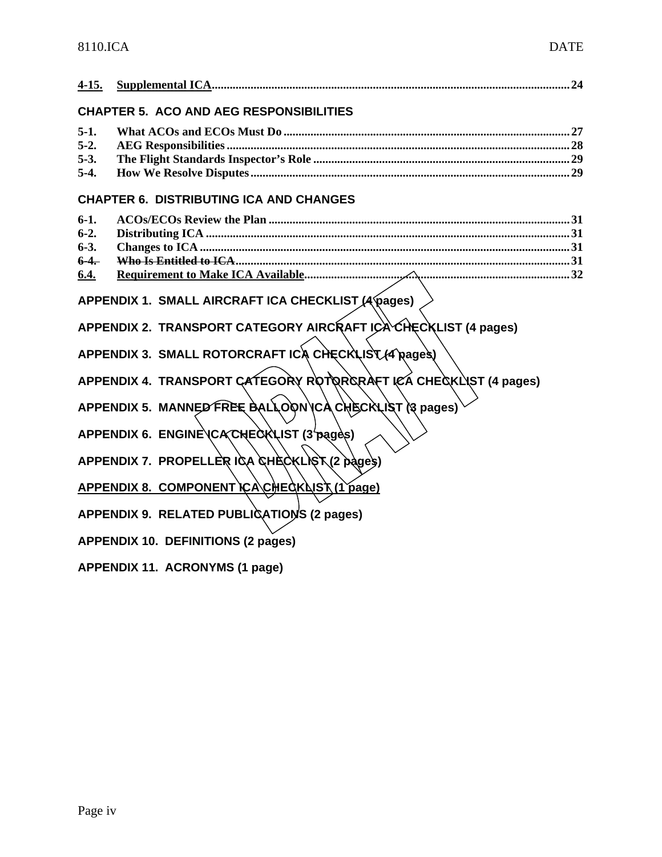|                                              | 24                                                                |
|----------------------------------------------|-------------------------------------------------------------------|
|                                              | <b>CHAPTER 5. ACO AND AEG RESPONSIBILITIES</b>                    |
| $5-1.$<br>$5-2.$<br>$5-3.$<br>$5-4.$         |                                                                   |
|                                              | <b>CHAPTER 6. DISTRIBUTING ICA AND CHANGES</b>                    |
| $6-1.$<br>$6-2.$<br>$6-3.$<br>$6-4.$<br>6.4. |                                                                   |
|                                              | APPENDIX 1. SMALL AIRCRAFT ICA CHECKLIST (A) pages)               |
|                                              | APPENDIX 2. TRANSPORT CATEGORY AIRCRAFT ICA CHECKLIST (4 pages)   |
|                                              | APPENDIX 3. SMALL ROTORCRAFT ICA CHECKLIST (4 pages)              |
|                                              | APPENDIX 4. TRANSPORT CATEGORY ROTORCRAFT ICA CHECKLIST (4 pages) |
|                                              | APPENDIX 5. MANNED FREE BALLOON CA CHECKLIST (3 pages)            |
|                                              | APPENDIX 6. ENGINE CACHECKLIST (3 pages)                          |
|                                              | APPENDIX 7. PROPELLER ICA CHECKLIST (2 pages)                     |
|                                              | <u>APPENDIX 8. COMPONENT CACHECKLIST (1 page)</u>                 |
|                                              | APPENDIX 9. RELATED PUBLICATIONS (2 pages)                        |
|                                              | <b>APPENDIX 10. DEFINITIONS (2 pages)</b>                         |
|                                              | <b>APPENDIX 11. ACRONYMS (1 page)</b>                             |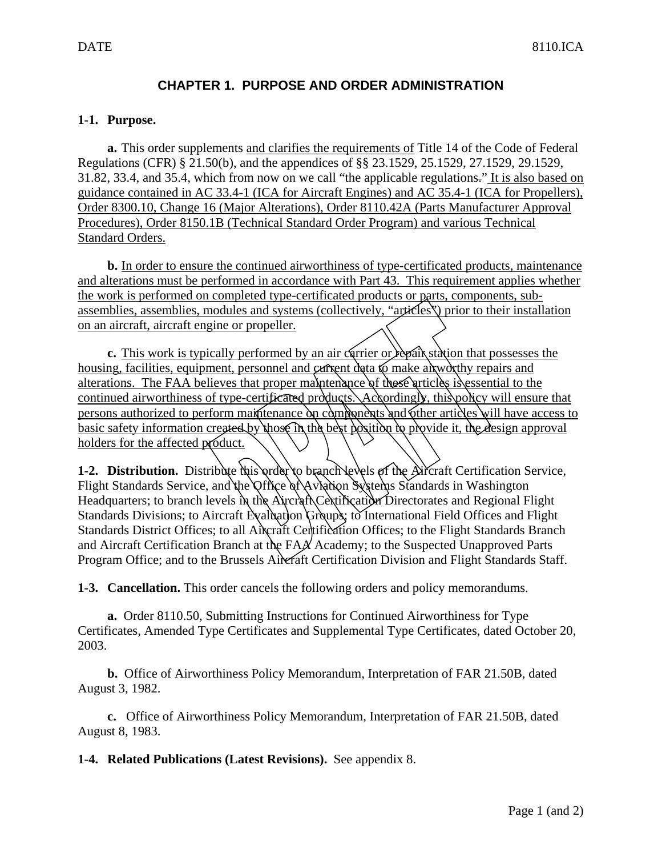# **CHAPTER 1. PURPOSE AND ORDER ADMINISTRATION**

#### **1-1. Purpose.**

**a.** This order supplements and clarifies the requirements of Title 14 of the Code of Federal Regulations (CFR) § 21.50(b), and the appendices of §§ 23.1529, 25.1529, 27.1529, 29.1529, 31.82, 33.4, and 35.4, which from now on we call "the applicable regulations." It is also based on guidance contained in AC 33.4-1 (ICA for Aircraft Engines) and AC 35.4-1 (ICA for Propellers), Order 8300.10, Change 16 (Major Alterations), Order 8110.42A (Parts Manufacturer Approval Procedures), Order 8150.1B (Technical Standard Order Program) and various Technical Standard Orders.

**b.** In order to ensure the continued airworthiness of type-certificated products, maintenance and alterations must be performed in accordance with Part 43. This requirement applies whether the work is performed on completed type-certificated products or parts, components, subassemblies, assemblies, modules and systems (collectively, "articles") prior to their installation on an aircraft, aircraft engine or propeller.

**c.** This work is typically performed by an air carrier or repair station that possesses the housing, facilities, equipment, personnel and current data to make anyworthy repairs and alterations. The FAA believes that proper maintenance of these articles is essential to the continued airworthiness of type-certificated products. Accordingly, this policy will ensure that persons authorized to perform maintenance on components and other articles will have access to basic safety information created by those in the best position to provide it, the design approval holders for the affected product.

1-2. Distribution. Distribute this order to branch levels of the Aircraft Certification Service, Flight Standards Service, and the Office of Aviation Systems Standards in Washington Headquarters; to branch levels in the Aircraft Centification Directorates and Regional Flight Standards Divisions; to Aircraft Evaluation Groups; to International Field Offices and Flight Standards District Offices; to all Aircraft Certification Offices; to the Flight Standards Branch and Aircraft Certification Branch at the FAA Academy; to the Suspected Unapproved Parts Program Office; and to the Brussels Aircraft Certification Division and Flight Standards Staff.

**1-3. Cancellation.** This order cancels the following orders and policy memorandums.

 **a.** Order 8110.50, Submitting Instructions for Continued Airworthiness for Type Certificates, Amended Type Certificates and Supplemental Type Certificates, dated October 20, 2003.

**b.** Office of Airworthiness Policy Memorandum, Interpretation of FAR 21.50B, dated August 3, 1982.

**c.** Office of Airworthiness Policy Memorandum, Interpretation of FAR 21.50B, dated August 8, 1983.

**1-4. Related Publications (Latest Revisions).** See appendix 8.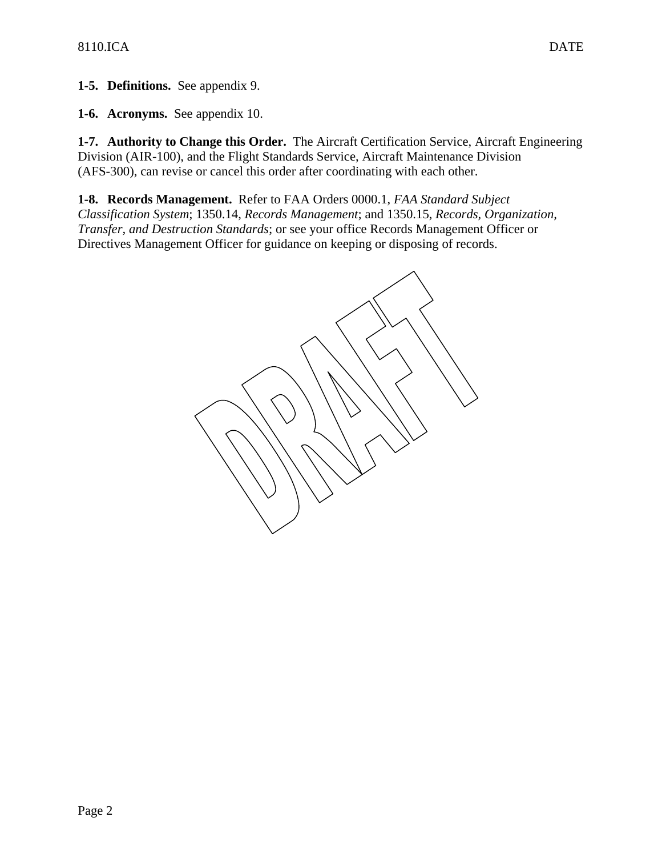**1-5. Definitions.** See appendix 9.

**1-6. Acronyms.** See appendix 10.

**1-7. Authority to Change this Order.** The Aircraft Certification Service, Aircraft Engineering Division (AIR-100), and the Flight Standards Service, Aircraft Maintenance Division (AFS-300), can revise or cancel this order after coordinating with each other.

**1-8. Records Management.** Refer to FAA Orders 0000.1, *FAA Standard Subject Classification System*; 1350.14, *Records Management*; and 1350.15, *Records, Organization, Transfer, and Destruction Standards*; or see your office Records Management Officer or Directives Management Officer for guidance on keeping or disposing of records.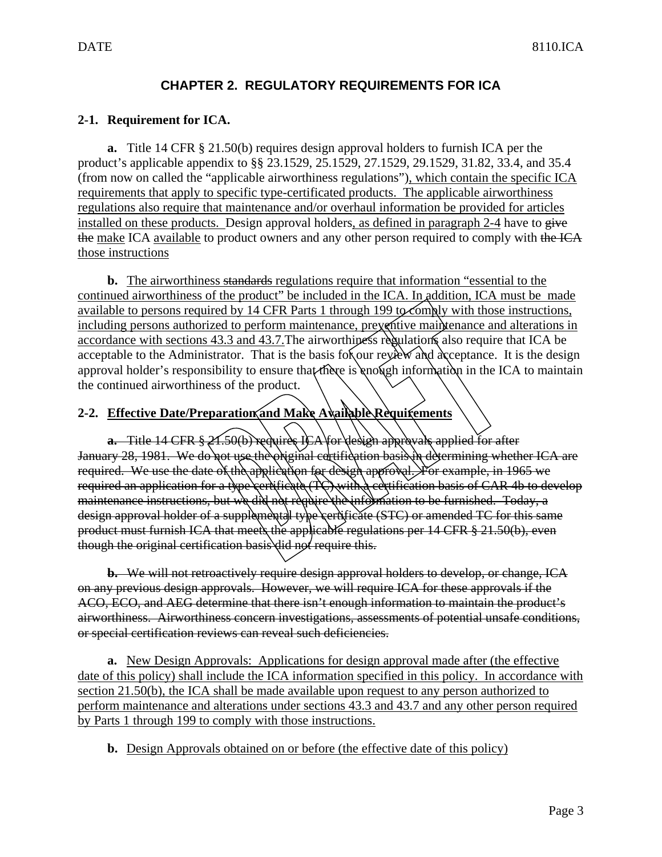# **CHAPTER 2. REGULATORY REQUIREMENTS FOR ICA**

# **2-1. Requirement for ICA.**

**a.** Title 14 CFR § 21.50(b) requires design approval holders to furnish ICA per the product's applicable appendix to §§ 23.1529, 25.1529, 27.1529, 29.1529, 31.82, 33.4, and 35.4 (from now on called the "applicable airworthiness regulations"), which contain the specific ICA requirements that apply to specific type-certificated products. The applicable airworthiness regulations also require that maintenance and/or overhaul information be provided for articles installed on these products. Design approval holders, as defined in paragraph 2-4 have to give the make ICA available to product owners and any other person required to comply with the ICA those instructions

**b.** The airworthiness standards regulations require that information "essential to the continued airworthiness of the product" be included in the ICA. In addition, ICA must be made available to persons required by 14 CFR Parts 1 through 199 to comply with those instructions, including persons authorized to perform maintenance, preyentive maintenance and alterations in accordance with sections 43.3 and 43.7. The airworthiness regulations also require that ICA be acceptable to the Administrator. That is the basis for our review and acceptance. It is the design approval holder's responsibility to ensure that there is enough information in the ICA to maintain the continued airworthiness of the product.

# **2-2. Effective Date/Preparation and Make Available Requirements**

**a.** Title 14 CFR § 21.50(b) requires ICA for design approvals applied for after January 28, 1981. We do not use the original certification basis in determining whether ICA are required. We use the date of the application for design approval. For example, in 1965 we required an application for a type certificate (TC) with a certification basis of CAR 4b to develop maintenance instructions, but we did not require the information to be furnished. Today, a design approval holder of a supplemental type certificate (STC) or amended TC for this same product must furnish ICA that meets the applicable regulations per 14 CFR § 21.50(b), even though the original certification basis did not require this.

**b.** We will not retroactively require design approval holders to develop, or change, ICA on any previous design approvals. However, we will require ICA for these approvals if the ACO, ECO, and AEG determine that there isn't enough information to maintain the product's airworthiness. Airworthiness concern investigations, assessments of potential unsafe conditions, or special certification reviews can reveal such deficiencies.

**a.** New Design Approvals: Applications for design approval made after (the effective date of this policy) shall include the ICA information specified in this policy. In accordance with section 21.50(b), the ICA shall be made available upon request to any person authorized to perform maintenance and alterations under sections 43.3 and 43.7 and any other person required by Parts 1 through 199 to comply with those instructions.

**b.** Design Approvals obtained on or before (the effective date of this policy)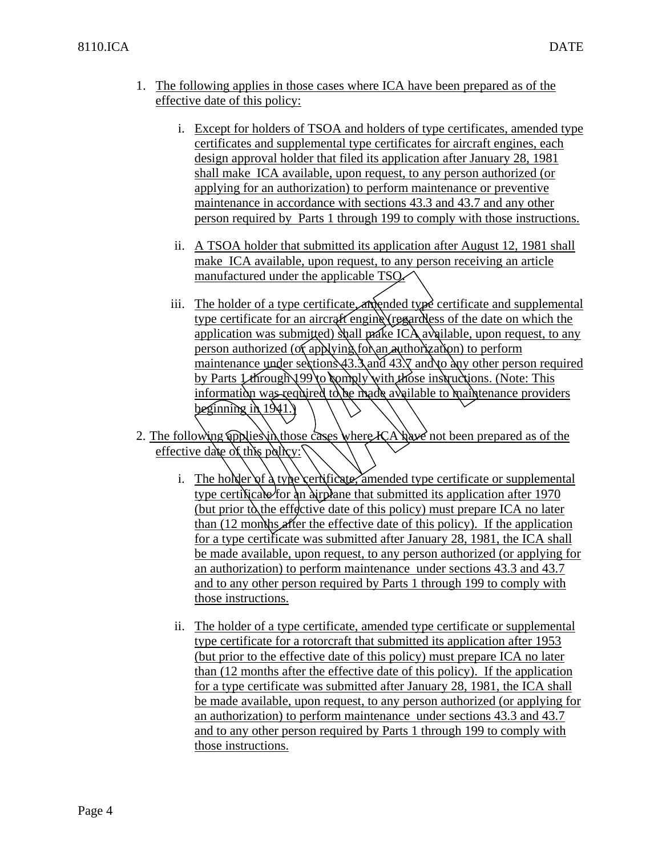- 1. The following applies in those cases where ICA have been prepared as of the effective date of this policy:
	- i. Except for holders of TSOA and holders of type certificates, amended type certificates and supplemental type certificates for aircraft engines, each design approval holder that filed its application after January 28, 1981 shall make ICA available, upon request, to any person authorized (or applying for an authorization) to perform maintenance or preventive maintenance in accordance with sections 43.3 and 43.7 and any other person required by Parts 1 through 199 to comply with those instructions.
	- ii. A TSOA holder that submitted its application after August 12, 1981 shall make ICA available, upon request, to any person receiving an article manufactured under the applicable TSO.
	- iii. The holder of a type certificate, and experimental type certificate and supplemental type certificate for an aircraft engine (regardless of the date on which the application was submitted) shall make  $ICA$  available, upon request, to any person authorized (or applying for an authorization) to perform maintenance under sections  $43.3$  and  $43.7$  and to any other person required by Parts 1 through 199 to comply with those instructions. (Note: This information was required to be made available to maintenance providers beginning in  $1941$ .
- 2. The following applies in those cases where ICA have not been prepared as of the effective date of this policy:  $\bigwedge$ 
	- i. The holder of  $\frac{1}{4}$  type certificate, amended type certificate or supplemental type certificate for an airplane that submitted its application after 1970 (but prior to the effective date of this policy) must prepare ICA no later than (12 months after the effective date of this policy). If the application for a type certificate was submitted after January 28, 1981, the ICA shall be made available, upon request, to any person authorized (or applying for an authorization) to perform maintenance under sections 43.3 and 43.7 and to any other person required by Parts 1 through 199 to comply with those instructions.
	- ii. The holder of a type certificate, amended type certificate or supplemental type certificate for a rotorcraft that submitted its application after 1953 (but prior to the effective date of this policy) must prepare ICA no later than (12 months after the effective date of this policy). If the application for a type certificate was submitted after January 28, 1981, the ICA shall be made available, upon request, to any person authorized (or applying for an authorization) to perform maintenance under sections 43.3 and 43.7 and to any other person required by Parts 1 through 199 to comply with those instructions.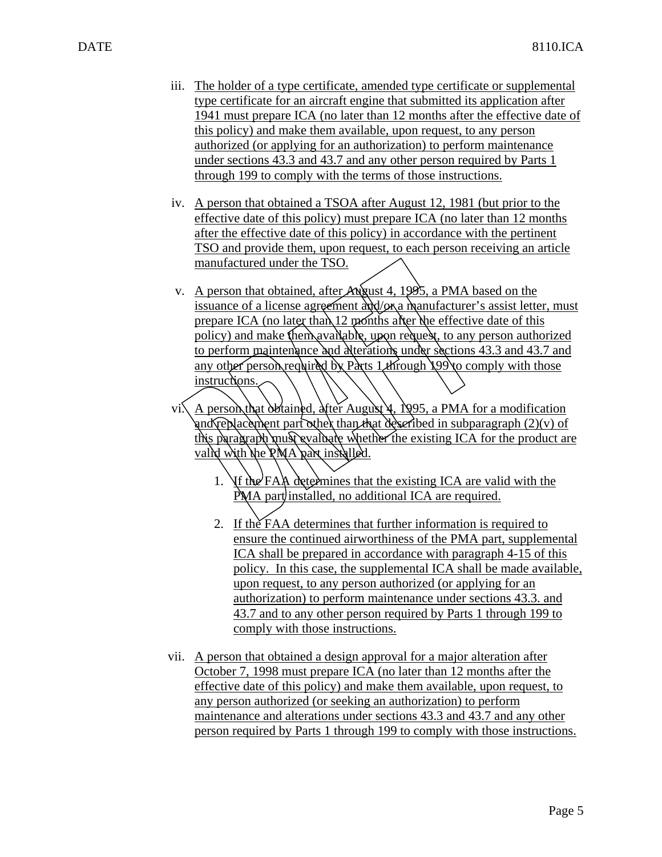- iii. The holder of a type certificate, amended type certificate or supplemental type certificate for an aircraft engine that submitted its application after 1941 must prepare ICA (no later than 12 months after the effective date of this policy) and make them available, upon request, to any person authorized (or applying for an authorization) to perform maintenance under sections 43.3 and 43.7 and any other person required by Parts 1 through 199 to comply with the terms of those instructions.
- iv. A person that obtained a TSOA after August 12, 1981 (but prior to the effective date of this policy) must prepare ICA (no later than 12 months after the effective date of this policy) in accordance with the pertinent TSO and provide them, upon request, to each person receiving an article manufactured under the TSO.
- v. A person that obtained, after  $A$ n gust 4, 1995, a PMA based on the issuance of a license agreement and/or a manufacturer's assist letter, must prepare ICA (no later than  $12$  months after the effective date of this policy) and make them available, upon request, to any person authorized to perform maintenance and alterations under sections 43.3 and 43.7 and any other person required by Parts 1 through 199 to comply with those instructions.
- vi. A person that obtained, after August 4, 1995, a PMA for a modification and replacement part other than that described in subparagraph (2)(v) of this paragraph must evaluate whether the existing ICA for the product are vally with the PMA part installed.
	- 1. If the FAA determines that the existing ICA are valid with the PMA part installed, no additional ICA are required.
	- 2. If the FAA determines that further information is required to ensure the continued airworthiness of the PMA part, supplemental ICA shall be prepared in accordance with paragraph 4-15 of this policy. In this case, the supplemental ICA shall be made available, upon request, to any person authorized (or applying for an authorization) to perform maintenance under sections 43.3. and 43.7 and to any other person required by Parts 1 through 199 to comply with those instructions.
- vii. A person that obtained a design approval for a major alteration after October 7, 1998 must prepare ICA (no later than 12 months after the effective date of this policy) and make them available, upon request, to any person authorized (or seeking an authorization) to perform maintenance and alterations under sections 43.3 and 43.7 and any other person required by Parts 1 through 199 to comply with those instructions.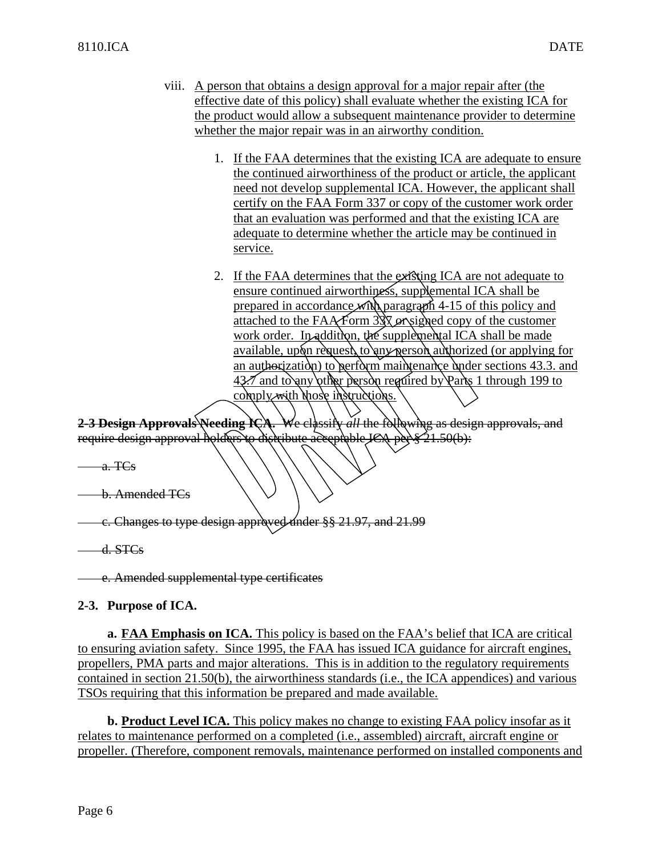- viii. A person that obtains a design approval for a major repair after (the effective date of this policy) shall evaluate whether the existing ICA for the product would allow a subsequent maintenance provider to determine whether the major repair was in an airworthy condition.
	- 1. If the FAA determines that the existing ICA are adequate to ensure the continued airworthiness of the product or article, the applicant need not develop supplemental ICA. However, the applicant shall certify on the FAA Form 337 or copy of the customer work order that an evaluation was performed and that the existing ICA are adequate to determine whether the article may be continued in service.
	- 2. If the FAA determines that the existing ICA are not adequate to ensure continued airworthiness, supplemental ICA shall be prepared in accordance  $\mathbf{w}$  the paragraph 4-15 of this policy and attached to the FAA Form  $3\sqrt{3}$  or sighed copy of the customer work order. In addition, the supplemental ICA shall be made available, upon request, to any person authorized (or applying for an authorization) to perform maintenance under sections 43.3. and  $43.7$  and to any other person reguired by Parts 1 through 199 to comply with those instructions.

2-3 Design Approvals Needing ICA. We classify *all* the following as design approvals, and require design approval holders to distribute acceptable JCA per § 21.50(b):

 $-a. TCs$ 

b. Amended TCs

c. Changes to type design approved under §§ 21.97, and 21.99

d. STCs

e. Amended supplemental type certificates

## **2-3. Purpose of ICA.**

**a. FAA Emphasis on ICA.** This policy is based on the FAA's belief that ICA are critical to ensuring aviation safety. Since 1995, the FAA has issued ICA guidance for aircraft engines, propellers, PMA parts and major alterations. This is in addition to the regulatory requirements contained in section 21.50(b), the airworthiness standards (i.e., the ICA appendices) and various TSOs requiring that this information be prepared and made available.

**b. Product Level ICA.** This policy makes no change to existing FAA policy insofar as it relates to maintenance performed on a completed (i.e., assembled) aircraft, aircraft engine or propeller. (Therefore, component removals, maintenance performed on installed components and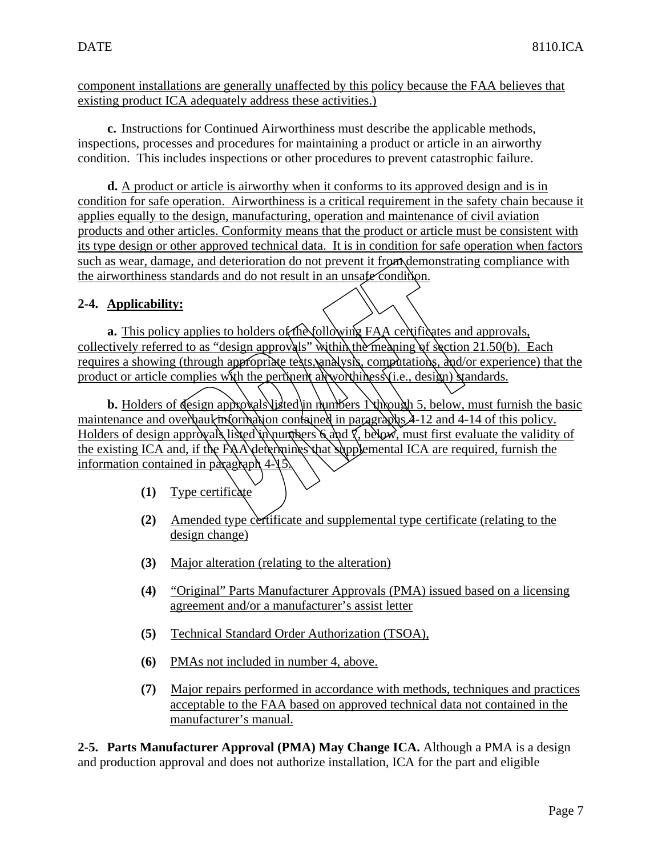component installations are generally unaffected by this policy because the FAA believes that existing product ICA adequately address these activities.)

**c.** Instructions for Continued Airworthiness must describe the applicable methods, inspections, processes and procedures for maintaining a product or article in an airworthy condition. This includes inspections or other procedures to prevent catastrophic failure.

**d.** A product or article is airworthy when it conforms to its approved design and is in condition for safe operation. Airworthiness is a critical requirement in the safety chain because it applies equally to the design, manufacturing, operation and maintenance of civil aviation products and other articles. Conformity means that the product or article must be consistent with its type design or other approved technical data. It is in condition for safe operation when factors such as wear, damage, and deterioration do not prevent it from demonstrating compliance with the airworthiness standards and do not result in an unsafe condition.

## **2-4. Applicability:**

a. This policy applies to holders of the following FAA certificates and approvals, collectively referred to as "design approvals" within the meaning of section 21.50(b). Each requires a showing (through appropriate tests, analysis, computations, and/or experience) that the product or article complies with the pertinent airworthiness  $(i.e., design)$  standards.

**b.** Holders of *design approvals* lighted in numbers 1 through 5, below, must furnish the basic maintenance and overhaul information contained in paragraphs  $\lambda$ -12 and 4-14 of this policy. Holders of design approvals listed in numbers  $\chi$  and  $\tilde{\chi}$ , below, must first evaluate the validity of the existing ICA and, if the FAA determines that supplemental ICA are required, furnish the information contained in paragraph  $4-\sqrt{5}$ .

- **(1)** Type certificate
- **(2)** Amended type certificate and supplemental type certificate (relating to the design change)
- **(3)** Major alteration (relating to the alteration)
- **(4)** "Original" Parts Manufacturer Approvals (PMA) issued based on a licensing agreement and/or a manufacturer's assist letter
- **(5)** Technical Standard Order Authorization (TSOA),
- **(6)** PMAs not included in number 4, above.
- **(7)** Major repairs performed in accordance with methods, techniques and practices acceptable to the FAA based on approved technical data not contained in the manufacturer's manual.

**2-5. Parts Manufacturer Approval (PMA) May Change ICA.** Although a PMA is a design and production approval and does not authorize installation, ICA for the part and eligible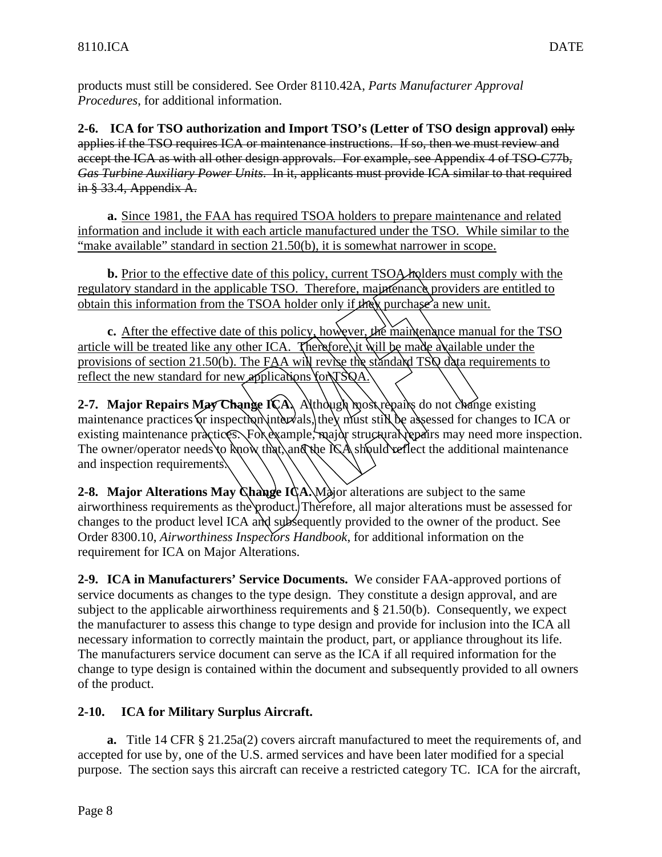products must still be considered. See Order 8110.42A, *Parts Manufacturer Approval Procedures*, for additional information.

**2-6. ICA for TSO authorization and Import TSO's (Letter of TSO design approval)** only applies if the TSO requires ICA or maintenance instructions. If so, then we must review and accept the ICA as with all other design approvals. For example, see Appendix 4 of TSO-C77b, *Gas Turbine Auxiliary Power Units*. In it, applicants must provide ICA similar to that required in § 33.4, Appendix A.

**a.** Since 1981, the FAA has required TSOA holders to prepare maintenance and related information and include it with each article manufactured under the TSO. While similar to the "make available" standard in section 21.50(b), it is somewhat narrower in scope.

**b.** Prior to the effective date of this policy, current TSOA holders must comply with the regulatory standard in the applicable TSO. Therefore, maintenance providers are entitled to obtain this information from the TSOA holder only if  $\text{LheV}$  purchase a new unit.

**c.** After the effective date of this policy, however, the maintenance manual for the TSO article will be treated like any other ICA. Therefore, it will be made available under the provisions of section 21.50(b). The FAA will revise the standard TSQ data requirements to reflect the new standard for new applications for TSQA.

2-7. Major Repairs May Change ICA Although most repairs do not change existing maintenance practices or inspection intervals, they must still be assessed for changes to ICA or existing maintenance practices. For example, major structural repairs may need more inspection. The owner/operator needs to know that, and the ICA should reflect the additional maintenance and inspection requirements.

**2-8. Major Alterations May Change**  $ICA$ **.** Major alterations are subject to the same airworthiness requirements as the product. Therefore, all major alterations must be assessed for changes to the product level ICA and subsequently provided to the owner of the product. See Order 8300.10, *Airworthiness Inspectors Handbook*, for additional information on the requirement for ICA on Major Alterations.

**2-9. ICA in Manufacturers' Service Documents.** We consider FAA-approved portions of service documents as changes to the type design. They constitute a design approval, and are subject to the applicable airworthiness requirements and § 21.50(b). Consequently, we expect the manufacturer to assess this change to type design and provide for inclusion into the ICA all necessary information to correctly maintain the product, part, or appliance throughout its life. The manufacturers service document can serve as the ICA if all required information for the change to type design is contained within the document and subsequently provided to all owners of the product.

# **2-10. ICA for Military Surplus Aircraft.**

**a.** Title 14 CFR § 21.25a(2) covers aircraft manufactured to meet the requirements of, and accepted for use by, one of the U.S. armed services and have been later modified for a special purpose. The section says this aircraft can receive a restricted category TC. ICA for the aircraft,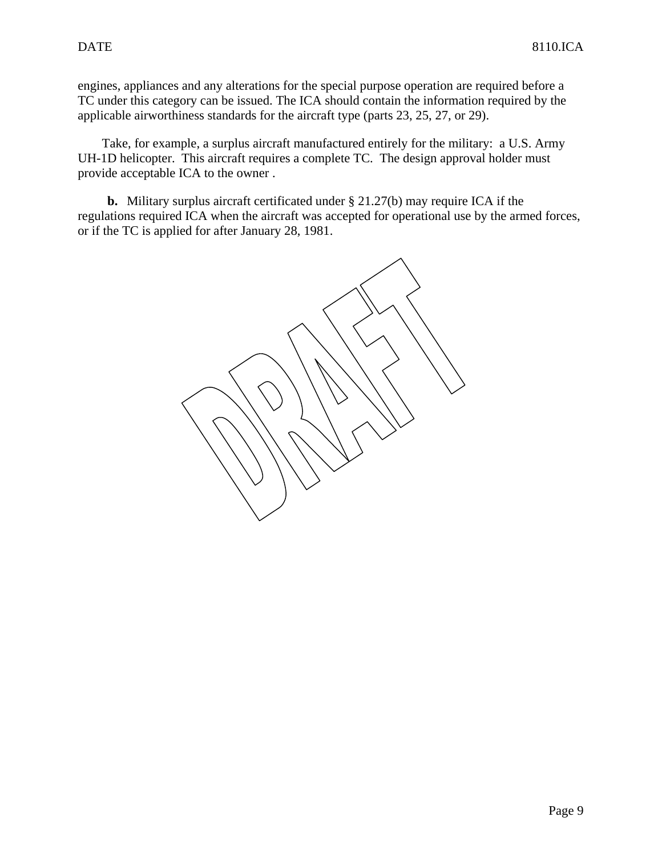engines, appliances and any alterations for the special purpose operation are required before a TC under this category can be issued. The ICA should contain the information required by the applicable airworthiness standards for the aircraft type (parts 23, 25, 27, or 29).

 Take, for example, a surplus aircraft manufactured entirely for the military: a U.S. Army UH-1D helicopter. This aircraft requires a complete TC. The design approval holder must provide acceptable ICA to the owner .

**b.** Military surplus aircraft certificated under § 21.27(b) may require ICA if the regulations required ICA when the aircraft was accepted for operational use by the armed forces, or if the TC is applied for after January 28, 1981.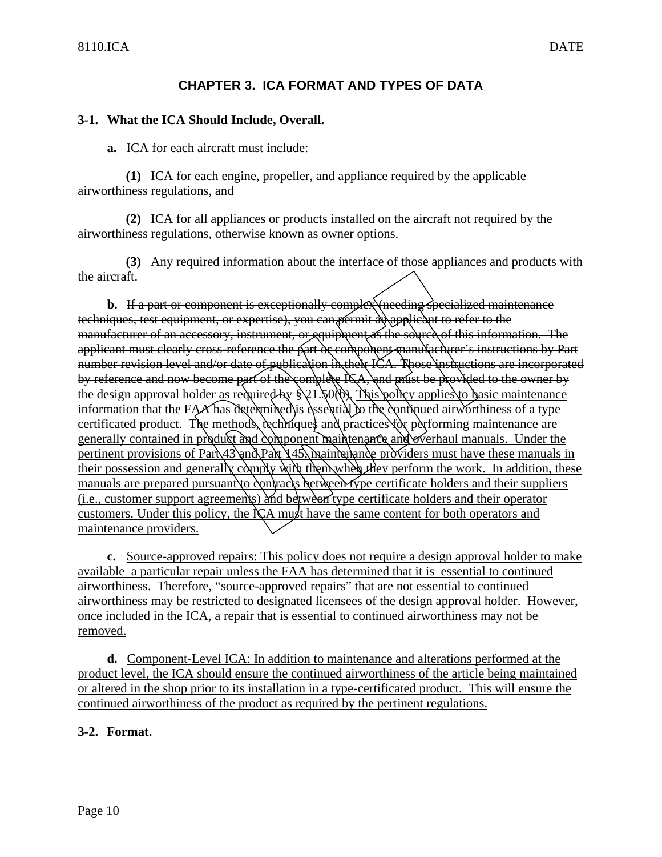## **CHAPTER 3. ICA FORMAT AND TYPES OF DATA**

#### **3-1. What the ICA Should Include, Overall.**

**a.** ICA for each aircraft must include:

**(1)** ICA for each engine, propeller, and appliance required by the applicable airworthiness regulations, and

**(2)** ICA for all appliances or products installed on the aircraft not required by the airworthiness regulations, otherwise known as owner options.

**(3)** Any required information about the interface of those appliances and products with the aircraft.

**b.** If a part or component is exceptionally complex (needing specialized maintenance techniques, test equipment, or expertise), you can permit an applicant to refer to the manufacturer of an accessory, instrument, or equipment as the source of this information. The applicant must clearly cross-reference the part or component manufacturer's instructions by Part number revision level and/or date of publication in their ICA. Those instructions are incorporated by reference and now become part of the complete ICA, and prust be provided to the owner by the design approval holder as required by  $\frac{1}{2}$ .  $\frac{1}{2}$ . This policy applies to basic maintenance information that the FAA has determined is essential to the continued airworthiness of a type certificated product. The methods, techniques and practices for performing maintenance are generally contained in product and component maintenance and overhaul manuals. Under the pertinent provisions of Part 43 and Part 145, maintenance providers must have these manuals in their possession and generally comply with them when they perform the work. In addition, these manuals are prepared pursuant to contracts between type certificate holders and their suppliers (i.e., customer support agreements) and between type certificate holders and their operator customers. Under this policy, the  $\mathbb{R}$ A must have the same content for both operators and maintenance providers.

**c.** Source-approved repairs: This policy does not require a design approval holder to make available a particular repair unless the FAA has determined that it is essential to continued airworthiness. Therefore, "source-approved repairs" that are not essential to continued airworthiness may be restricted to designated licensees of the design approval holder. However, once included in the ICA, a repair that is essential to continued airworthiness may not be removed.

**d.** Component-Level ICA: In addition to maintenance and alterations performed at the product level, the ICA should ensure the continued airworthiness of the article being maintained or altered in the shop prior to its installation in a type-certificated product. This will ensure the continued airworthiness of the product as required by the pertinent regulations.

#### **3-2. Format.**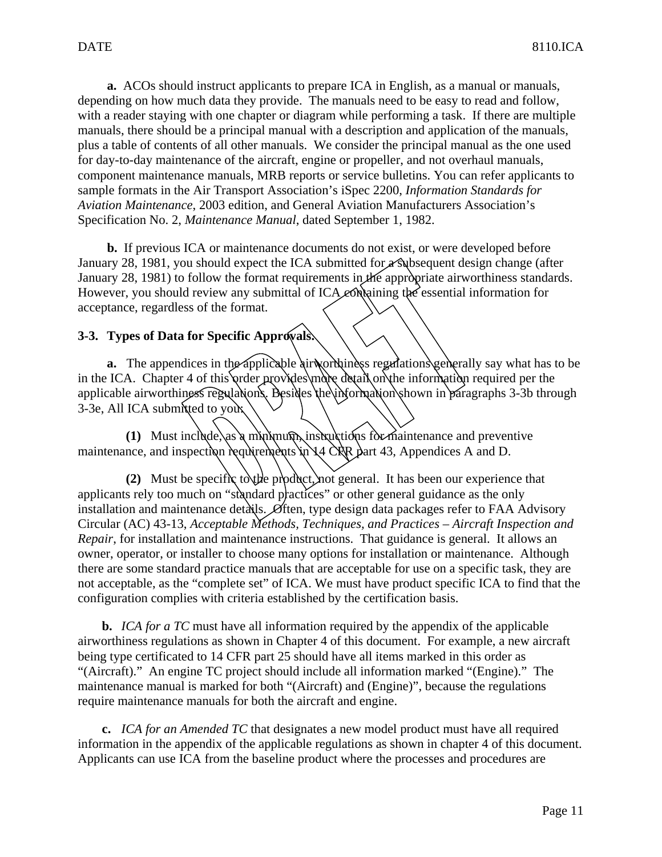**a.** ACOs should instruct applicants to prepare ICA in English, as a manual or manuals, depending on how much data they provide. The manuals need to be easy to read and follow, with a reader staying with one chapter or diagram while performing a task. If there are multiple manuals, there should be a principal manual with a description and application of the manuals, plus a table of contents of all other manuals. We consider the principal manual as the one used for day-to-day maintenance of the aircraft, engine or propeller, and not overhaul manuals, component maintenance manuals, MRB reports or service bulletins. You can refer applicants to sample formats in the Air Transport Association's iSpec 2200, *Information Standards for Aviation Maintenance*, 2003 edition, and General Aviation Manufacturers Association's Specification No. 2, *Maintenance Manual*, dated September 1, 1982.

**b.** If previous ICA or maintenance documents do not exist, or were developed before January 28, 1981, you should expect the ICA submitted for  $\alpha$  subsequent design change (after January 28, 1981) to follow the format requirements in the appropriate airworthiness standards. However, you should review any submittal of ICA *e* on taining the essential information for acceptance, regardless of the format.

#### **3-3. Types of Data for Specific Approvals.**

**a.** The appendices in the applicable air worthings regulations generally say what has to be in the ICA. Chapter 4 of this order provides more detail on the information required per the applicable airworthiness regulations. Besides the information shown in paragraphs 3-3b through 3-3e, All ICA submitted to you:

**(1)** Must include, as a minimum, instructions for maintenance and preventive maintenance, and inspection requirements in  $\lambda$ 4 CRR part 43, Appendices A and D.

**(2)** Must be specific to the product, not general. It has been our experience that applicants rely too much on "standard practices" or other general guidance as the only installation and maintenance details. *Often*, type design data packages refer to FAA Advisory Circular (AC) 43-13, *Acceptable Methods, Techniques, and Practices – Aircraft Inspection and Repair*, for installation and maintenance instructions. That guidance is general. It allows an owner, operator, or installer to choose many options for installation or maintenance. Although there are some standard practice manuals that are acceptable for use on a specific task, they are not acceptable, as the "complete set" of ICA. We must have product specific ICA to find that the configuration complies with criteria established by the certification basis.

**b.** *ICA for a TC* must have all information required by the appendix of the applicable airworthiness regulations as shown in Chapter 4 of this document. For example, a new aircraft being type certificated to 14 CFR part 25 should have all items marked in this order as "(Aircraft)." An engine TC project should include all information marked "(Engine)." The maintenance manual is marked for both "(Aircraft) and (Engine)", because the regulations require maintenance manuals for both the aircraft and engine.

**c.** *ICA for an Amended TC* that designates a new model product must have all required information in the appendix of the applicable regulations as shown in chapter 4 of this document. Applicants can use ICA from the baseline product where the processes and procedures are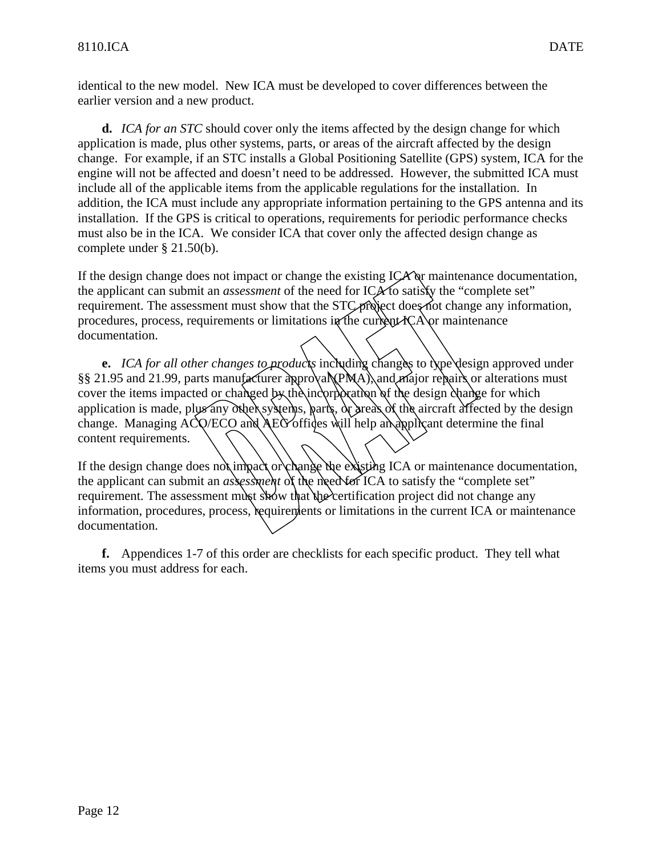identical to the new model. New ICA must be developed to cover differences between the earlier version and a new product.

**d.** *ICA for an STC* should cover only the items affected by the design change for which application is made, plus other systems, parts, or areas of the aircraft affected by the design change. For example, if an STC installs a Global Positioning Satellite (GPS) system, ICA for the engine will not be affected and doesn't need to be addressed. However, the submitted ICA must include all of the applicable items from the applicable regulations for the installation. In addition, the ICA must include any appropriate information pertaining to the GPS antenna and its installation. If the GPS is critical to operations, requirements for periodic performance checks must also be in the ICA. We consider ICA that cover only the affected design change as complete under § 21.50(b).

If the design change does not impact or change the existing  $ICX$  or maintenance documentation, the applicant can submit an *assessment* of the need for ICA to satisfy the "complete set" requirement. The assessment must show that the STC project does not change any information, procedures, process, requirements or limitations in the current  $K$ A or maintenance documentation.

**e.** *ICA for all other changes to products* including changes to type design approved under §§ 21.95 and 21.99, parts manufacturer approval (PMA), and major repairs or alterations must cover the items impacted or changed by the incorporation of the design change for which application is made, plus any other systems, parts, or areas of the aircraft affected by the design change. Managing  $A\ddot{C}Q/ECO$  and  $A\dot{E}C$  of fides will help an applicant determine the final content requirements.

If the design change does not impact or change the existing ICA or maintenance documentation, the applicant can submit an *assessment* of the need for ICA to satisfy the "complete set" requirement. The assessment must show that the certification project did not change any information, procedures, process, requirements or limitations in the current ICA or maintenance documentation.

**f.** Appendices 1-7 of this order are checklists for each specific product. They tell what items you must address for each.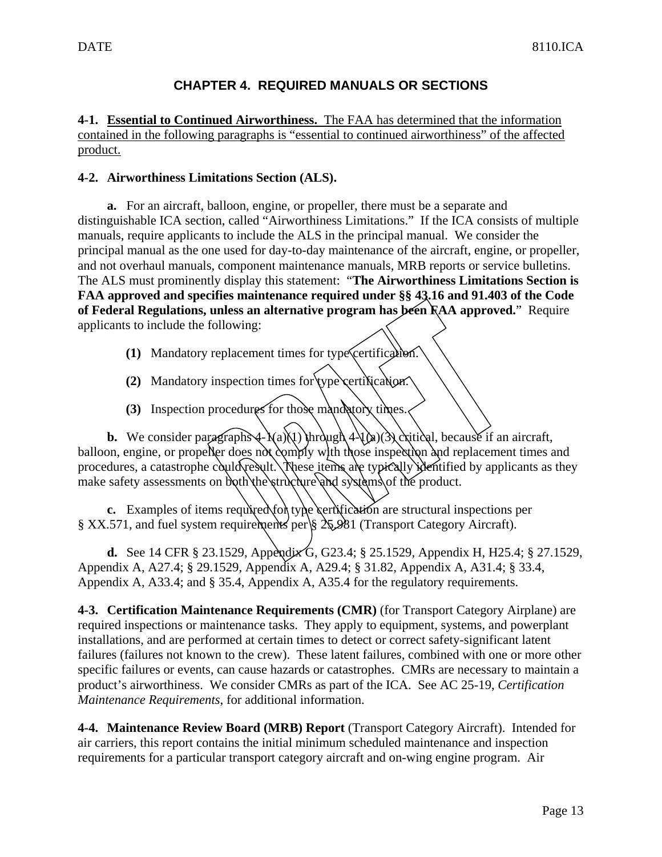# **CHAPTER 4. REQUIRED MANUALS OR SECTIONS**

**4-1. Essential to Continued Airworthiness.** The FAA has determined that the information contained in the following paragraphs is "essential to continued airworthiness" of the affected product.

#### **4-2. Airworthiness Limitations Section (ALS).**

**a.** For an aircraft, balloon, engine, or propeller, there must be a separate and distinguishable ICA section, called "Airworthiness Limitations." If the ICA consists of multiple manuals, require applicants to include the ALS in the principal manual. We consider the principal manual as the one used for day-to-day maintenance of the aircraft, engine, or propeller, and not overhaul manuals, component maintenance manuals, MRB reports or service bulletins. The ALS must prominently display this statement: "**The Airworthiness Limitations Section is FAA approved and specifies maintenance required under §§ 43.16 and 91.403 of the Code of Federal Regulations, unless an alternative program has been FAA approved.**" Require applicants to include the following:

- **(1)** Mandatory replacement times for type certification.
- (2) Mandatory inspection times for type certification.
- **(3)** Inspection procedures for those mandatory times.

**b.** We consider paragraphs  $\left(\frac{1}{a}\right)$  through  $\left(\frac{1}{a}\right)$  (3) critical, because if an aircraft, balloon, engine, or propeller does not comply with those inspection and replacement times and procedures, a catastrophe could result. These items are typically identified by applicants as they make safety assessments on both the structure and systems of the product.

**c.** Examples of items required for type certification are structural inspections per § XX.571, and fuel system requirements per § 25.981 (Transport Category Aircraft).

**d.** See 14 CFR § 23.1529, Appendix G, G23.4; § 25.1529, Appendix H, H25.4; § 27.1529, Appendix A, A27.4; § 29.1529, Appendix A, A29.4; § 31.82, Appendix A, A31.4; § 33.4, Appendix A, A33.4; and § 35.4, Appendix A, A35.4 for the regulatory requirements.

**4-3. Certification Maintenance Requirements (CMR)** (for Transport Category Airplane) are required inspections or maintenance tasks. They apply to equipment, systems, and powerplant installations, and are performed at certain times to detect or correct safety-significant latent failures (failures not known to the crew). These latent failures, combined with one or more other specific failures or events, can cause hazards or catastrophes. CMRs are necessary to maintain a product's airworthiness. We consider CMRs as part of the ICA. See AC 25-19, *Certification Maintenance Requirements*, for additional information.

**4-4. Maintenance Review Board (MRB) Report** (Transport Category Aircraft). Intended for air carriers, this report contains the initial minimum scheduled maintenance and inspection requirements for a particular transport category aircraft and on-wing engine program. Air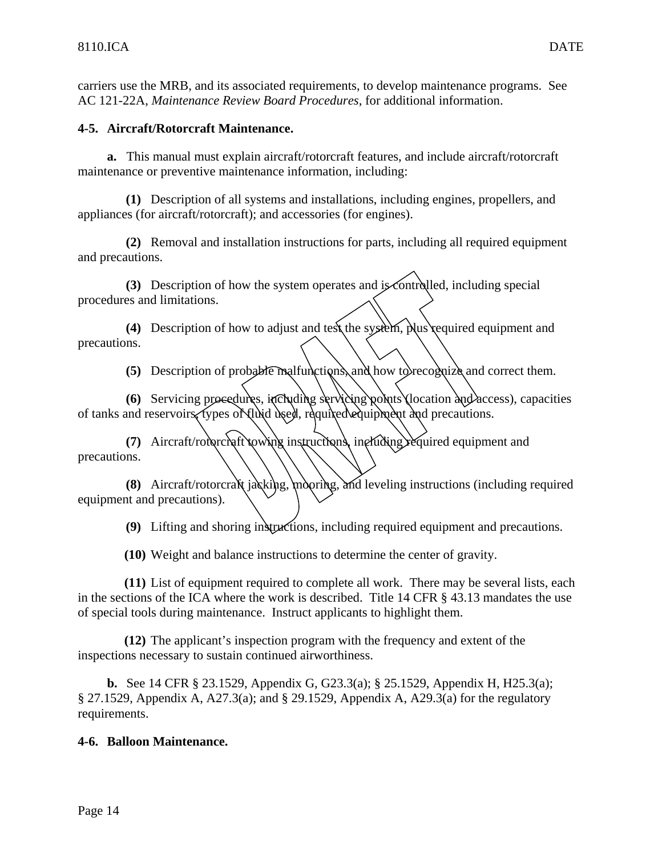carriers use the MRB, and its associated requirements, to develop maintenance programs. See AC 121-22A, *Maintenance Review Board Procedures*, for additional information.

#### **4-5. Aircraft/Rotorcraft Maintenance.**

**a.** This manual must explain aircraft/rotorcraft features, and include aircraft/rotorcraft maintenance or preventive maintenance information, including:

**(1)** Description of all systems and installations, including engines, propellers, and appliances (for aircraft/rotorcraft); and accessories (for engines).

**(2)** Removal and installation instructions for parts, including all required equipment and precautions.

**(3)** Description of how the system operates and is controlled, including special procedures and limitations.

**(4)** Description of how to adjust and test the system, plus required equipment and precautions.

**(5)** Description of probable malfunctions, and how to recognize and correct them.

**(6)** Servicing procedures, including servicing points (location and access), capacities of tanks and reservoirs, types of fluid used, required equipment and precautions.

**(7)** Aircraft/rotorcraft towing instructions, including required equipment and precautions.

**(8)** Aircraft/rotorcraft jacking, mooring, and leveling instructions (including required equipment and precautions).

**(9)** Lifting and shoring instructions, including required equipment and precautions.

**(10)** Weight and balance instructions to determine the center of gravity.

**(11)** List of equipment required to complete all work. There may be several lists, each in the sections of the ICA where the work is described. Title 14 CFR § 43.13 mandates the use of special tools during maintenance. Instruct applicants to highlight them.

**(12)** The applicant's inspection program with the frequency and extent of the inspections necessary to sustain continued airworthiness.

**b.** See 14 CFR § 23.1529, Appendix G, G23.3(a); § 25.1529, Appendix H, H25.3(a); § 27.1529, Appendix A, A27.3(a); and § 29.1529, Appendix A, A29.3(a) for the regulatory requirements.

#### **4-6. Balloon Maintenance.**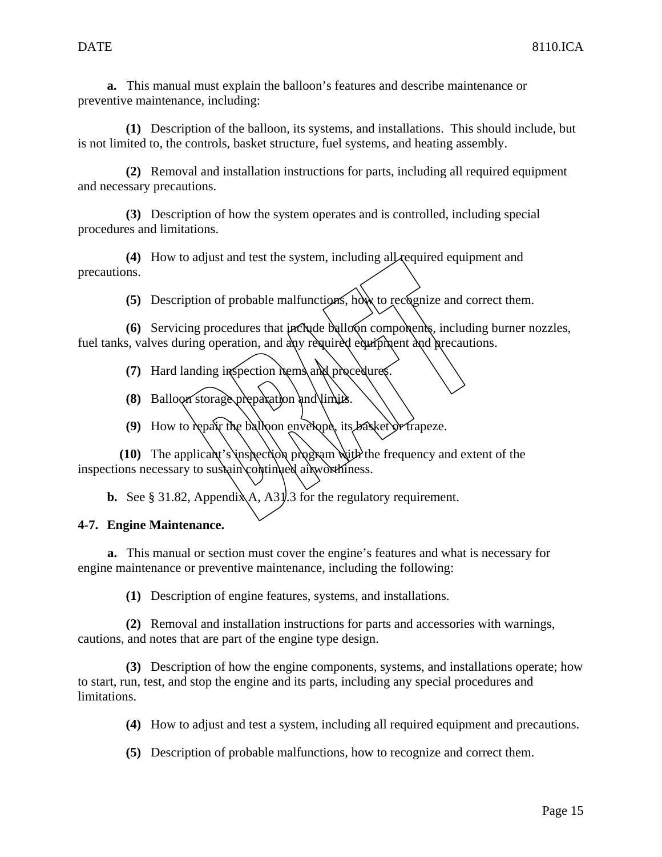**a.** This manual must explain the balloon's features and describe maintenance or preventive maintenance, including:

**(1)** Description of the balloon, its systems, and installations. This should include, but is not limited to, the controls, basket structure, fuel systems, and heating assembly.

**(2)** Removal and installation instructions for parts, including all required equipment and necessary precautions.

**(3)** Description of how the system operates and is controlled, including special procedures and limitations.

**(4)** How to adjust and test the system, including all *d*equired equipment and precautions.

**(5)** Description of probable malfunctions, how to recognize and correct them.

**(6)** Servicing procedures that include balloon components, including burner nozzles, fuel tanks, valves during operation, and any required equipment and precautions.

- **(7)** Hard landing inspection items and procedures.
- **(8)** Balloon storage preparation and limits.
- **(9)** How to repair the balloon envelope, its basket or trapeze.

**(10)** The applicant's inspection program with the frequency and extent of the inspections necessary to sustain continued airworthiness.

**b.** See § 31.82, Appendix A, A3 $\parallel$ , 3 for the regulatory requirement.

## **4-7. Engine Maintenance.**

**a.** This manual or section must cover the engine's features and what is necessary for engine maintenance or preventive maintenance, including the following:

**(1)** Description of engine features, systems, and installations.

**(2)** Removal and installation instructions for parts and accessories with warnings, cautions, and notes that are part of the engine type design.

**(3)** Description of how the engine components, systems, and installations operate; how to start, run, test, and stop the engine and its parts, including any special procedures and limitations.

**(4)** How to adjust and test a system, including all required equipment and precautions.

**(5)** Description of probable malfunctions, how to recognize and correct them.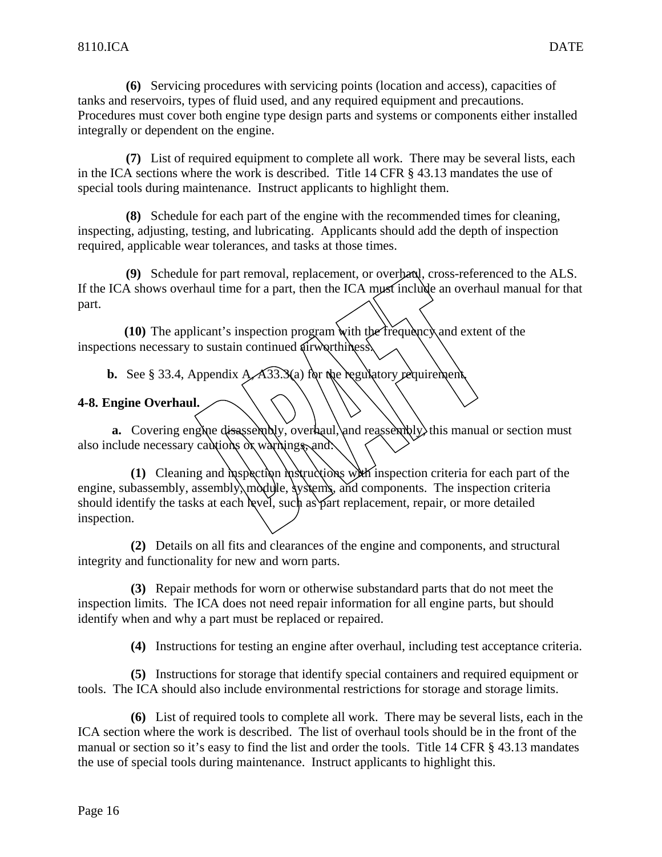**(6)** Servicing procedures with servicing points (location and access), capacities of tanks and reservoirs, types of fluid used, and any required equipment and precautions. Procedures must cover both engine type design parts and systems or components either installed integrally or dependent on the engine.

**(7)** List of required equipment to complete all work. There may be several lists, each in the ICA sections where the work is described. Title 14 CFR § 43.13 mandates the use of special tools during maintenance. Instruct applicants to highlight them.

**(8)** Schedule for each part of the engine with the recommended times for cleaning, inspecting, adjusting, testing, and lubricating. Applicants should add the depth of inspection required, applicable wear tolerances, and tasks at those times.

**(9)** Schedule for part removal, replacement, or overhaul, cross-referenced to the ALS. If the ICA shows overhaul time for a part, then the ICA must include an overhaul manual for that part.

**(10)** The applicant's inspection program with the frequency and extent of the inspections necessary to sustain continued airworthiness.

**b.** See § 33.4, Appendix A, A33.3(a) for the regulatory requirement

## **4-8. Engine Overhaul.**

**a.** Covering engine disassembly, overhaul, and reassembly, this manual or section must also include necessary cautions or warnings, and.

**(1)** Cleaning and inspection instructions with inspection criteria for each part of the engine, subassembly, assembly, module, systems, and components. The inspection criteria should identify the tasks at each level, such as part replacement, repair, or more detailed inspection.

**(2)** Details on all fits and clearances of the engine and components, and structural integrity and functionality for new and worn parts.

**(3)** Repair methods for worn or otherwise substandard parts that do not meet the inspection limits. The ICA does not need repair information for all engine parts, but should identify when and why a part must be replaced or repaired.

**(4)** Instructions for testing an engine after overhaul, including test acceptance criteria.

**(5)** Instructions for storage that identify special containers and required equipment or tools. The ICA should also include environmental restrictions for storage and storage limits.

**(6)** List of required tools to complete all work. There may be several lists, each in the ICA section where the work is described. The list of overhaul tools should be in the front of the manual or section so it's easy to find the list and order the tools. Title 14 CFR § 43.13 mandates the use of special tools during maintenance. Instruct applicants to highlight this.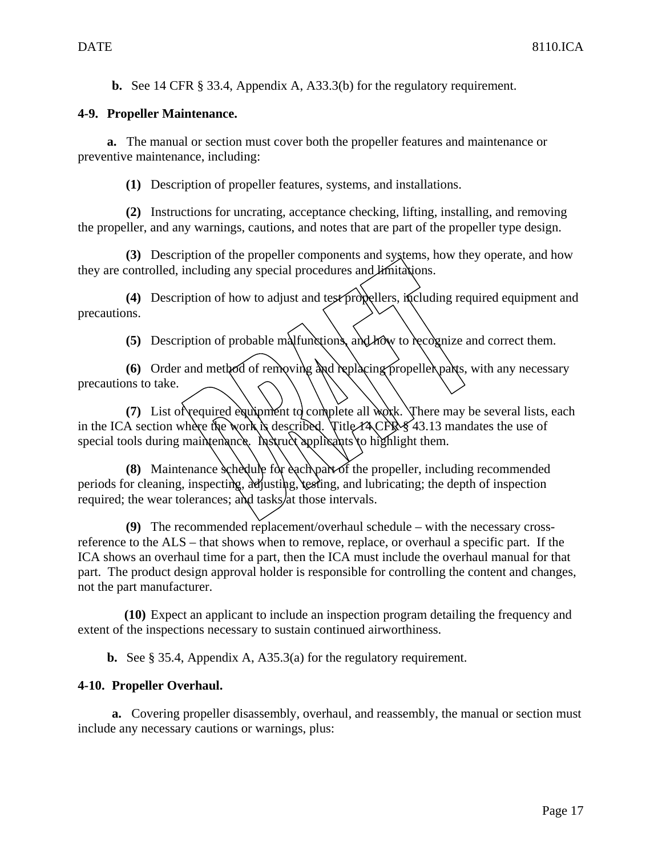**b.** See 14 CFR § 33.4, Appendix A, A33.3(b) for the regulatory requirement.

#### **4-9. Propeller Maintenance.**

**a.** The manual or section must cover both the propeller features and maintenance or preventive maintenance, including:

**(1)** Description of propeller features, systems, and installations.

**(2)** Instructions for uncrating, acceptance checking, lifting, installing, and removing the propeller, and any warnings, cautions, and notes that are part of the propeller type design.

**(3)** Description of the propeller components and systems, how they operate, and how they are controlled, including any special procedures and limitations.

**(4)** Description of how to adjust and test propellers, including required equipment and precautions.

**(5)** Description of probable malfunctions, and how to recognize and correct them.

**(6)** Order and method of removing and replacing propeller parts, with any necessary precautions to take.

(7) List of required equipment to complete all work. There may be several lists, each in the ICA section where the work is described. Title 14 CFR § 43.13 mandates the use of special tools during maintenance. Instruct applicants to highlight them.

**(8)** Maintenance schedule for each part of the propeller, including recommended periods for cleaning, inspecting, adjusting, testing, and lubricating; the depth of inspection required; the wear tolerances; and tasks/at those intervals.

**(9)** The recommended replacement/overhaul schedule – with the necessary crossreference to the ALS – that shows when to remove, replace, or overhaul a specific part. If the ICA shows an overhaul time for a part, then the ICA must include the overhaul manual for that part. The product design approval holder is responsible for controlling the content and changes, not the part manufacturer.

**(10)** Expect an applicant to include an inspection program detailing the frequency and extent of the inspections necessary to sustain continued airworthiness.

**b.** See § 35.4, Appendix A, A35.3(a) for the regulatory requirement.

## **4-10. Propeller Overhaul.**

**a.** Covering propeller disassembly, overhaul, and reassembly, the manual or section must include any necessary cautions or warnings, plus: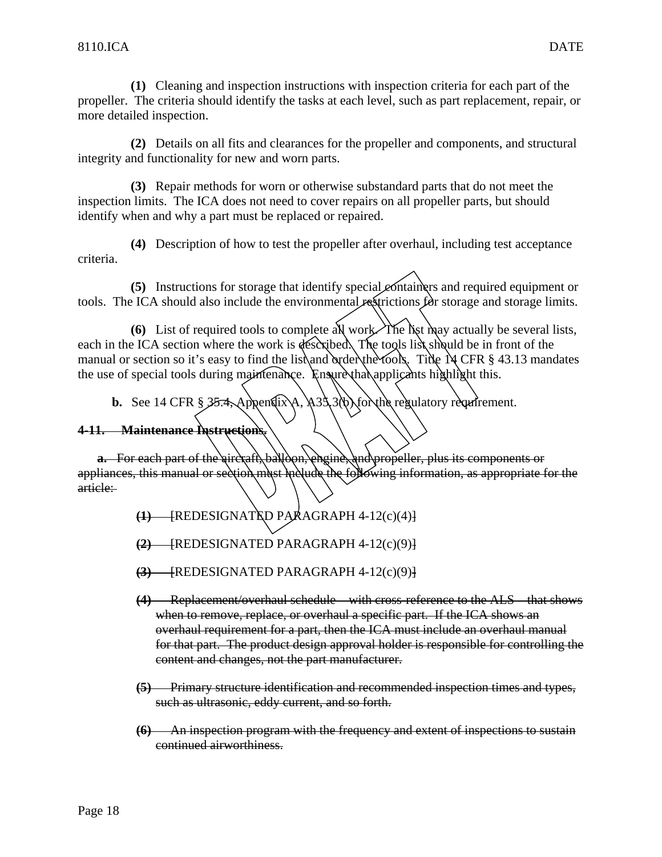**(1)** Cleaning and inspection instructions with inspection criteria for each part of the propeller. The criteria should identify the tasks at each level, such as part replacement, repair, or more detailed inspection.

**(2)** Details on all fits and clearances for the propeller and components, and structural integrity and functionality for new and worn parts.

**(3)** Repair methods for worn or otherwise substandard parts that do not meet the inspection limits. The ICA does not need to cover repairs on all propeller parts, but should identify when and why a part must be replaced or repaired.

**(4)** Description of how to test the propeller after overhaul, including test acceptance criteria.

**(5)** Instructions for storage that identify special *e* ontainers and required equipment or tools. The ICA should also include the environmental restrictions for storage and storage limits.

**(6)** List of required tools to complete all work. The list may actually be several lists, each in the ICA section where the work is described. The tools list should be in front of the manual or section so it's easy to find the list and order the tools. Title 14 CFR § 43.13 mandates the use of special tools during maintenance. Ensure that applicants highlight this.

**b.** See 14 CFR § 35.4, Appendix A, A33, 3 (b) for the regulatory requirement.

# **4-11. Maintenance Instructions.**

a. For each part of the aircraft, balloon, engine, and propeller, plus its components or appliances, this manual or section must medude the following information, as appropriate for the article:

- **(1)** [REDESIGNATED PARAGRAPH 4-12(c)(4)]
- **(2)** [REDESIGNATED PARAGRAPH 4-12(c)(9)]
- **(3)** [REDESIGNATED PARAGRAPH 4-12(c)(9)]
- **(4)** Replacement/overhaul schedule with cross-reference to the ALS that shows when to remove, replace, or overhaul a specific part. If the ICA shows an overhaul requirement for a part, then the ICA must include an overhaul manual for that part. The product design approval holder is responsible for controlling the content and changes, not the part manufacturer.
- **(5)** Primary structure identification and recommended inspection times and types, such as ultrasonic, eddy current, and so forth.
- **(6)** An inspection program with the frequency and extent of inspections to sustain continued airworthiness.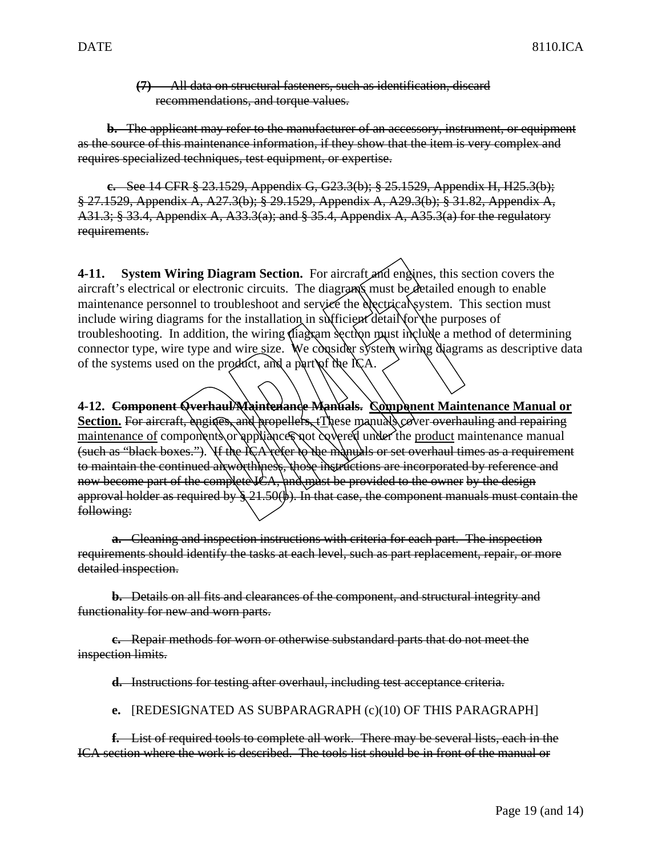**(7)** All data on structural fasteners, such as identification, discard recommendations, and torque values.

**b.** The applicant may refer to the manufacturer of an accessory, instrument, or equipment as the source of this maintenance information, if they show that the item is very complex and requires specialized techniques, test equipment, or expertise.

**c.** See 14 CFR § 23.1529, Appendix G, G23.3(b); § 25.1529, Appendix H, H25.3(b); § 27.1529, Appendix A, A27.3(b); § 29.1529, Appendix A, A29.3(b); § 31.82, Appendix A, A31.3; § 33.4, Appendix A, A33.3(a); and § 35.4, Appendix A, A35.3(a) for the regulatory requirements.

**4-11. System Wiring Diagram Section.** For aircraft and engines, this section covers the aircraft's electrical or electronic circuits. The diagrams must be detailed enough to enable maintenance personnel to troubleshoot and service the electrical system. This section must include wiring diagrams for the installation in sufficient detail for the purposes of troubleshooting. In addition, the wiring diagram section must include a method of determining connector type, wire type and wire size. We consider system wiring diagrams as descriptive data of the systems used on the product, and a part of the  $ICA$ .

**4-12. Component Overhaul/Maintenance Manuals. Component Maintenance Manual or Section.** For aircraft, engines, and propellers, these manuals cover overhauling and repairing maintenance of components or appliances not covered under the product maintenance manual (such as "black boxes."). If the ICA refer to the manuals or set overhaul times as a requirement to maintain the continued alrevorthiness, those instructions are incorporated by reference and now become part of the complete  $VCA$ , and must be provided to the owner by the design approval holder as required by  $\& 21.50(b)$ . In that case, the component manuals must contain the following:

**a.** Cleaning and inspection instructions with criteria for each part. The inspection requirements should identify the tasks at each level, such as part replacement, repair, or more detailed inspection.

**b.** Details on all fits and clearances of the component, and structural integrity and functionality for new and worn parts.

**c.** Repair methods for worn or otherwise substandard parts that do not meet the inspection limits.

**d.** Instructions for testing after overhaul, including test acceptance criteria.

**e.** [REDESIGNATED AS SUBPARAGRAPH (c)(10) OF THIS PARAGRAPH]

**f.** List of required tools to complete all work. There may be several lists, each in the ICA section where the work is described. The tools list should be in front of the manual or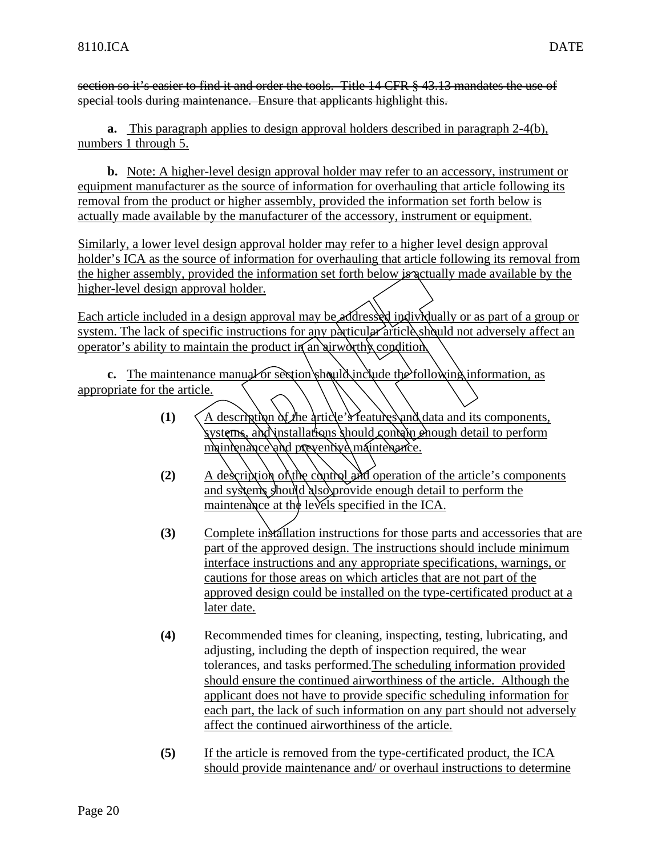section so it's easier to find it and order the tools. Title 14 CFR § 43.13 mandates the use of special tools during maintenance. Ensure that applicants highlight this.

**a.** This paragraph applies to design approval holders described in paragraph 2-4(b), numbers 1 through 5.

**b.** Note: A higher-level design approval holder may refer to an accessory, instrument or equipment manufacturer as the source of information for overhauling that article following its removal from the product or higher assembly, provided the information set forth below is actually made available by the manufacturer of the accessory, instrument or equipment.

Similarly, a lower level design approval holder may refer to a higher level design approval holder's ICA as the source of information for overhauling that article following its removal from the higher assembly, provided the information set forth below is actually made available by the higher-level design approval holder.

Each article included in a design approval may be addressed individually or as part of a group or system. The lack of specific instructions for any particular article should not adversely affect an operator's ability to maintain the product in an airworthy condition.

c. The maintenance manual or section should include the following information, as appropriate for the article.

- (1)  $\left\langle \underline{A} \text{ description of the article's features and its components.} \right\rangle$ systems, and installations should contain enough detail to perform maintenance and preventive maintenance.
- (2) A description of the control and operation of the article's components and systems should also provide enough detail to perform the maintenance at the levels specified in the ICA.
- **(3)** Complete installation instructions for those parts and accessories that are part of the approved design. The instructions should include minimum interface instructions and any appropriate specifications, warnings, or cautions for those areas on which articles that are not part of the approved design could be installed on the type-certificated product at a later date.
- **(4)** Recommended times for cleaning, inspecting, testing, lubricating, and adjusting, including the depth of inspection required, the wear tolerances, and tasks performed.The scheduling information provided should ensure the continued airworthiness of the article. Although the applicant does not have to provide specific scheduling information for each part, the lack of such information on any part should not adversely affect the continued airworthiness of the article.
- **(5)** If the article is removed from the type-certificated product, the ICA should provide maintenance and/ or overhaul instructions to determine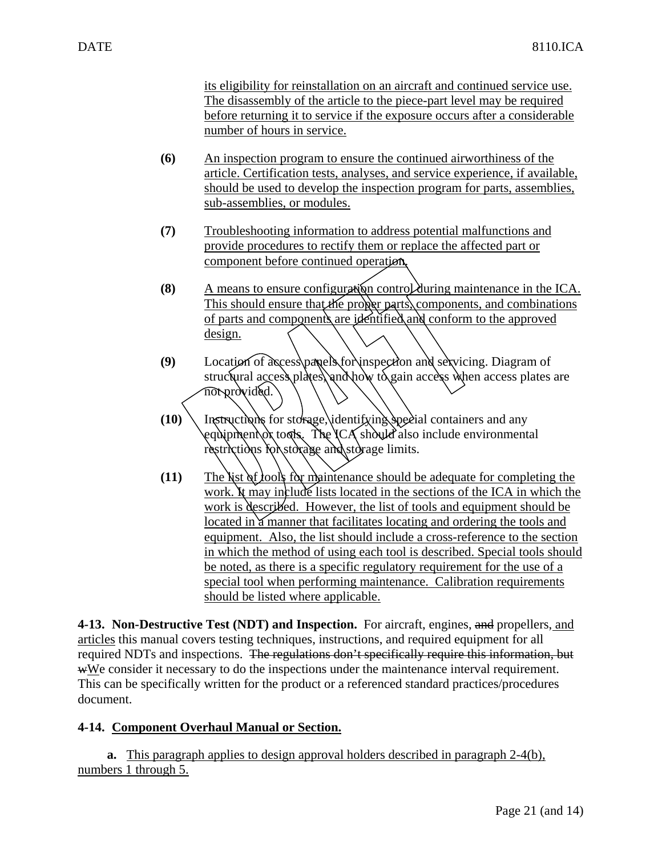its eligibility for reinstallation on an aircraft and continued service use. The disassembly of the article to the piece-part level may be required before returning it to service if the exposure occurs after a considerable number of hours in service.

- **(6)** An inspection program to ensure the continued airworthiness of the article. Certification tests, analyses, and service experience, if available, should be used to develop the inspection program for parts, assemblies, sub-assemblies, or modules.
- **(7)** Troubleshooting information to address potential malfunctions and provide procedures to rectify them or replace the affected part or component before continued operation.
- **(8)** A means to ensure configuration control during maintenance in the ICA. This should ensure that the proper parts, components, and combinations of parts and components are identified and conform to the approved design.
- **(9)** Location of access panels for inspection and servicing. Diagram of structural access plates, and how to gain access when access plates are not provided.
- $(10)$  Instructions for storage, identifying special containers and any equipment of tools. The ICA should also include environmental restrictions for storage and storage limits.
- $(11)$  The list of tools for maintenance should be adequate for completing the work.  $\lambda$  may include lists located in the sections of the ICA in which the work is described. However, the list of tools and equipment should be located in  $\alpha$  manner that facilitates locating and ordering the tools and equipment. Also, the list should include a cross-reference to the section in which the method of using each tool is described. Special tools should be noted, as there is a specific regulatory requirement for the use of a special tool when performing maintenance. Calibration requirements should be listed where applicable.

**4-13. Non-Destructive Test (NDT) and Inspection.** For aircraft, engines, and propellers, and articles this manual covers testing techniques, instructions, and required equipment for all required NDTs and inspections. The regulations don't specifically require this information, but wWe consider it necessary to do the inspections under the maintenance interval requirement. This can be specifically written for the product or a referenced standard practices/procedures document.

## **4-14. Component Overhaul Manual or Section.**

**a.** This paragraph applies to design approval holders described in paragraph 2-4(b), numbers 1 through 5.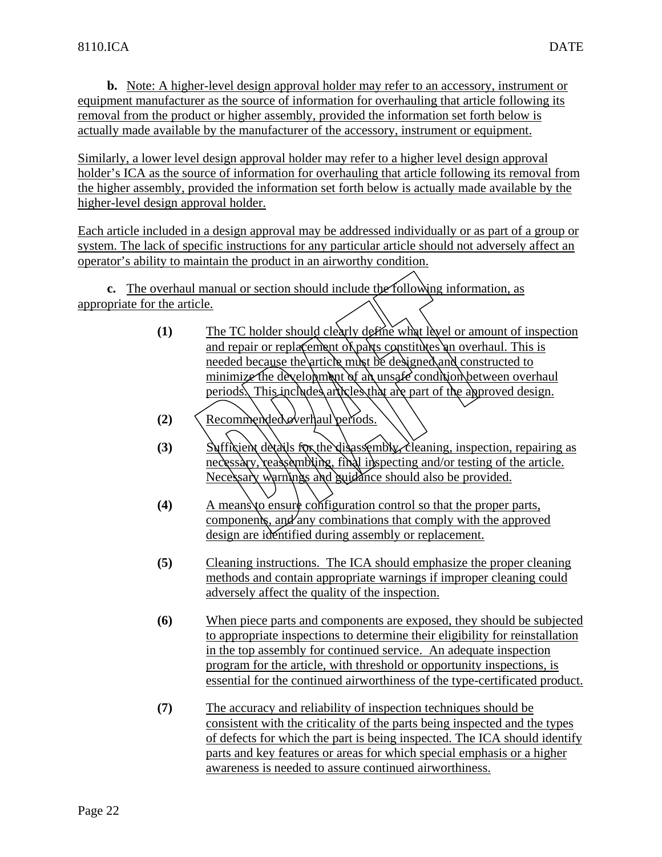**b.** Note: A higher-level design approval holder may refer to an accessory, instrument or equipment manufacturer as the source of information for overhauling that article following its removal from the product or higher assembly, provided the information set forth below is actually made available by the manufacturer of the accessory, instrument or equipment.

Similarly, a lower level design approval holder may refer to a higher level design approval holder's ICA as the source of information for overhauling that article following its removal from the higher assembly, provided the information set forth below is actually made available by the higher-level design approval holder.

Each article included in a design approval may be addressed individually or as part of a group or system. The lack of specific instructions for any particular article should not adversely affect an operator's ability to maintain the product in an airworthy condition.

**c.** The overhaul manual or section should include the following information, as appropriate for the article.

- **(1)** The TC holder should clearly define what level or amount of inspection and repair or replacement of parts constitutes an overhaul. This is needed because the article must be designed and constructed to minimize the development of an unsafe condition between overhaul periods. This includes articles that are part of the approved design.
- **(2)** Recommended overhaul periods.
- **(3)** Sufficient details for the disassembly, cleaning, inspection, repairing as necessary, reassembling, final inspecting and/or testing of the article. Necessary warnings and guidance should also be provided.
- **(4)** A means to ensure configuration control so that the proper parts, components, and any combinations that comply with the approved design are identified during assembly or replacement.
- **(5)** Cleaning instructions. The ICA should emphasize the proper cleaning methods and contain appropriate warnings if improper cleaning could adversely affect the quality of the inspection.
- **(6)** When piece parts and components are exposed, they should be subjected to appropriate inspections to determine their eligibility for reinstallation in the top assembly for continued service. An adequate inspection program for the article, with threshold or opportunity inspections, is essential for the continued airworthiness of the type-certificated product.
- **(7)** The accuracy and reliability of inspection techniques should be consistent with the criticality of the parts being inspected and the types of defects for which the part is being inspected. The ICA should identify parts and key features or areas for which special emphasis or a higher awareness is needed to assure continued airworthiness.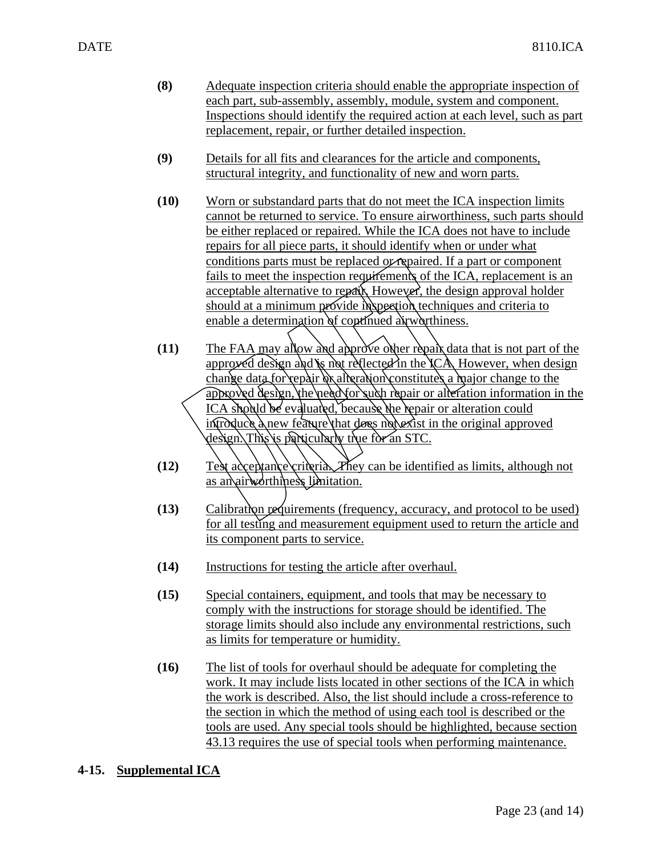- **(8)** Adequate inspection criteria should enable the appropriate inspection of each part, sub-assembly, assembly, module, system and component. Inspections should identify the required action at each level, such as part replacement, repair, or further detailed inspection.
- **(9)** Details for all fits and clearances for the article and components, structural integrity, and functionality of new and worn parts.
- **(10)** Worn or substandard parts that do not meet the ICA inspection limits cannot be returned to service. To ensure airworthiness, such parts should be either replaced or repaired. While the ICA does not have to include repairs for all piece parts, it should identify when or under what conditions parts must be replaced or repaired. If a part or component fails to meet the inspection requirements of the ICA, replacement is an acceptable alternative to repair. However, the design approval holder should at a minimum provide inspection techniques and criteria to enable a determination of continued airworthiness.
- **(11)** The FAA may allow and approve other repair data that is not part of the approved design and is not reflected in the  $ICA$ . However, when design change data for repair  $\delta x$  alteration constitutes a major change to the approved design, the need for such repair or alteration information in the ICA should be evaluated, because the repair or alteration could introduce a new feature that does not exist in the original approved design. This is particularly true for an STC.
- **(12)** Test acceptance criteria. They can be identified as limits, although not as an airworthiness limitation.
- **(13)** Calibration requirements (frequency, accuracy, and protocol to be used) for all testing and measurement equipment used to return the article and its component parts to service.
- **(14)** Instructions for testing the article after overhaul.
- **(15)** Special containers, equipment, and tools that may be necessary to comply with the instructions for storage should be identified. The storage limits should also include any environmental restrictions, such as limits for temperature or humidity.
- **(16)** The list of tools for overhaul should be adequate for completing the work. It may include lists located in other sections of the ICA in which the work is described. Also, the list should include a cross-reference to the section in which the method of using each tool is described or the tools are used. Any special tools should be highlighted, because section 43.13 requires the use of special tools when performing maintenance.

## **4-15. Supplemental ICA**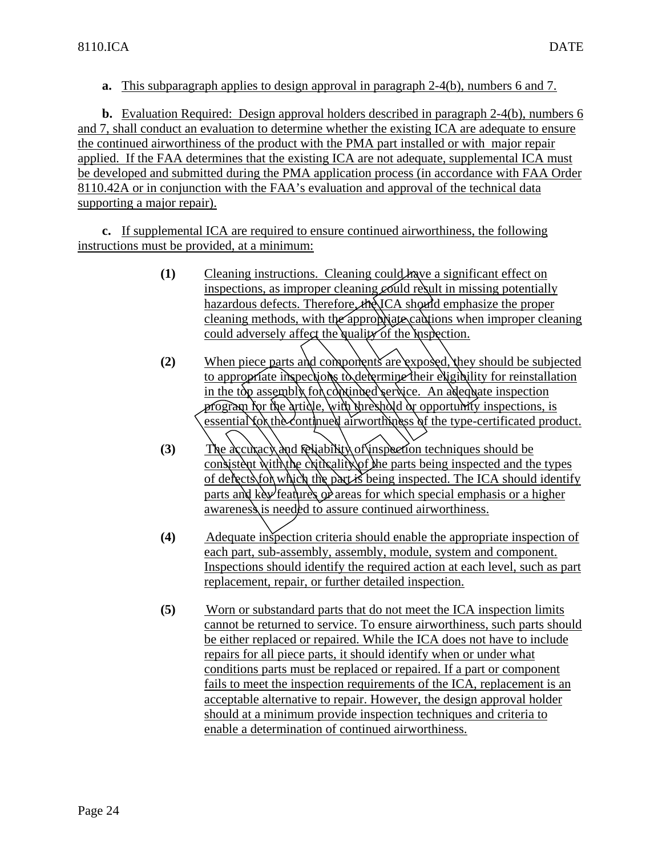**a.** This subparagraph applies to design approval in paragraph 2-4(b), numbers 6 and 7.

**b.** Evaluation Required: Design approval holders described in paragraph 2-4(b), numbers 6 and 7, shall conduct an evaluation to determine whether the existing ICA are adequate to ensure the continued airworthiness of the product with the PMA part installed or with major repair applied. If the FAA determines that the existing ICA are not adequate, supplemental ICA must be developed and submitted during the PMA application process (in accordance with FAA Order 8110.42A or in conjunction with the FAA's evaluation and approval of the technical data supporting a major repair).

**c.** If supplemental ICA are required to ensure continued airworthiness, the following instructions must be provided, at a minimum:

- **(1)** Cleaning instructions. Cleaning could have a significant effect on inspections, as improper cleaning  $\epsilon$  could regult in missing potentially hazardous defects. Therefore, the ICA should emphasize the proper cleaning methods, with the appropriate cautions when improper cleaning could adversely affect the quality of the inspection.
- **(2)** When piece parts and components are exposed, they should be subjected to appropriate inspections to determine their eligibility for reinstallation in the top assembly for continued service. An adequate inspection program for the article, with threshold or opportunity inspections, is essential for the continued airworthiness of the type-certificated product.
- (3) The accuracy and reliability of inspection techniques should be consistent with the criticality of the parts being inspected and the types of defects for which the part is being inspected. The ICA should identify parts and key features  $\alpha$  areas for which special emphasis or a higher awareness is needed to assure continued airworthiness.
- **(4)** Adequate inspection criteria should enable the appropriate inspection of each part, sub-assembly, assembly, module, system and component. Inspections should identify the required action at each level, such as part replacement, repair, or further detailed inspection.
- **(5)** Worn or substandard parts that do not meet the ICA inspection limits cannot be returned to service. To ensure airworthiness, such parts should be either replaced or repaired. While the ICA does not have to include repairs for all piece parts, it should identify when or under what conditions parts must be replaced or repaired. If a part or component fails to meet the inspection requirements of the ICA, replacement is an acceptable alternative to repair. However, the design approval holder should at a minimum provide inspection techniques and criteria to enable a determination of continued airworthiness.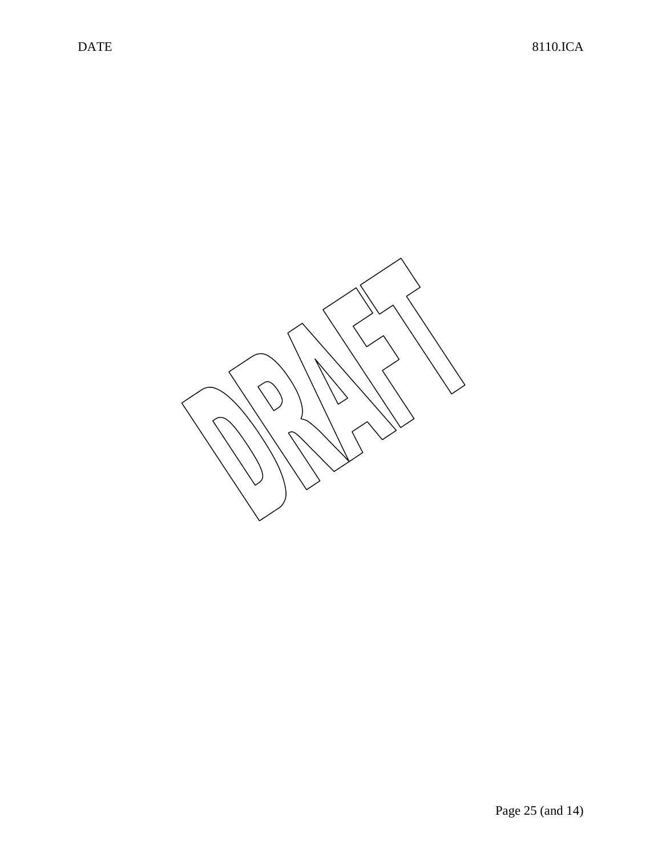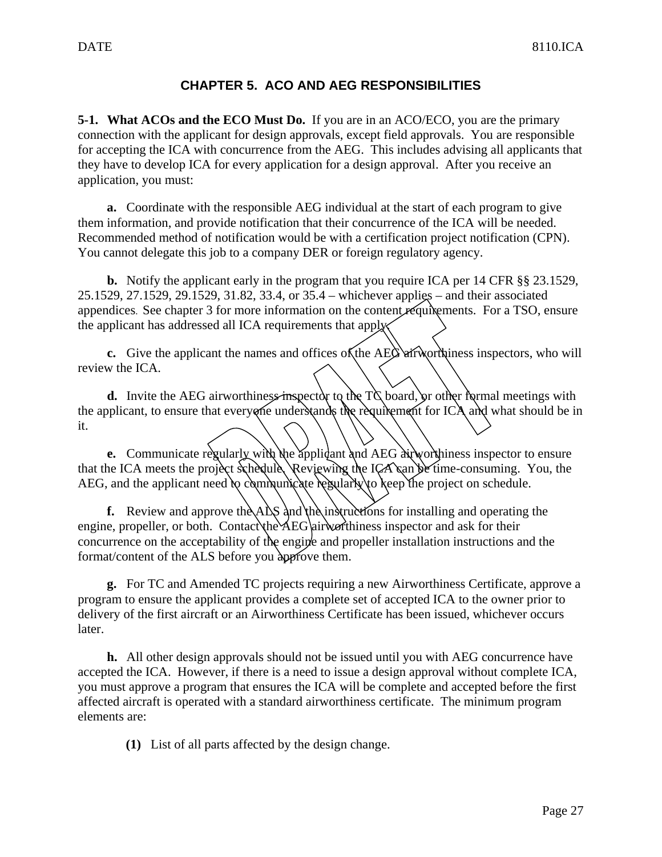## **CHAPTER 5. ACO AND AEG RESPONSIBILITIES**

**5-1. What ACOs and the ECO Must Do.** If you are in an ACO/ECO, you are the primary connection with the applicant for design approvals, except field approvals. You are responsible for accepting the ICA with concurrence from the AEG. This includes advising all applicants that they have to develop ICA for every application for a design approval. After you receive an application, you must:

**a.** Coordinate with the responsible AEG individual at the start of each program to give them information, and provide notification that their concurrence of the ICA will be needed. Recommended method of notification would be with a certification project notification (CPN). You cannot delegate this job to a company DER or foreign regulatory agency.

**b.** Notify the applicant early in the program that you require ICA per 14 CFR §§ 23.1529, 25.1529, 27.1529, 29.1529, 31.82, 33.4, or 35.4 – whichever applies – and their associated appendices. See chapter 3 for more information on the content requirements. For a TSO, ensure the applicant has addressed all ICA requirements that apply.

**c.** Give the applicant the names and offices of the AEG airworthiness inspectors, who will review the ICA.

**d.** Invite the AEG airworthiness-inspector to the TC board, or other formal meetings with the applicant, to ensure that everyone understands the requirement for ICA and what should be in it.

**e.** Communicate regularly with the applicant and AEG airworthiness inspector to ensure that the ICA meets the project schedule. Reviewing the ICA can be time-consuming. You, the AEG, and the applicant need to communicate regularly to keep the project on schedule.

**f.** Review and approve the ALS and the instructions for installing and operating the engine, propeller, or both. Contact the  $\angle$ AEG airworthiness inspector and ask for their concurrence on the acceptability of the engine and propeller installation instructions and the format/content of the ALS before you approve them.

**g.** For TC and Amended TC projects requiring a new Airworthiness Certificate, approve a program to ensure the applicant provides a complete set of accepted ICA to the owner prior to delivery of the first aircraft or an Airworthiness Certificate has been issued, whichever occurs later.

**h.** All other design approvals should not be issued until you with AEG concurrence have accepted the ICA. However, if there is a need to issue a design approval without complete ICA, you must approve a program that ensures the ICA will be complete and accepted before the first affected aircraft is operated with a standard airworthiness certificate. The minimum program elements are:

**(1)** List of all parts affected by the design change.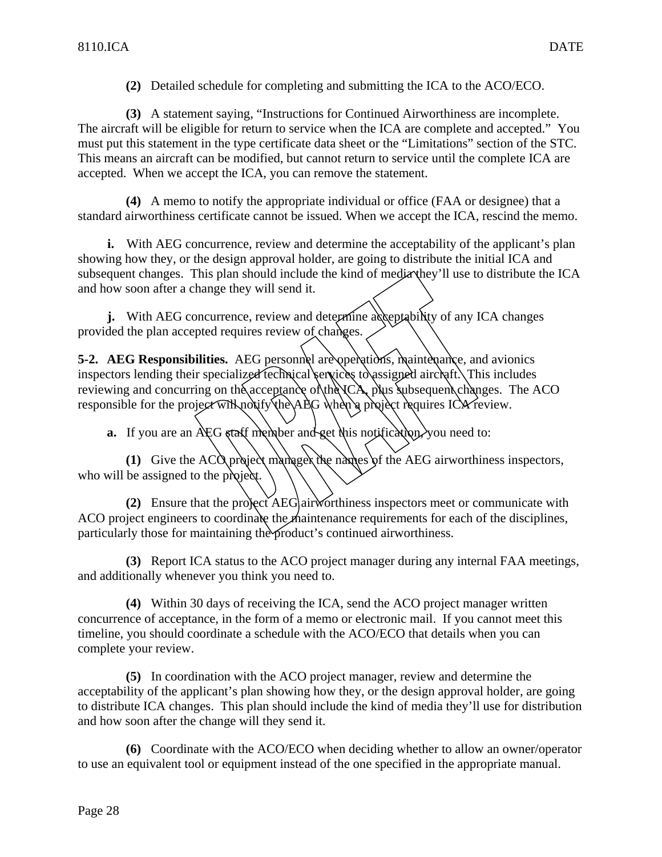**(2)** Detailed schedule for completing and submitting the ICA to the ACO/ECO.

**(3)** A statement saying, "Instructions for Continued Airworthiness are incomplete. The aircraft will be eligible for return to service when the ICA are complete and accepted." You must put this statement in the type certificate data sheet or the "Limitations" section of the STC. This means an aircraft can be modified, but cannot return to service until the complete ICA are accepted. When we accept the ICA, you can remove the statement.

**(4)** A memo to notify the appropriate individual or office (FAA or designee) that a standard airworthiness certificate cannot be issued. When we accept the ICA, rescind the memo.

**i.** With AEG concurrence, review and determine the acceptability of the applicant's plan showing how they, or the design approval holder, are going to distribute the initial ICA and subsequent changes. This plan should include the kind of media they'll use to distribute the ICA and how soon after a change they will send it.

**j.** With AEG concurrence, review and determine acceptability of any ICA changes provided the plan accepted requires review of changes.

**5-2. AEG Responsibilities.** AEG personnel are operations, maintenance, and avionics inspectors lending their specialized technical services to assigned aircraft. This includes reviewing and concurring on the acceptance of the ICA, plus subsequent changes. The ACO responsible for the project will notify the AEG when a project requires ICA review.

**a.** If you are an AEG staff member and get this notification, you need to:

(1) Give the  $ACQ$  project manager the names of the  $AEG$  airworthiness inspectors, who will be assigned to the project.

**(2)** Ensure that the project AEG airworthiness inspectors meet or communicate with ACO project engineers to coordinate the maintenance requirements for each of the disciplines, particularly those for maintaining the product's continued airworthiness.

**(3)** Report ICA status to the ACO project manager during any internal FAA meetings, and additionally whenever you think you need to.

**(4)** Within 30 days of receiving the ICA, send the ACO project manager written concurrence of acceptance, in the form of a memo or electronic mail. If you cannot meet this timeline, you should coordinate a schedule with the ACO/ECO that details when you can complete your review.

**(5)** In coordination with the ACO project manager, review and determine the acceptability of the applicant's plan showing how they, or the design approval holder, are going to distribute ICA changes. This plan should include the kind of media they'll use for distribution and how soon after the change will they send it.

**(6)** Coordinate with the ACO/ECO when deciding whether to allow an owner/operator to use an equivalent tool or equipment instead of the one specified in the appropriate manual.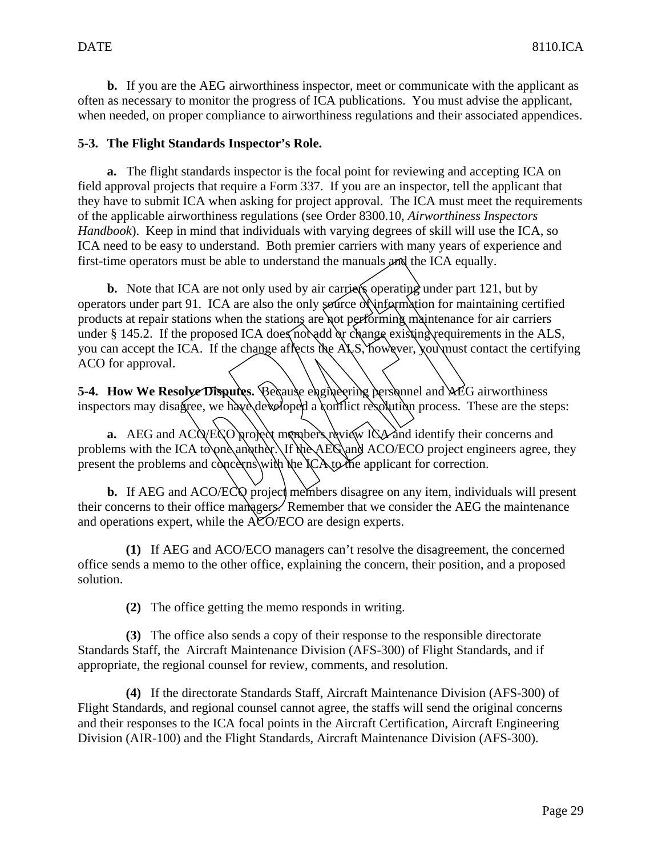**b.** If you are the AEG airworthiness inspector, meet or communicate with the applicant as often as necessary to monitor the progress of ICA publications. You must advise the applicant, when needed, on proper compliance to airworthiness regulations and their associated appendices.

#### **5-3. The Flight Standards Inspector's Role.**

**a.** The flight standards inspector is the focal point for reviewing and accepting ICA on field approval projects that require a Form 337. If you are an inspector, tell the applicant that they have to submit ICA when asking for project approval. The ICA must meet the requirements of the applicable airworthiness regulations (see Order 8300.10, *Airworthiness Inspectors Handbook*). Keep in mind that individuals with varying degrees of skill will use the ICA, so ICA need to be easy to understand. Both premier carriers with many years of experience and first-time operators must be able to understand the manuals and the ICA equally.

**b.** Note that ICA are not only used by air carriers operating under part 121, but by operators under part 91. ICA are also the only source  $\alpha$  information for maintaining certified products at repair stations when the stations are not performing maintenance for air carriers under  $\S$  145.2. If the proposed ICA does not add or change existing requirements in the ALS, you can accept the ICA. If the change affects the ALS, however, you must contact the certifying ACO for approval.

5-4. How We Resolve Disputes. Because engineering personnel and AEG airworthiness inspectors may disagree, we have developed a conflict resolution process. These are the steps:

**a.** AEG and ACQ/ECO project members review ICA and identify their concerns and problems with the ICA to one another. If the AEG and ACO/ECO project engineers agree, they present the problems and concerns with the ICA to the applicant for correction.

**b.** If AEG and ACO/ECQ project members disagree on any item, individuals will present their concerns to their office managers. Remember that we consider the AEG the maintenance and operations expert, while the ACO/ECO are design experts.

**(1)** If AEG and ACO/ECO managers can't resolve the disagreement, the concerned office sends a memo to the other office, explaining the concern, their position, and a proposed solution.

**(2)** The office getting the memo responds in writing.

**(3)** The office also sends a copy of their response to the responsible directorate Standards Staff, the Aircraft Maintenance Division (AFS-300) of Flight Standards, and if appropriate, the regional counsel for review, comments, and resolution.

**(4)** If the directorate Standards Staff, Aircraft Maintenance Division (AFS-300) of Flight Standards, and regional counsel cannot agree, the staffs will send the original concerns and their responses to the ICA focal points in the Aircraft Certification, Aircraft Engineering Division (AIR-100) and the Flight Standards, Aircraft Maintenance Division (AFS-300).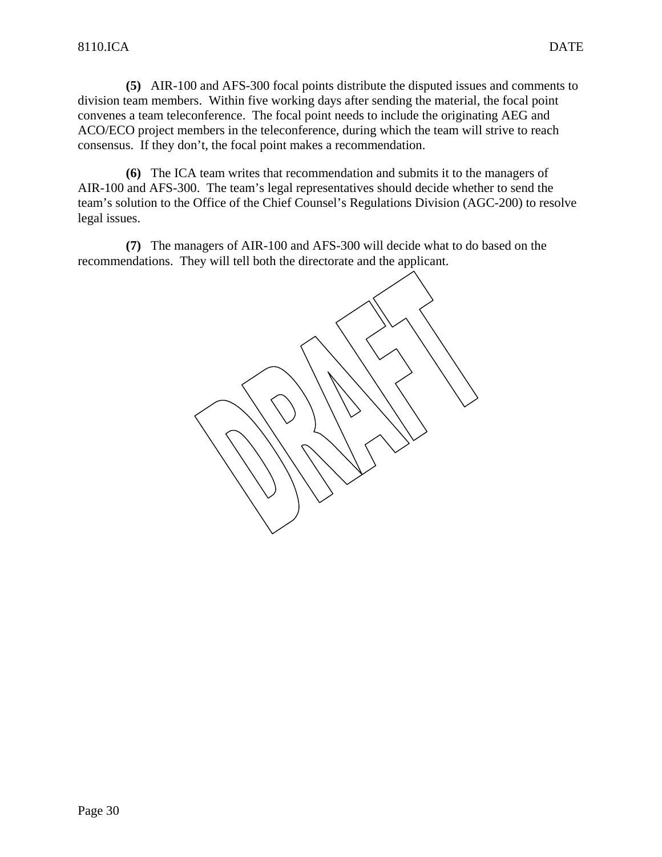**(5)** AIR-100 and AFS-300 focal points distribute the disputed issues and comments to division team members. Within five working days after sending the material, the focal point convenes a team teleconference. The focal point needs to include the originating AEG and ACO/ECO project members in the teleconference, during which the team will strive to reach consensus. If they don't, the focal point makes a recommendation.

**(6)** The ICA team writes that recommendation and submits it to the managers of AIR-100 and AFS-300. The team's legal representatives should decide whether to send the team's solution to the Office of the Chief Counsel's Regulations Division (AGC-200) to resolve legal issues.

**(7)** The managers of AIR-100 and AFS-300 will decide what to do based on the recommendations. They will tell both the directorate and the applicant.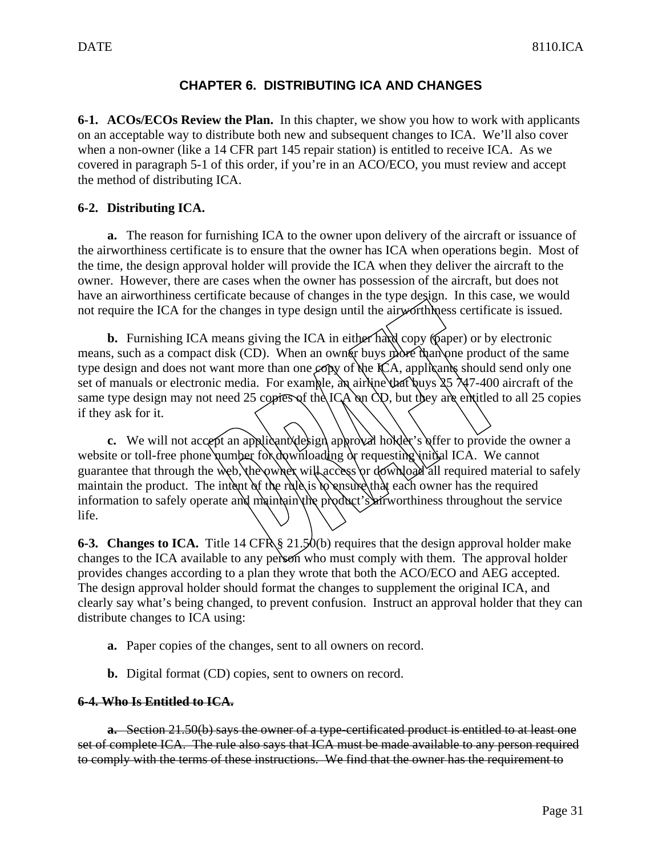# **CHAPTER 6. DISTRIBUTING ICA AND CHANGES**

**6-1. ACOs/ECOs Review the Plan.** In this chapter, we show you how to work with applicants on an acceptable way to distribute both new and subsequent changes to ICA. We'll also cover when a non-owner (like a 14 CFR part 145 repair station) is entitled to receive ICA. As we covered in paragraph 5-1 of this order, if you're in an ACO/ECO, you must review and accept the method of distributing ICA.

### **6-2. Distributing ICA.**

**a.** The reason for furnishing ICA to the owner upon delivery of the aircraft or issuance of the airworthiness certificate is to ensure that the owner has ICA when operations begin. Most of the time, the design approval holder will provide the ICA when they deliver the aircraft to the owner. However, there are cases when the owner has possession of the aircraft, but does not have an airworthiness certificate because of changes in the type design. In this case, we would not require the ICA for the changes in type design until the airworthiness certificate is issued.

**b.** Furnishing ICA means giving the ICA in either hard copy (paper) or by electronic means, such as a compact disk  $(CD)$ . When an owner buys move than one product of the same type design and does not want more than one  $\mathcal{L}$  of the ICA, applicants should send only one set of manuals or electronic media. For example, an airline that buys  $25 \lambda 47-400$  aircraft of the same type design may not need 25 copies of the ICA on CD, but they are entitled to all 25 copies if they ask for it.

**c.** We will not accept an applicant design approval holder's offer to provide the owner a website or toll-free phone number for downloading or requesting initial ICA. We cannot guarantee that through the web, the owner will access or download all required material to safely maintain the product. The intent of the rule is to ensure that each owner has the required information to safely operate and maintain the product's airworthiness throughout the service life.

**6-3. Changes to ICA.** Title 14 CFR  $\S$  21.50(b) requires that the design approval holder make changes to the ICA available to any person who must comply with them. The approval holder provides changes according to a plan they wrote that both the ACO/ECO and AEG accepted. The design approval holder should format the changes to supplement the original ICA, and clearly say what's being changed, to prevent confusion. Instruct an approval holder that they can distribute changes to ICA using:

- **a.** Paper copies of the changes, sent to all owners on record.
- **b.** Digital format (CD) copies, sent to owners on record.

#### **6-4. Who Is Entitled to ICA.**

**a.** Section 21.50(b) says the owner of a type-certificated product is entitled to at least one set of complete ICA. The rule also says that ICA must be made available to any person required to comply with the terms of these instructions. We find that the owner has the requirement to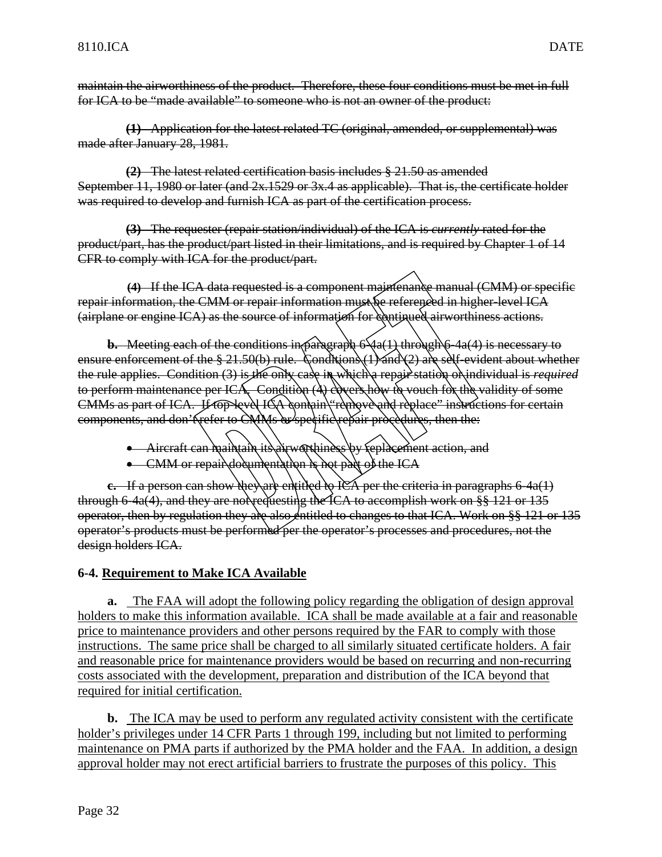maintain the airworthiness of the product. Therefore, these four conditions must be met in full for ICA to be "made available" to someone who is not an owner of the product:

**(1)** Application for the latest related TC (original, amended, or supplemental) was made after January 28, 1981.

**(2)** The latest related certification basis includes § 21.50 as amended September 11, 1980 or later (and 2x.1529 or 3x.4 as applicable). That is, the certificate holder was required to develop and furnish ICA as part of the certification process.

**(3)** The requester (repair station/individual) of the ICA is *currently* rated for the product/part, has the product/part listed in their limitations, and is required by Chapter 1 of 14 CFR to comply with ICA for the product/part.

**(4)** If the ICA data requested is a component maintenance manual (CMM) or specific repair information, the CMM or repair information must be referenced in higher-level ICA (airplane or engine ICA) as the source of information for equipmed airworthiness actions.

**b.** Meeting each of the conditions in paragraph 6\4a(1) through\6-4a(4) is necessary to e-<br>be enforcement of the \$-21.50(b) rule. Conditions (1) and (2) are self-evident about whet ensure enforcement of the  $\S 21.50(b)$  rule. Conditions (1) and (2) are self-evident about whether the rule applies. Condition (3) is the only case in which a repair station or individual is *required* to perform maintenance per ICA. Condition  $(4)$  covers how to vouch for the validity of some CMMs as part of ICA. If top-level ICA contain "remove and replace" instructions for certain components, and don't refer to CMMs or specific repair procedures, then the:

- Aircraft can maintain its airworthiness by feplacement action, and
- $\bullet$  CMM or repair documentation is not part of the ICA

**c.** If a person can show the hard entitled to ICA per the criteria in paragraphs 6-4a(1) through 6-4a(4), and they are not requesting the ICA to accomplish work on §§ 121 or 135 operator, then by regulation they are also entitled to changes to that ICA. Work on §§ 121 or 135 operator's products must be performed per the operator's processes and procedures, not the design holders ICA.

## **6-4. Requirement to Make ICA Available**

**a.** The FAA will adopt the following policy regarding the obligation of design approval holders to make this information available. ICA shall be made available at a fair and reasonable price to maintenance providers and other persons required by the FAR to comply with those instructions. The same price shall be charged to all similarly situated certificate holders. A fair and reasonable price for maintenance providers would be based on recurring and non-recurring costs associated with the development, preparation and distribution of the ICA beyond that required for initial certification.

**b.** The ICA may be used to perform any regulated activity consistent with the certificate holder's privileges under 14 CFR Parts 1 through 199, including but not limited to performing maintenance on PMA parts if authorized by the PMA holder and the FAA. In addition, a design approval holder may not erect artificial barriers to frustrate the purposes of this policy. This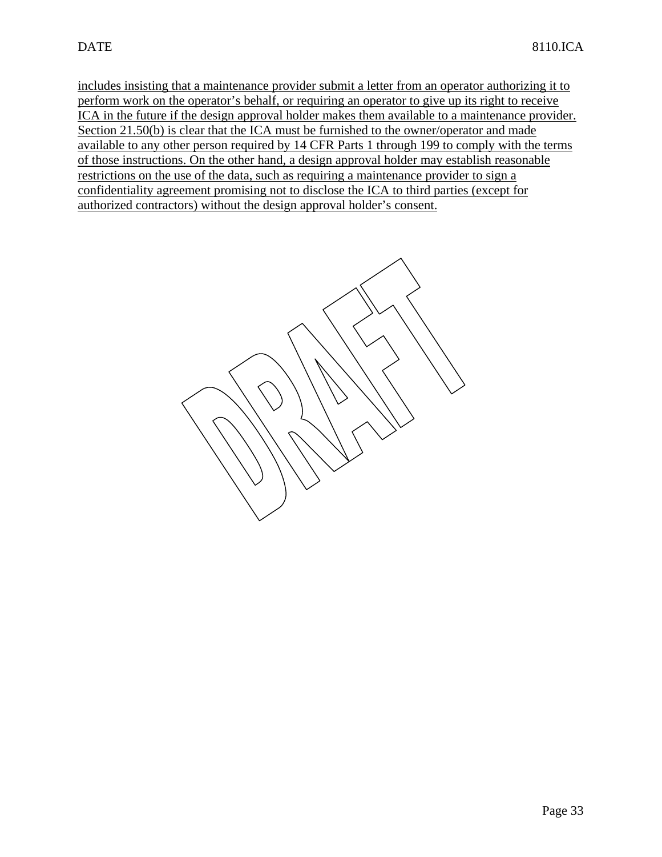includes insisting that a maintenance provider submit a letter from an operator authorizing it to perform work on the operator's behalf, or requiring an operator to give up its right to receive ICA in the future if the design approval holder makes them available to a maintenance provider. Section 21.50(b) is clear that the ICA must be furnished to the owner/operator and made available to any other person required by 14 CFR Parts 1 through 199 to comply with the terms of those instructions. On the other hand, a design approval holder may establish reasonable restrictions on the use of the data, such as requiring a maintenance provider to sign a confidentiality agreement promising not to disclose the ICA to third parties (except for authorized contractors) without the design approval holder's consent.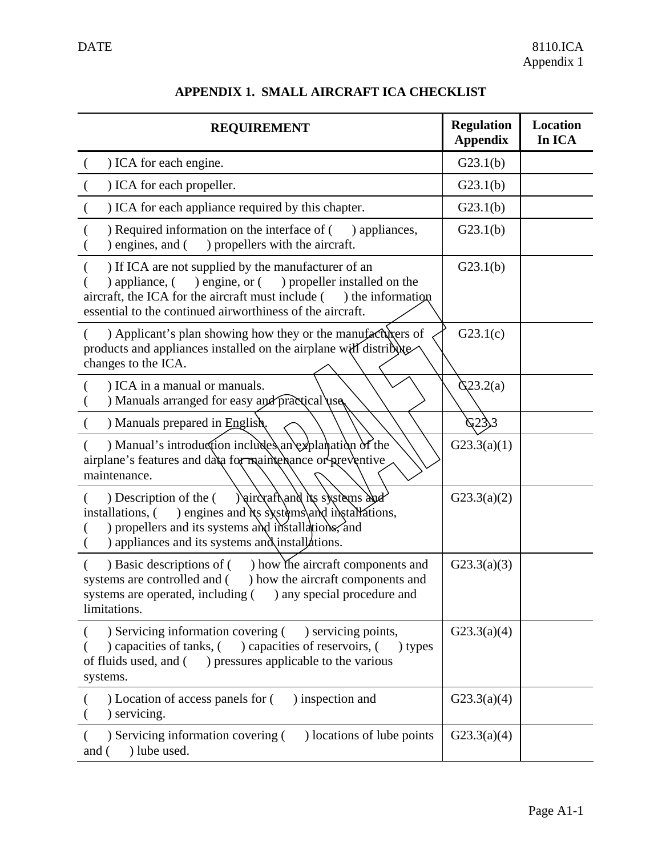| <b>REQUIREMENT</b>                                                                                                                                                                                                                                         | <b>Regulation</b><br><b>Appendix</b> | <b>Location</b><br>In ICA |
|------------------------------------------------------------------------------------------------------------------------------------------------------------------------------------------------------------------------------------------------------------|--------------------------------------|---------------------------|
| ) ICA for each engine.                                                                                                                                                                                                                                     | G23.1(b)                             |                           |
| ) ICA for each propeller.                                                                                                                                                                                                                                  | G23.1(b)                             |                           |
| ) ICA for each appliance required by this chapter.                                                                                                                                                                                                         | G23.1(b)                             |                           |
| ) Required information on the interface of (<br>) appliances,<br>) propellers with the aircraft.<br>engines, and (                                                                                                                                         | G23.1(b)                             |                           |
| ) If ICA are not supplied by the manufacturer of an<br>engine, or () propeller installed on the<br>) appliance, $($<br>aircraft, the ICA for the aircraft must include (<br>) the information<br>essential to the continued airworthiness of the aircraft. | G23.1(b)                             |                           |
| Applicant's plan showing how they or the manufacturers of<br>products and appliances installed on the airplane will distribute<br>changes to the ICA.                                                                                                      | G23.1(c)                             |                           |
| ) ICA in a manual or manuals.<br>) Manuals arranged for easy and practical use                                                                                                                                                                             | Q23.2(a)                             |                           |
| ) Manuals prepared in English                                                                                                                                                                                                                              | Q2333                                |                           |
| ) Manual's introduction include $\alpha$ $\exp$ lanation of the<br>airplane's features and data for maintenance or preventive<br>maintenance.                                                                                                              | G23.3(a)(1)                          |                           |
| ) airdraft and its systems and<br>) Description of the (<br>) engines and its systems and installations,<br>installations, (<br>) propellers and its systems and installations, and<br>) appliances and its systems and install <i>ations</i> .            | G23.3(a)(2)                          |                           |
| ) how the aircraft components and<br>) Basic descriptions of (<br>systems are controlled and (<br>) how the aircraft components and<br>systems are operated, including (<br>) any special procedure and<br>limitations.                                    | G23.3(a)(3)                          |                           |
| ) Servicing information covering ( ) servicing points,<br>capacities of tanks, () capacities of reservoirs, (<br>$)$ types<br>) pressures applicable to the various<br>of fluids used, and (<br>systems.                                                   | G23.3(a)(4)                          |                           |
| ) Location of access panels for (<br>) inspection and<br>) servicing.                                                                                                                                                                                      | G23.3(a)(4)                          |                           |
| ) locations of lube points<br>) Servicing information covering (<br>) lube used.<br>and (                                                                                                                                                                  | G23.3(a)(4)                          |                           |

# **APPENDIX 1. SMALL AIRCRAFT ICA CHECKLIST**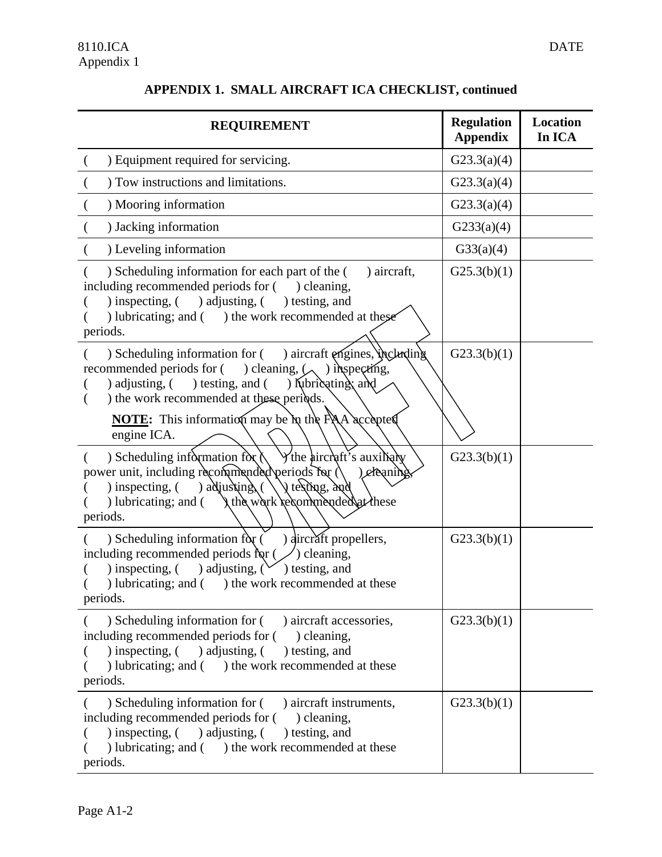| <b>REQUIREMENT</b>                                                                                                                                                                                                                                                   | <b>Regulation</b><br><b>Appendix</b> | <b>Location</b><br>In ICA |
|----------------------------------------------------------------------------------------------------------------------------------------------------------------------------------------------------------------------------------------------------------------------|--------------------------------------|---------------------------|
| ) Equipment required for servicing.                                                                                                                                                                                                                                  | G23.3(a)(4)                          |                           |
| ) Tow instructions and limitations.                                                                                                                                                                                                                                  | G23.3(a)(4)                          |                           |
| ) Mooring information                                                                                                                                                                                                                                                | G23.3(a)(4)                          |                           |
| ) Jacking information                                                                                                                                                                                                                                                | G233(a)(4)                           |                           |
| ) Leveling information                                                                                                                                                                                                                                               | G33(a)(4)                            |                           |
| ) Scheduling information for each part of the (<br>) aircraft,<br>including recommended periods for () cleaning,<br>) inspecting, $($ ) adjusting, $($<br>testing, and<br>) lubricating; and $($ $)$ the work recommended at these<br>periods.                       | G25.3(b)(1)                          |                           |
| ) aircraft engines, including<br>) Scheduling information for (<br>recommended periods for $($ ) cleaning, $($ $)$ inspecting,<br>) adjusting, $($ ) testing, and $($ ) $\hat{\mathsf{N}}$ bridgeting, and<br>the work recommended at these periods.                 | G23.3(b)(1)                          |                           |
| <b>NOTE:</b> This information may be m the FAA accepted<br>engine ICA.                                                                                                                                                                                               |                                      |                           |
| The aircraft's auxiliary<br>) Scheduling information for $\Diamond$<br>power unit, including recommended periods for $\wedge$<br>eteaning<br>v texting, and<br>) adjusting<br>) inspecting, $($<br>the work recommended at these<br>) lubricating; and (<br>periods. | G23.3(b)(1)                          |                           |
| ) dircraft propellers,<br>) Scheduling information for $($<br>including recommended periods $\hat{f}$ ( $\angle$<br>) cleaning,<br>) inspecting, ( ) adjusting, ( $\vee$ ) testing, and<br>) lubricating; and () the work recommended at these<br>periods.           | G23.3(b)(1)                          |                           |
| ) Scheduling information for ( ) aircraft accessories,<br>including recommended periods for () cleaning,<br>) inspecting, $($ adjusting, $($<br>) testing, and<br>) lubricating; and () the work recommended at these<br>periods.                                    | G23.3(b)(1)                          |                           |
| ) Scheduling information for (<br>) aircraft instruments,<br>including recommended periods for (<br>) cleaning,<br>) inspecting, $($ adjusting, $($ besting, and<br>) lubricating; and () the work recommended at these<br>periods.                                  | G23.3(b)(1)                          |                           |

# **APPENDIX 1. SMALL AIRCRAFT ICA CHECKLIST, continued**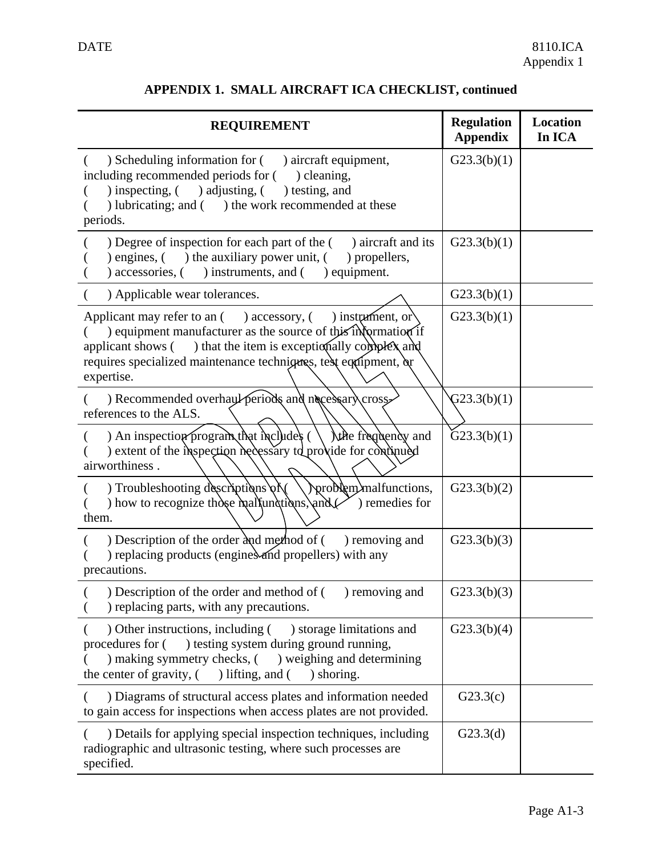# **APPENDIX 1. SMALL AIRCRAFT ICA CHECKLIST, continued**

| <b>REQUIREMENT</b>                                                                                                                                                                                                                                                                           | <b>Regulation</b><br><b>Appendix</b> | <b>Location</b><br>In ICA |
|----------------------------------------------------------------------------------------------------------------------------------------------------------------------------------------------------------------------------------------------------------------------------------------------|--------------------------------------|---------------------------|
| ) Scheduling information for ( ) aircraft equipment,<br>including recommended periods for (<br>) cleaning,<br>) inspecting, ( ) adjusting, ( ) testing, and<br>) lubricating; and ( ) the work recommended at these<br>periods.                                                              | G23.3(b)(1)                          |                           |
| ) Degree of inspection for each part of the (<br>) aircraft and its<br>$\alpha$ ) engines, $\alpha$ the auxiliary power unit, $\alpha$<br>) propellers,<br>) accessories, ( ) instruments, and ( ) equipment.                                                                                | G23.3(b)(1)                          |                           |
| ) Applicable wear tolerances.                                                                                                                                                                                                                                                                | G23.3(b)(1)                          |                           |
| Applicant may refer to an (<br>$\alpha$ accessory, (<br>) instrument, or<br>equipment manufacturer as the source of this information if<br>applicant shows $($ ) that the item is exceptionally complex and<br>requires specialized maintenance techniques, test equipment, or<br>expertise. | G23.3(b)(1)                          |                           |
| ) Recommended overhaul periods and necessary cross<br>references to the ALS.                                                                                                                                                                                                                 | Q23.3(b)(1)                          |                           |
| ) An inspection program that includes (<br>the frequency and<br>) extent of the inspection hecessary to provide for continued<br>airworthiness.                                                                                                                                              | G23.3(b)(1)                          |                           |
| Troubleshooting descriptions $\phi \hat{f}$<br>Noroblem malfunctions,<br>) how to recognize those malfunctions, and $\mathscr{S}$ remedies for<br>them.                                                                                                                                      | G23.3(b)(2)                          |                           |
| ) Description of the order and method of (<br>) removing and<br>) replacing products (engines and propellers) with any<br>precautions.                                                                                                                                                       | G23.3(b)(3)                          |                           |
| ) Description of the order and method of (<br>) removing and<br>) replacing parts, with any precautions.                                                                                                                                                                                     | G23.3(b)(3)                          |                           |
| ) Other instructions, including ( ) storage limitations and<br>procedures for (<br>) testing system during ground running,<br>) making symmetry checks, () weighing and determining<br>the center of gravity, (<br>) lifting, and ( ) shoring.                                               | G23.3(b)(4)                          |                           |
| ) Diagrams of structural access plates and information needed<br>to gain access for inspections when access plates are not provided.                                                                                                                                                         | G23.3(c)                             |                           |
| ) Details for applying special inspection techniques, including<br>radiographic and ultrasonic testing, where such processes are<br>specified.                                                                                                                                               | G23.3(d)                             |                           |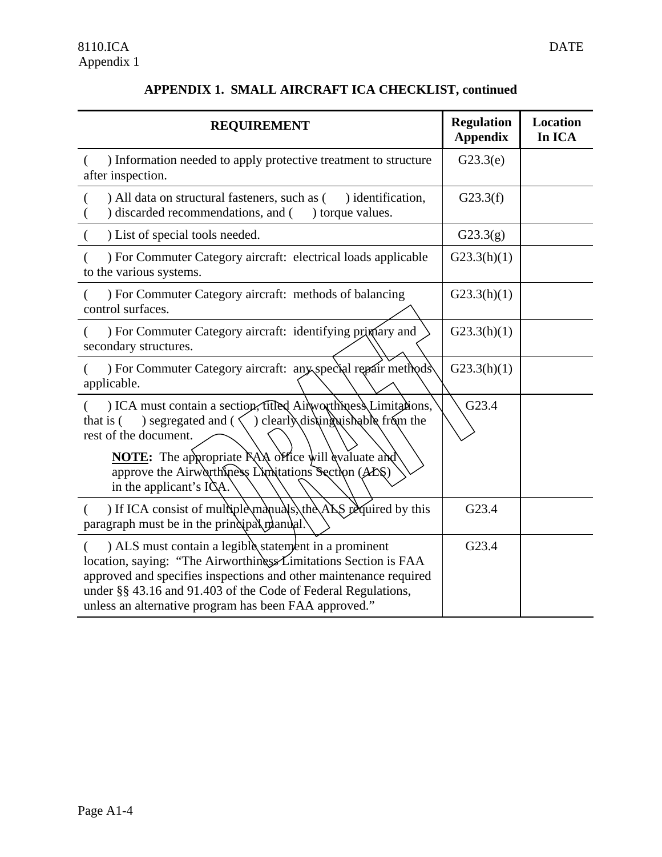|  | APPENDIX 1. SMALL AIRCRAFT ICA CHECKLIST, continued |  |
|--|-----------------------------------------------------|--|
|--|-----------------------------------------------------|--|

| <b>REQUIREMENT</b>                                                                                                                                                                                                                                                                                                      | <b>Regulation</b><br><b>Appendix</b> | <b>Location</b><br>In ICA |
|-------------------------------------------------------------------------------------------------------------------------------------------------------------------------------------------------------------------------------------------------------------------------------------------------------------------------|--------------------------------------|---------------------------|
| ) Information needed to apply protective treatment to structure<br>after inspection.                                                                                                                                                                                                                                    | G23.3(e)                             |                           |
| ) All data on structural fasteners, such as (<br>) identification,<br>) discarded recommendations, and (<br>) torque values.                                                                                                                                                                                            | G23.3(f)                             |                           |
| ) List of special tools needed.                                                                                                                                                                                                                                                                                         | G23.3(g)                             |                           |
| ) For Commuter Category aircraft: electrical loads applicable<br>to the various systems.                                                                                                                                                                                                                                | G23.3(h)(1)                          |                           |
| ) For Commuter Category aircraft: methods of balancing<br>control surfaces.                                                                                                                                                                                                                                             | G23.3(h)(1)                          |                           |
| ) For Commuter Category aircraft: identifying primary and<br>secondary structures.                                                                                                                                                                                                                                      | G23.3(h)(1)                          |                           |
| ) For Commuter Category aircraft: any special repair methods<br>applicable.                                                                                                                                                                                                                                             | G23.3(h)(1)                          |                           |
| ) ICA must contain a section, fitled Airworthiness Limitations,<br>) segregated and $(\langle \rangle)$ clearly distinguishable from the<br>that is $($<br>rest of the document.                                                                                                                                        | G23.4                                |                           |
| <b>NOTE:</b> The appropriate FAA office will evaluate and<br>approve the Airworthiness Limitations Section (ALS)<br>in the applicant's $ICA$ .                                                                                                                                                                          |                                      |                           |
| If ICA consist of multiple manuals, the ALS required by this<br>paragraph must be in the principal manual.                                                                                                                                                                                                              | G23.4                                |                           |
| ) ALS must contain a legible statement in a prominent<br>location, saying: "The Airworthiness Limitations Section is FAA<br>approved and specifies inspections and other maintenance required<br>under §§ 43.16 and 91.403 of the Code of Federal Regulations,<br>unless an alternative program has been FAA approved." | G23.4                                |                           |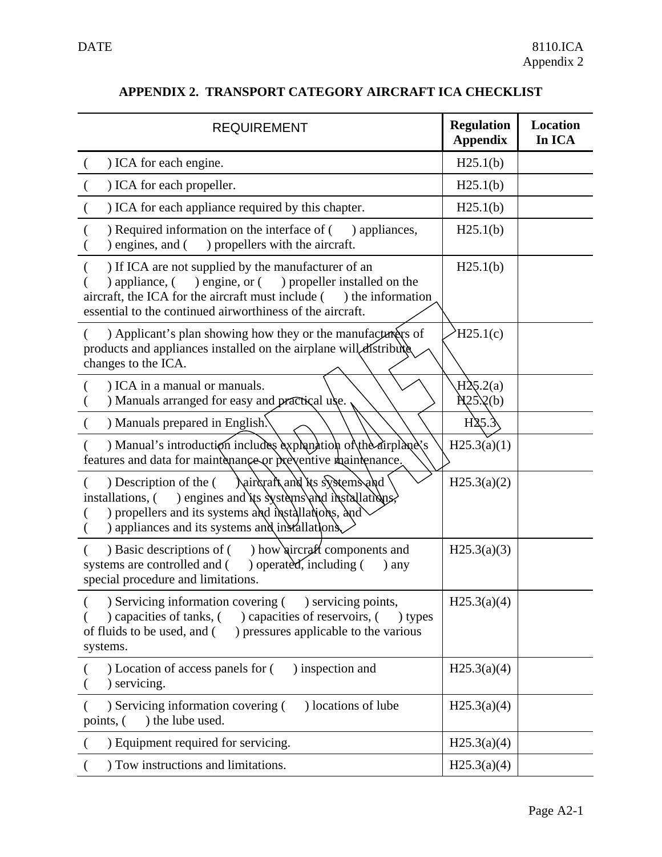|  |  |  | APPENDIX 2. TRANSPORT CATEGORY AIRCRAFT ICA CHECKLIST |  |
|--|--|--|-------------------------------------------------------|--|
|--|--|--|-------------------------------------------------------|--|

| <b>REQUIREMENT</b>                                                                                                                                                                                                                                        | <b>Regulation</b><br><b>Appendix</b> | Location<br>In ICA |
|-----------------------------------------------------------------------------------------------------------------------------------------------------------------------------------------------------------------------------------------------------------|--------------------------------------|--------------------|
| ) ICA for each engine.                                                                                                                                                                                                                                    | H25.1(b)                             |                    |
| ) ICA for each propeller.                                                                                                                                                                                                                                 | H25.1(b)                             |                    |
| ) ICA for each appliance required by this chapter.                                                                                                                                                                                                        | H25.1(b)                             |                    |
| ) Required information on the interface of (<br>) appliances,<br>) engines, and $($ ) propellers with the aircraft.                                                                                                                                       | H25.1(b)                             |                    |
| ) If ICA are not supplied by the manufacturer of an<br>engine, or () propeller installed on the<br>$)$ appliance, $($<br>aircraft, the ICA for the aircraft must include ( ) the information<br>essential to the continued airworthiness of the aircraft. | H25.1(b)                             |                    |
| ) Applicant's plan showing how they or the manufacturers of<br>products and appliances installed on the airplane will distributed<br>changes to the ICA.                                                                                                  | H25.1(c)                             |                    |
| ) ICA in a manual or manuals.<br>) Manuals arranged for easy and practical use.                                                                                                                                                                           | H25.2(a)<br><b>A25</b> : Q(b)        |                    |
| ) Manuals prepared in English.                                                                                                                                                                                                                            | H25.3                                |                    |
| ) Manual's introduction includes explanation of the airplane's<br>features and data for maintenance or preventive maintenance,                                                                                                                            | H25.3(a)(1)                          |                    |
| Nairdraft and its systems and<br>) Description of the (<br>) engines and its systems and installations<br>installations, (<br>) propellers and its systems and installations, and<br>) appliances and its systems and installations                       | H25.3(a)(2)                          |                    |
| ) how aircraft components and<br>) Basic descriptions of (<br>) operated, including $($<br>systems are controlled and (<br>) any<br>special procedure and limitations.                                                                                    | H25.3(a)(3)                          |                    |
| ) Servicing information covering (<br>) servicing points,<br>) capacities of tanks, (<br>) capacities of reservoirs, (<br>) types<br>) pressures applicable to the various<br>of fluids to be used, and (<br>systems.                                     | H25.3(a)(4)                          |                    |
| ) Location of access panels for (<br>) inspection and<br>) servicing.                                                                                                                                                                                     | H25.3(a)(4)                          |                    |
| ) Servicing information covering (<br>) locations of lube<br>) the lube used.<br>points, (                                                                                                                                                                | H25.3(a)(4)                          |                    |
| ) Equipment required for servicing.                                                                                                                                                                                                                       | H25.3(a)(4)                          |                    |
| ) Tow instructions and limitations.<br>∖                                                                                                                                                                                                                  | H25.3(a)(4)                          |                    |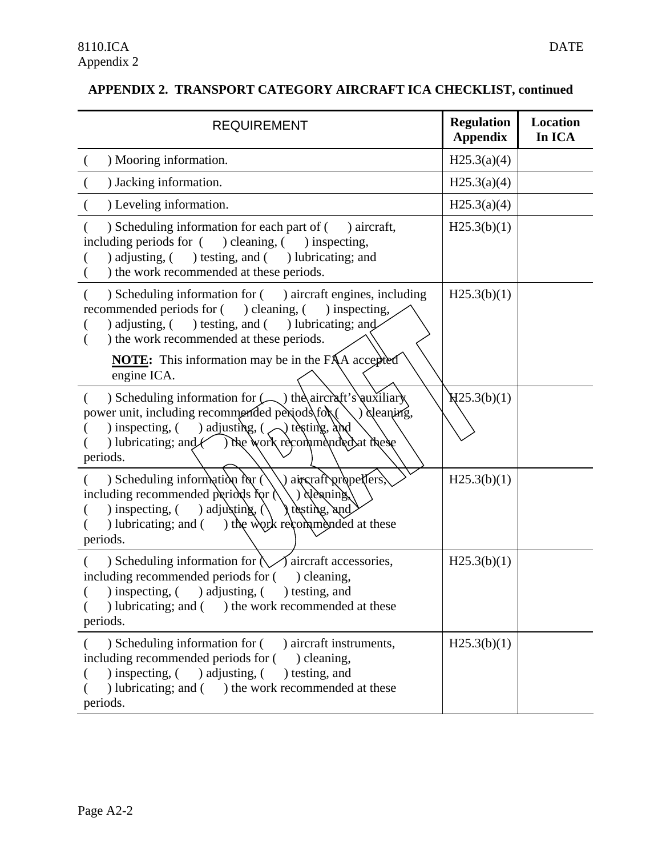# **APPENDIX 2. TRANSPORT CATEGORY AIRCRAFT ICA CHECKLIST, continued**

| <b>REQUIREMENT</b>                                                                                                                                                                                                                                                                                   | <b>Regulation</b><br><b>Appendix</b> | Location<br>In ICA |
|------------------------------------------------------------------------------------------------------------------------------------------------------------------------------------------------------------------------------------------------------------------------------------------------------|--------------------------------------|--------------------|
| ) Mooring information.                                                                                                                                                                                                                                                                               | H25.3(a)(4)                          |                    |
| ) Jacking information.                                                                                                                                                                                                                                                                               | H25.3(a)(4)                          |                    |
| ) Leveling information.                                                                                                                                                                                                                                                                              | H25.3(a)(4)                          |                    |
| ) Scheduling information for each part of (<br>) aircraft,<br>including periods for ( ) cleaning, ( ) inspecting,<br>) adjusting, ( ) testing, and ( ) lubricating; and<br>) the work recommended at these periods.                                                                                  | H25.3(b)(1)                          |                    |
| ) Scheduling information for ( ) aircraft engines, including<br>recommended periods for () cleaning, (<br>) inspecting,<br>) adjusting, ( ) testing, and ( ) lubricating; and<br>) the work recommended at these periods.<br><b>NOTE:</b> This information may be in the FAA accepted<br>engine ICA. | H25.3(b)(1)                          |                    |
| ) Scheduling information for $\Box$ ) the aircraft's auxiliary<br>power unit, including recommended periods for<br>$\setminus$ ) deaning,<br>) inspecting, $(\ )$ adjusting, $(\ \sim)$ testing, and<br>) lubricating; and $\left\langle \right\rangle$ ) the work recommended at the se<br>periods. | $\text{R25.3(b)}(1)$                 |                    |
| ) aircraft propetfers,<br>) Scheduling information for $($<br>including recommended periods for $\wedge$<br>) deaning<br>) inspecting, $($ ) adjusting, $(\setminus$<br>testing, and<br>) the work recommended at these<br>) lubricating; and (<br>periods.                                          | H25.3(b)(1)                          |                    |
| ) Scheduling information for $\bigvee$ aircraft accessories,<br>including recommended periods for () cleaning,<br>( ) inspecting, ( ) adjusting, ( ) testing, and<br>) lubricating; and () the work recommended at these<br>periods.                                                                 | H25.3(b)(1)                          |                    |
| ) Scheduling information for () aircraft instruments,<br>including recommended periods for () cleaning,<br>) inspecting, $($ ) adjusting, $($<br>testing, and<br>) lubricating; and () the work recommended at these<br>periods.                                                                     | H25.3(b)(1)                          |                    |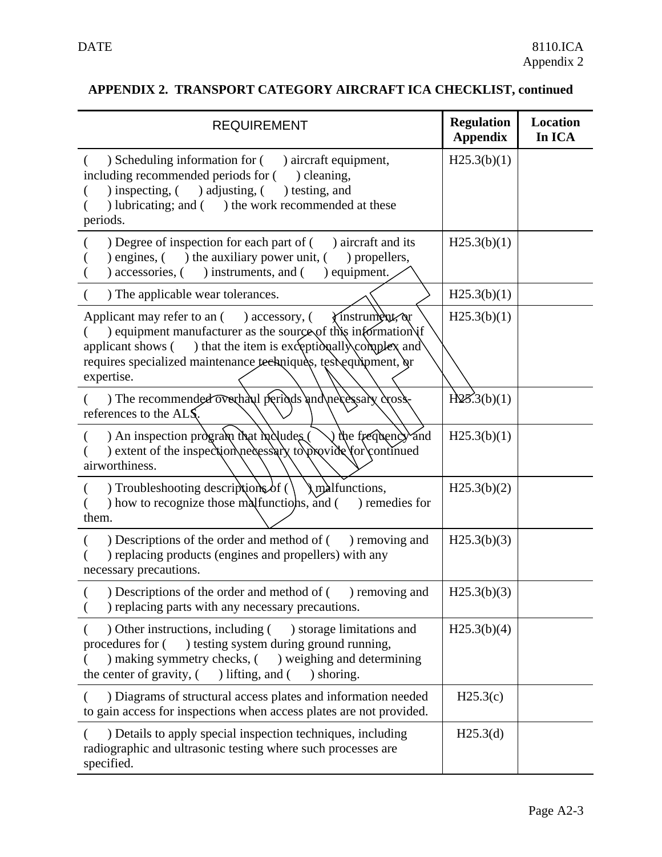# **APPENDIX 2. TRANSPORT CATEGORY AIRCRAFT ICA CHECKLIST, continued**

| <b>REQUIREMENT</b>                                                                                                                                                                                                                                                                    | <b>Regulation</b><br><b>Appendix</b> | Location<br>In ICA |
|---------------------------------------------------------------------------------------------------------------------------------------------------------------------------------------------------------------------------------------------------------------------------------------|--------------------------------------|--------------------|
| ) Scheduling information for ( ) aircraft equipment,<br>including recommended periods for (<br>) cleaning,<br>) inspecting, ( ) adjusting, ( ) testing, and<br>) lubricating; and ( ) the work recommended at these<br>periods.                                                       | H25.3(b)(1)                          |                    |
| ) Degree of inspection for each part of (<br>) aircraft and its<br>) engines, $($ $)$ the auxiliary power unit, $($<br>) propellers,<br>) equipment.<br>) accessories, (<br>) instruments, and (                                                                                      | H25.3(b)(1)                          |                    |
| ) The applicable wear tolerances.                                                                                                                                                                                                                                                     | H25.3(b)(1)                          |                    |
| instrument, or<br>Applicant may refer to an (<br>) accessory, (<br>) equipment manufacturer as the source of this information if<br>applicant shows $($ ) that the item is exceptionally complex and<br>requires specialized maintenance techniques, test equipment, or<br>expertise. | H25.3(b)(1)                          |                    |
| The recommended overhavel periods and necessary cross-<br>references to the ALS.                                                                                                                                                                                                      | H25.3(b)(1)                          |                    |
| ) An inspection program that modudes (<br>the frequency and<br>) extent of the inspection necessary to provide for continued<br>airworthiness.                                                                                                                                        | H25.3(b)(1)                          |                    |
| Troubleshooting descriptions of ( $\langle \rangle$<br>\malfunctions,<br>) how to recognize those malfunctions, and (<br>) remedies for<br>them.                                                                                                                                      | H25.3(b)(2)                          |                    |
| ) Descriptions of the order and method of $($ ) removing and<br>) replacing products (engines and propellers) with any<br>necessary precautions.                                                                                                                                      | H25.3(b)(3)                          |                    |
| Descriptions of the order and method of () removing and<br>) replacing parts with any necessary precautions.                                                                                                                                                                          | H25.3(b)(3)                          |                    |
| Other instructions, including () storage limitations and<br>) testing system during ground running,<br>procedures for (<br>) making symmetry checks, () weighing and determining<br>the center of gravity, (<br>) lifting, and $($ $)$ shoring.                                       | H25.3(b)(4)                          |                    |
| ) Diagrams of structural access plates and information needed<br>to gain access for inspections when access plates are not provided.                                                                                                                                                  | H25.3(c)                             |                    |
| ) Details to apply special inspection techniques, including<br>radiographic and ultrasonic testing where such processes are<br>specified.                                                                                                                                             | H25.3(d)                             |                    |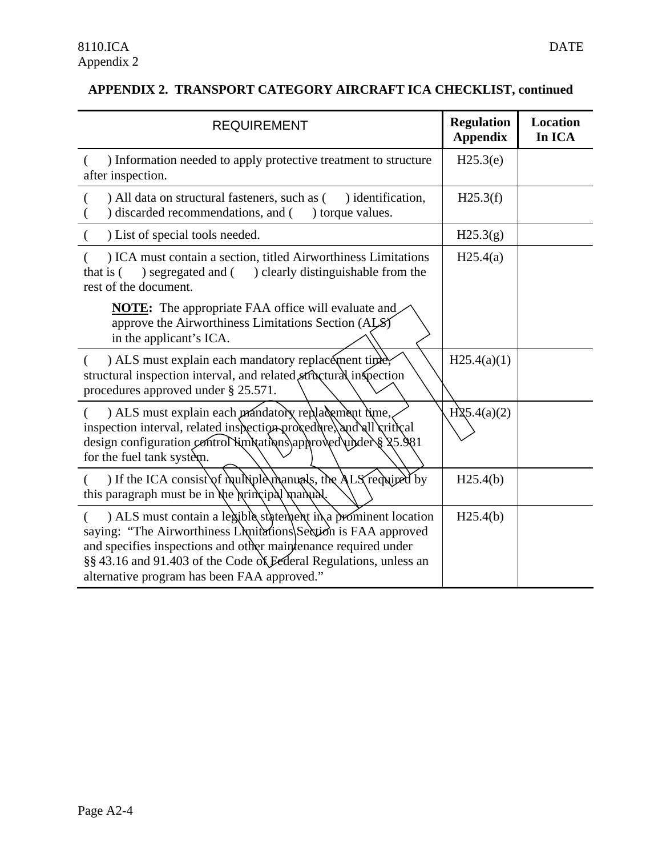# **APPENDIX 2. TRANSPORT CATEGORY AIRCRAFT ICA CHECKLIST, continued**

| <b>REQUIREMENT</b>                                                                                                                                                                                                                                                                                                    | <b>Regulation</b><br><b>Appendix</b> | <b>Location</b><br>In ICA |
|-----------------------------------------------------------------------------------------------------------------------------------------------------------------------------------------------------------------------------------------------------------------------------------------------------------------------|--------------------------------------|---------------------------|
| ) Information needed to apply protective treatment to structure<br>after inspection.                                                                                                                                                                                                                                  | H25.3(e)                             |                           |
| ) All data on structural fasteners, such as (<br>) identification,<br>discarded recommendations, and () torque values.                                                                                                                                                                                                | H25.3(f)                             |                           |
| ) List of special tools needed.                                                                                                                                                                                                                                                                                       | H25.3(g)                             |                           |
| ) ICA must contain a section, titled Airworthiness Limitations<br>) segregated and (<br>) clearly distinguishable from the<br>that is (<br>rest of the document.                                                                                                                                                      | H25.4(a)                             |                           |
| <b>NOTE:</b> The appropriate FAA office will evaluate and<br>approve the Airworthiness Limitations Section (ALS)<br>in the applicant's ICA.                                                                                                                                                                           |                                      |                           |
| ) ALS must explain each mandatory replacement tiple;<br>structural inspection interval, and related structural inspection<br>procedures approved under § 25.571.                                                                                                                                                      | H25.4(a)(1)                          |                           |
| ) ALS must explain each prandatory replacement rime,<br>inspection interval, related inspection procedure, and all critical<br>design configuration control limitations\approved\ubder\§ 25.981<br>for the fuel tank system.                                                                                          | H25.4(a)(2)                          |                           |
| ) If the ICA consist of multiple manuals, the ALS required by<br>this paragraph must be in the principal manual.                                                                                                                                                                                                      | H25.4(b)                             |                           |
| ) ALS must contain a legible statement in a prominent location<br>saying: "The Airworthiness Limitations Section is FAA approved<br>and specifies inspections and other maintenance required under<br>§§43.16 and 91.403 of the Code of Federal Regulations, unless an<br>alternative program has been FAA approved." | H25.4(b)                             |                           |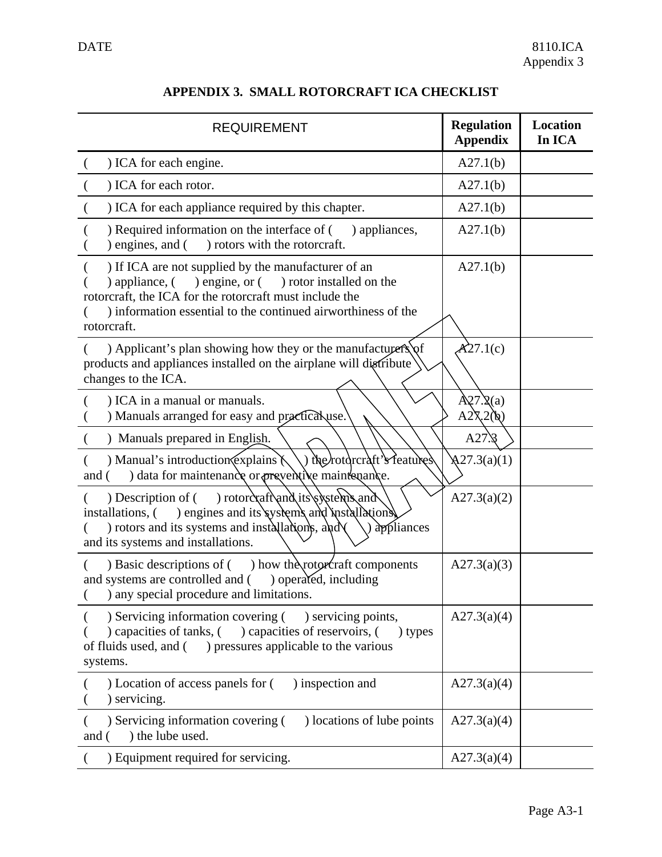| <b>REQUIREMENT</b>                                                                                                                                                                                                                                            | <b>Regulation</b><br><b>Appendix</b> | <b>Location</b><br>In ICA |
|---------------------------------------------------------------------------------------------------------------------------------------------------------------------------------------------------------------------------------------------------------------|--------------------------------------|---------------------------|
| ) ICA for each engine.                                                                                                                                                                                                                                        | A27.1(b)                             |                           |
| ) ICA for each rotor.                                                                                                                                                                                                                                         | A27.1(b)                             |                           |
| ) ICA for each appliance required by this chapter.                                                                                                                                                                                                            | A27.1(b)                             |                           |
| ) Required information on the interface of (<br>) appliances,<br>) rotors with the rotorcraft.<br>engines, and (                                                                                                                                              | A27.1(b)                             |                           |
| ) If ICA are not supplied by the manufacturer of an<br>) engine, or ( ) rotor installed on the<br>) appliance, $($<br>rotorcraft, the ICA for the rotorcraft must include the<br>) information essential to the continued airworthiness of the<br>rotorcraft. | A27.1(b)                             |                           |
| Applicant's plan showing how they or the manufacturers of<br>products and appliances installed on the airplane will distribute<br>changes to the ICA.                                                                                                         | $\mathcal{X}$ 27.1(c)                |                           |
| ) ICA in a manual or manuals.<br>) Manuals arranged for easy and practical use.                                                                                                                                                                               | A27.2(a)<br>$A2\lambda,2\lambda)$    |                           |
| ) Manuals prepared in English.                                                                                                                                                                                                                                | $A27\$                               |                           |
| ) Manual's introduction $\exp\{ \text{hains}\}\$<br>) the rotorcraft's features<br>) data for maintenance or preventive maintenance.<br>and (                                                                                                                 | $\frac{\lambda 27.3(a)}{1}$          |                           |
| ) rotorcxaft\and\its\s\xte\m\\and\<br>) Description of (<br>installations, () engines and its systems and installations<br>) rotors and its systems and installations, and $\chi$<br>) appliances<br>and its systems and installations.                       | A27.3(a)(2)                          |                           |
| Basic descriptions of () how the rotor craft components<br>and systems are controlled and ( ) operated, including<br>) any special procedure and limitations.                                                                                                 | A27.3(a)(3)                          |                           |
| ) Servicing information covering ( ) servicing points,<br>capacities of tanks, () capacities of reservoirs, (<br>) types<br>of fluids used, and () pressures applicable to the various<br>systems.                                                            | A27.3(a)(4)                          |                           |
| ) inspection and<br>) Location of access panels for (<br>) servicing.                                                                                                                                                                                         | A27.3(a)(4)                          |                           |
| ) locations of lube points<br>) Servicing information covering (<br>) the lube used.<br>and (                                                                                                                                                                 | A27.3(a)(4)                          |                           |
| ) Equipment required for servicing.                                                                                                                                                                                                                           | A27.3(a)(4)                          |                           |

# **APPENDIX 3. SMALL ROTORCRAFT ICA CHECKLIST**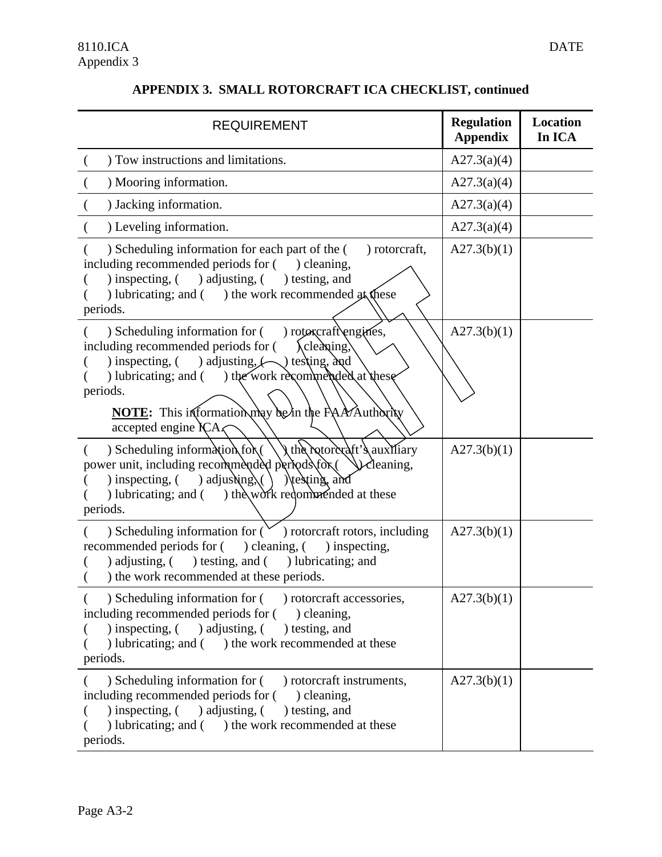| <b>REQUIREMENT</b>                                                                                                                                                                                                                                                                                                                                                    | <b>Regulation</b><br><b>Appendix</b> | <b>Location</b><br>In ICA |
|-----------------------------------------------------------------------------------------------------------------------------------------------------------------------------------------------------------------------------------------------------------------------------------------------------------------------------------------------------------------------|--------------------------------------|---------------------------|
| ) Tow instructions and limitations.                                                                                                                                                                                                                                                                                                                                   | A27.3(a)(4)                          |                           |
| ) Mooring information.                                                                                                                                                                                                                                                                                                                                                | A27.3(a)(4)                          |                           |
| ) Jacking information.                                                                                                                                                                                                                                                                                                                                                | A27.3(a)(4)                          |                           |
| ) Leveling information.                                                                                                                                                                                                                                                                                                                                               | A27.3(a)(4)                          |                           |
| ) Scheduling information for each part of the (<br>) rotorcraft,<br>including recommended periods for () cleaning,<br>) inspecting, ( ) adjusting, ( ) testing, and<br>) lubricating; and $($ $)$ the work recommended at these<br>periods.                                                                                                                           | A27.3(b)(1)                          |                           |
| ) Scheduling information for (<br>) rotorcraft engines,<br><i><u><b>Scleaning</b></u></i><br>including recommended periods for (<br>) inspecting, $($ adjusting, $($ testing, $\partial$ and<br>) lubricating; and ( ) the work recommended at these<br>periods.<br><b>NOTE:</b> This information may be in the PAA/Authority<br>accepted engine $\mathsf{K}$ A $\lt$ | A27.3(b)(1)                          |                           |
| \\the rotororaft' \auxiliary<br>) Scheduling information $f(x)$<br>€<br>power unit, including recommended periods for (<br>V cleaning,<br>) inspecting, $($ adjusting, $($ $)$ resting, and<br>) the work redommended at these<br>) lubricating; and $($<br>periods.                                                                                                  | A27.3(b)(1)                          |                           |
| ) Scheduling information for $(\vee)$ rotorcraft rotors, including<br>recommended periods for () cleaning, () inspecting,<br>) adjusting, ( ) testing, and ( ) lubricating; and<br>) the work recommended at these periods.                                                                                                                                           | A27.3(b)(1)                          |                           |
| ) Scheduling information for ( ) rotorcraft accessories,<br>including recommended periods for () cleaning,<br>) inspecting, $($ ) adjusting, $($ ) testing, and<br>) lubricating; and () the work recommended at these<br>periods.                                                                                                                                    | A27.3(b)(1)                          |                           |
| ) Scheduling information for ( ) rotorcraft instruments,<br>including recommended periods for () cleaning,<br>) inspecting, $($ ) adjusting, $($ ) testing, and<br>) lubricating; and () the work recommended at these<br>periods.                                                                                                                                    | A27.3(b)(1)                          |                           |

# **APPENDIX 3. SMALL ROTORCRAFT ICA CHECKLIST, continued**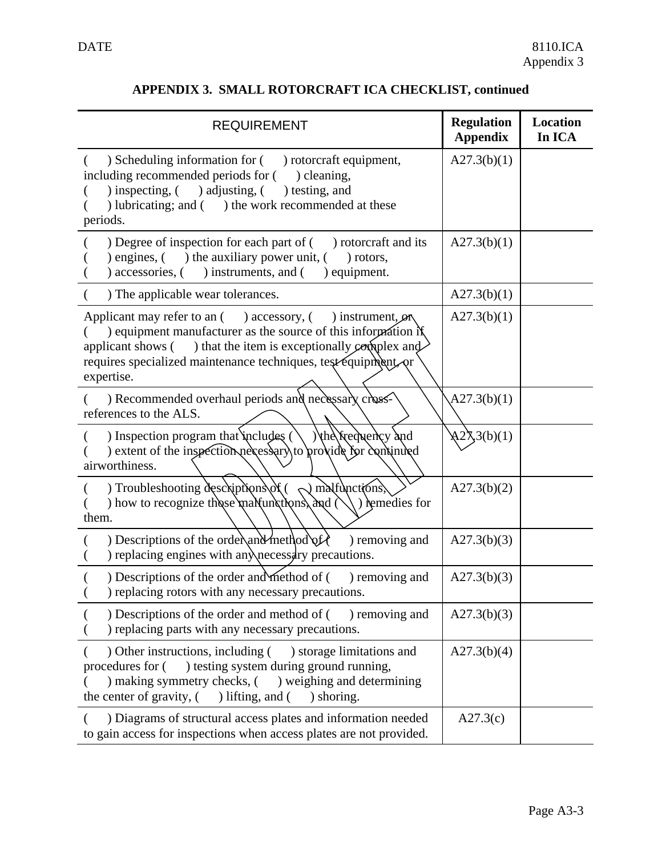# **APPENDIX 3. SMALL ROTORCRAFT ICA CHECKLIST, continued**

| <b>REQUIREMENT</b>                                                                                                                                                                                                                                                                                                    | <b>Regulation</b><br><b>Appendix</b> | Location<br>In ICA |
|-----------------------------------------------------------------------------------------------------------------------------------------------------------------------------------------------------------------------------------------------------------------------------------------------------------------------|--------------------------------------|--------------------|
| ) Scheduling information for ( ) rotorcraft equipment,<br>including recommended periods for (<br>) cleaning,<br>) inspecting, ( ) adjusting, ( ) testing, and<br>) lubricating; and () the work recommended at these<br>periods.                                                                                      | A27.3(b)(1)                          |                    |
| ) Degree of inspection for each part of (<br>) rotorcraft and its<br>) engines, $($ $)$ the auxiliary power unit, $($<br>) rotors,<br>) accessories, (<br>) instruments, and (<br>) equipment.                                                                                                                        | A27.3(b)(1)                          |                    |
| ) The applicable wear tolerances.                                                                                                                                                                                                                                                                                     | A27.3(b)(1)                          |                    |
| Applicant may refer to an () accessory, (<br>) instrument, on<br>) equipment manufacturer as the source of this information $\mathbf{\hat{x}}$<br>applicant shows $($ ) that the item is exceptionally $\mathcal{S}(\mathcal{A})$ and<br>requires specialized maintenance techniques, test equipment or<br>expertise. | A27.3(b)(1)                          |                    |
| Recommended overhaul periods and necessary cross-<br>references to the ALS.                                                                                                                                                                                                                                           | A27.3(b)(1)                          |                    |
| ) Inspection program that includes (<br>) the frequency and<br>extent of the inspection necessary to provide for continued<br>airworthiness.                                                                                                                                                                          | $\frac{\lambda}{2}, \frac{3(b)}{1}$  |                    |
| Troubleshooting descriptions of ( and functions)<br>) how to recognize those malfunctions, and (<br>) remedies for<br>them.                                                                                                                                                                                           | A27.3(b)(2)                          |                    |
| ) Descriptions of the order and method of $\lambda$<br>) removing and<br>) replacing engines with any necessary precautions.                                                                                                                                                                                          | A27.3(b)(3)                          |                    |
| ) Descriptions of the order and method of ( ) removing and<br>) replacing rotors with any necessary precautions.                                                                                                                                                                                                      | A27.3(b)(3)                          |                    |
| ) Descriptions of the order and method of (<br>) removing and<br>) replacing parts with any necessary precautions.                                                                                                                                                                                                    | A27.3(b)(3)                          |                    |
| ) Other instructions, including (<br>) storage limitations and<br>procedures for (<br>) testing system during ground running,<br>) making symmetry checks, (<br>) weighing and determining<br>the center of gravity, (<br>) lifting, and $($<br>) shoring.                                                            | A27.3(b)(4)                          |                    |
| ) Diagrams of structural access plates and information needed<br>to gain access for inspections when access plates are not provided.                                                                                                                                                                                  | A27.3(c)                             |                    |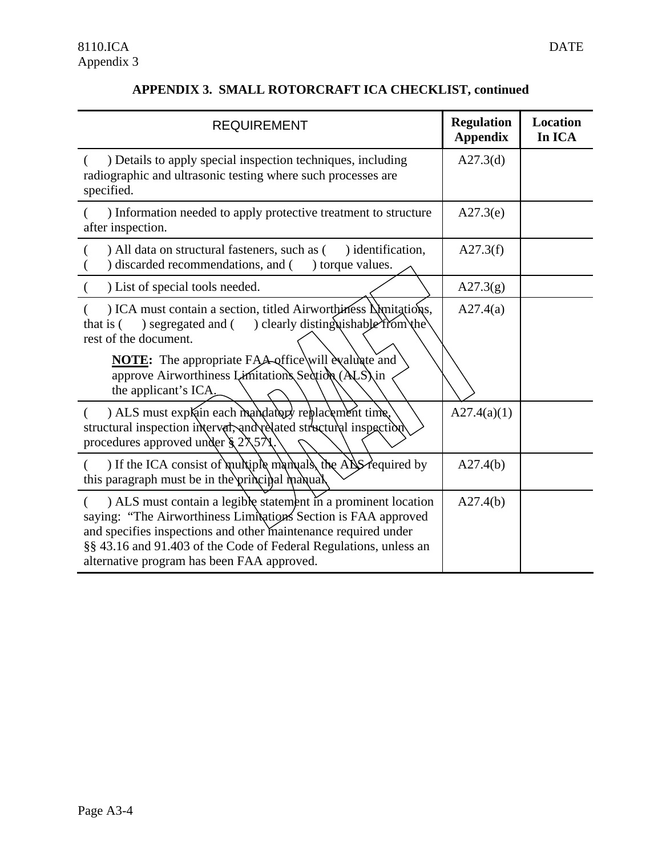# **APPENDIX 3. SMALL ROTORCRAFT ICA CHECKLIST, continued**

| <b>REQUIREMENT</b>                                                                                                                                                                                                                                                                                                    | <b>Regulation</b><br><b>Appendix</b> | <b>Location</b><br>In ICA |
|-----------------------------------------------------------------------------------------------------------------------------------------------------------------------------------------------------------------------------------------------------------------------------------------------------------------------|--------------------------------------|---------------------------|
| ) Details to apply special inspection techniques, including<br>radiographic and ultrasonic testing where such processes are<br>specified.                                                                                                                                                                             | A27.3(d)                             |                           |
| ) Information needed to apply protective treatment to structure<br>after inspection.                                                                                                                                                                                                                                  | A27.3(e)                             |                           |
| ) All data on structural fasteners, such as (<br>) identification,<br>) discarded recommendations, and (<br>) torque values.                                                                                                                                                                                          | A27.3(f)                             |                           |
| ) List of special tools needed.                                                                                                                                                                                                                                                                                       | A27.3(g)                             |                           |
| ) ICA must contain a section, titled Airworthiness Limitations,<br>) clearly distinguishable from the<br>) segregated and (<br>that is (<br>rest of the document.<br>NOTE: The appropriate FAA office will evaluate and<br>approve Airworthiness Limitations Section (ALS) in<br>the applicant's ICA.                 | A27.4(a)                             |                           |
| ) ALS must explain each mandatory replacement time,<br>structural inspection interval, and related structural inspection<br>procedures approved under $\S$ 2 $\S$ 57                                                                                                                                                  | A27.4(a)(1)                          |                           |
| ) If the ICA consist of multiple manuals, the ANS required by<br>this paragraph must be in the principal manual                                                                                                                                                                                                       | A27.4(b)                             |                           |
| ) ALS must contain a legible statement in a prominent location<br>saying: "The Airworthiness Limitations Section is FAA approved<br>and specifies inspections and other maintenance required under<br>§§ 43.16 and 91.403 of the Code of Federal Regulations, unless an<br>alternative program has been FAA approved. | A27.4(b)                             |                           |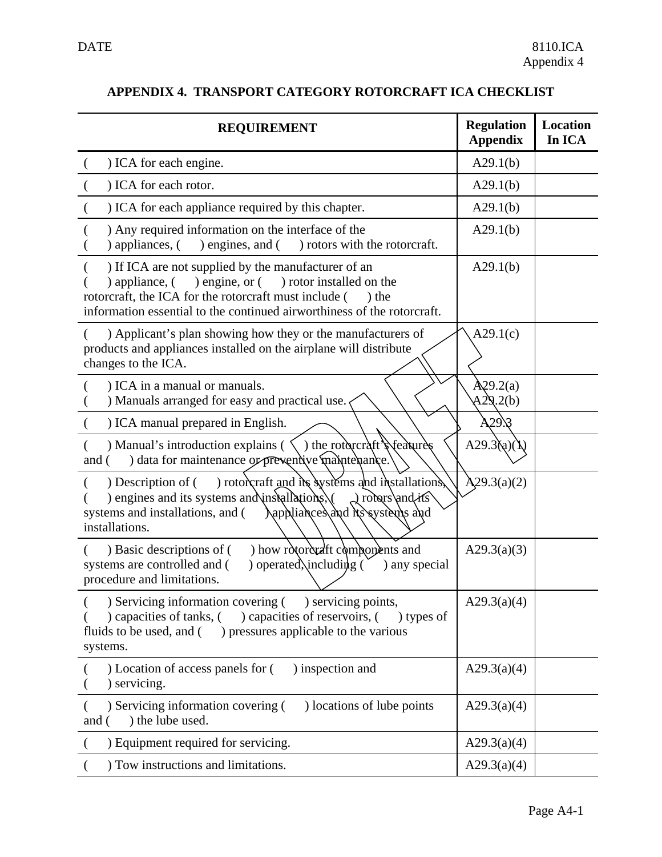# **APPENDIX 4. TRANSPORT CATEGORY ROTORCRAFT ICA CHECKLIST**

| <b>REQUIREMENT</b>                                                                                                                                                                                                                                             | <b>Regulation</b><br><b>Appendix</b> | Location<br>In ICA |
|----------------------------------------------------------------------------------------------------------------------------------------------------------------------------------------------------------------------------------------------------------------|--------------------------------------|--------------------|
| ) ICA for each engine.                                                                                                                                                                                                                                         | A29.1(b)                             |                    |
| ) ICA for each rotor.                                                                                                                                                                                                                                          | A29.1(b)                             |                    |
| ) ICA for each appliance required by this chapter.                                                                                                                                                                                                             | A29.1(b)                             |                    |
| ) Any required information on the interface of the<br>) appliances, (<br>) engines, and ( ) rotors with the rotorcraft.                                                                                                                                        | A29.1(b)                             |                    |
| ) If ICA are not supplied by the manufacturer of an<br>engine, or () rotor installed on the<br>) appliance, $($<br>rotorcraft, the ICA for the rotorcraft must include (<br>$)$ the<br>information essential to the continued airworthiness of the rotorcraft. | A29.1(b)                             |                    |
| ) Applicant's plan showing how they or the manufacturers of<br>products and appliances installed on the airplane will distribute<br>changes to the ICA.                                                                                                        | A29.1(c)                             |                    |
| ) ICA in a manual or manuals.<br>) Manuals arranged for easy and practical use.                                                                                                                                                                                | A29.2(a)<br>A29.2(b)                 |                    |
| ) ICA manual prepared in English.                                                                                                                                                                                                                              | $29\%$                               |                    |
| ) Manual's introduction explains ( $\langle \rangle$ ) the rotor craft $\langle \rangle$ (eatures<br>$\left($<br>) data for maintenance or preventive maintenance.<br>and (                                                                                    | $A29.3(a)(\lambda)$                  |                    |
| ) rotorcraft and its systems and installations,<br>) Description of (<br>) engines and its systems and installations,<br>$\lambda$ rotors and its<br>Appliance and resystems and<br>systems and installations, and (<br>installations.                         | $\lambda$ 29.3(a)(2)                 |                    |
| ) how rotoroxaft components and<br>) Basic descriptions of (<br>) operated, including (<br>systems are controlled and (<br>) any special<br>procedure and limitations.                                                                                         | A29.3(a)(3)                          |                    |
| ) Servicing information covering ( ) servicing points,<br>) capacities of tanks, (<br>) capacities of reservoirs, (<br>) types of<br>) pressures applicable to the various<br>fluids to be used, and (<br>systems.                                             | A29.3(a)(4)                          |                    |
| ) Location of access panels for (<br>) inspection and<br>) servicing.                                                                                                                                                                                          | A29.3(a)(4)                          |                    |
| ) Servicing information covering (<br>) locations of lube points<br>) the lube used.<br>and (                                                                                                                                                                  | A29.3(a)(4)                          |                    |
| ) Equipment required for servicing.<br>$\left($                                                                                                                                                                                                                | A29.3(a)(4)                          |                    |
| ) Tow instructions and limitations.<br>€                                                                                                                                                                                                                       | A29.3(a)(4)                          |                    |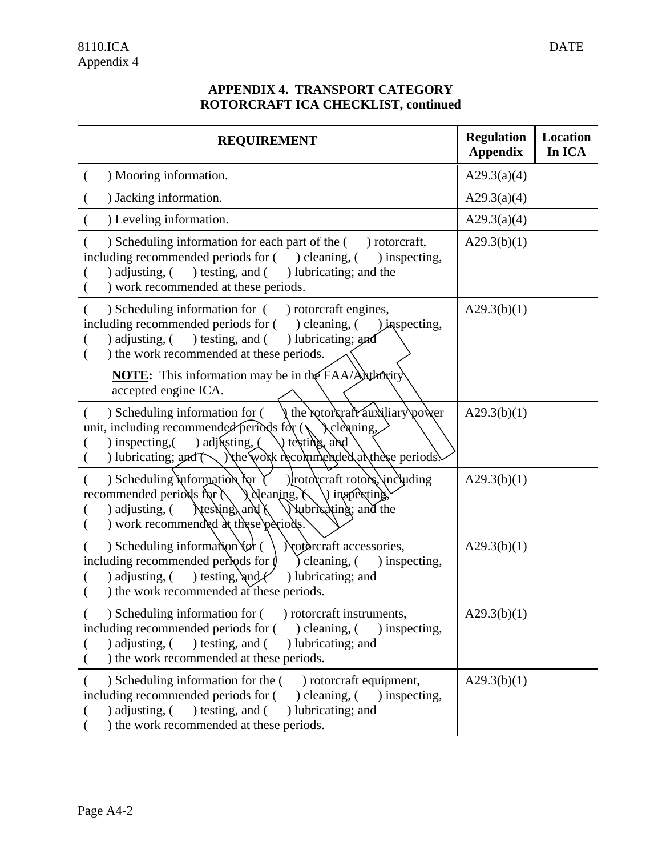## **APPENDIX 4. TRANSPORT CATEGORY ROTORCRAFT ICA CHECKLIST, continued**

| <b>REQUIREMENT</b>                                                                                                                                                                                                                                                                                                | <b>Regulation</b><br><b>Appendix</b> | Location<br>In ICA |
|-------------------------------------------------------------------------------------------------------------------------------------------------------------------------------------------------------------------------------------------------------------------------------------------------------------------|--------------------------------------|--------------------|
| ) Mooring information.                                                                                                                                                                                                                                                                                            | A29.3(a)(4)                          |                    |
| ) Jacking information.                                                                                                                                                                                                                                                                                            | A29.3(a)(4)                          |                    |
| ) Leveling information.                                                                                                                                                                                                                                                                                           | A29.3(a)(4)                          |                    |
| ) Scheduling information for each part of the () rotorcraft,<br>including recommended periods for () cleaning, (<br>) inspecting,<br>) adjusting, $($<br>) testing, and (<br>) lubricating; and the<br>) work recommended at these periods.                                                                       | A29.3(b)(1)                          |                    |
| ) Scheduling information for ( ) rotorcraft engines,<br>including recommended periods for () cleaning, () inspecting,<br>$\alpha$ ) adjusting, $\alpha$ ) testing, and $\alpha$<br>) lubricating; and<br>) the work recommended at these periods.                                                                 | A29.3(b)(1)                          |                    |
| NOTE: This information may be in the FAA/Authority<br>accepted engine ICA.                                                                                                                                                                                                                                        |                                      |                    |
| the rotor craft auxiliary power<br>) Scheduling information for (<br>€<br>unit, including recommended periods for $(\nabla)$<br><b>Acleaning</b> ,<br>) inspecting, $($ ) adjusting, $($<br>$\setminus$ testing, and<br>) lubricating; $\alpha$ lubricating; $\alpha$ lubricating; $\alpha$ lubricating; $\alpha$ | A29.3(b)(1)                          |                    |
| ) rotoxcraft rotors, including<br>) Scheduling information for<br>recommended periods for \ \deaning, \ \ inspecting,<br>) adjusting, $(\&$ $\text{Neshing}\$ and $\wedge$<br>Wubrisating; and the<br>) work recommended at these periods.                                                                        | A29.3(b)(1)                          |                    |
| ) Scheduling information $\chi$ (<br><b>rotorcraft</b> accessories,<br>including recommended periods for $\oint$<br>) cleaning, $($<br>) inspecting,<br>) adjusting, $($ ) testing, and $\ell$<br>) lubricating; and<br>) the work recommended at these periods.                                                  | A29.3(b)(1)                          |                    |
| ) Scheduling information for ( ) rotorcraft instruments,<br>) cleaning, $($<br>including recommended periods for (<br>) inspecting,<br>) adjusting, $($<br>) testing, and (<br>) lubricating; and<br>) the work recommended at these periods.                                                                     | A29.3(b)(1)                          |                    |
| ) Scheduling information for the (<br>) rotorcraft equipment,<br>including recommended periods for (<br>$)$ cleaning, $($ $)$ inspecting,<br>) testing, and $($<br>) lubricating; and<br>) adjusting, $($<br>) the work recommended at these periods.                                                             | A29.3(b)(1)                          |                    |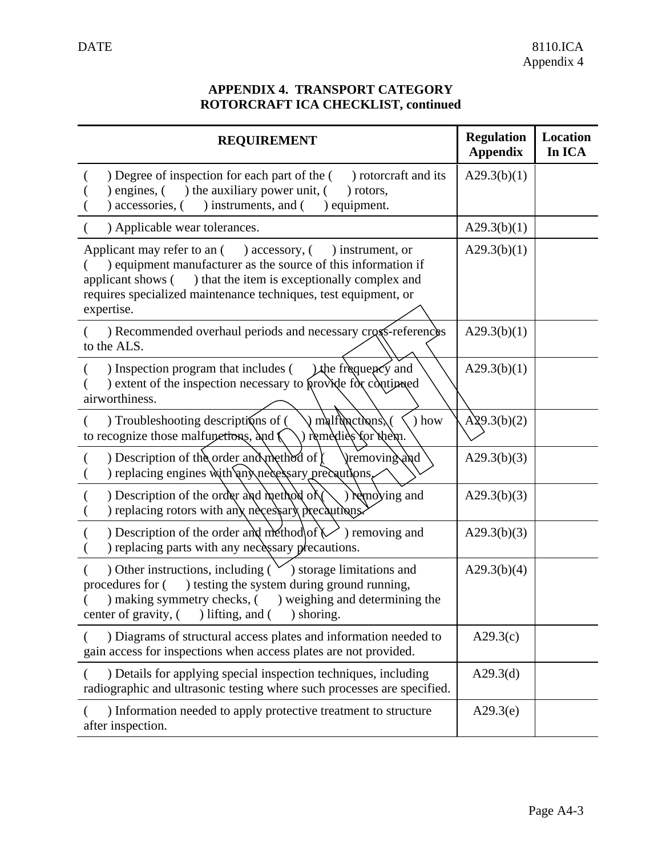| <b>REQUIREMENT</b>                                                                                                                                                                                                                                                               | <b>Regulation</b><br><b>Appendix</b> | Location<br>In ICA |
|----------------------------------------------------------------------------------------------------------------------------------------------------------------------------------------------------------------------------------------------------------------------------------|--------------------------------------|--------------------|
| ) Degree of inspection for each part of the (<br>) rotorcraft and its<br>) engines, $($ $)$ the auxiliary power unit, $($<br>) rotors,<br>) accessories, (<br>) instruments, and (<br>equipment.                                                                                 | A29.3(b)(1)                          |                    |
| ) Applicable wear tolerances.                                                                                                                                                                                                                                                    | A29.3(b)(1)                          |                    |
| Applicant may refer to an () accessory, (<br>) instrument, or<br>) equipment manufacturer as the source of this information if<br>applicant shows () that the item is exceptionally complex and<br>requires specialized maintenance techniques, test equipment, or<br>expertise. | A29.3(b)(1)                          |                    |
| ) Recommended overhaul periods and necessary cross-references<br>to the ALS.                                                                                                                                                                                                     | A29.3(b)(1)                          |                    |
| ) the frequency and<br>) Inspection program that includes (<br>) extent of the inspection necessary to provide for continued<br>airworthiness.                                                                                                                                   | A29.3(b)(1)                          |                    |
| ) how<br>) Troubleshooting descriptions of (<br>) malfunctions) (<br>remedies for them.<br>to recognize those malfunctions, and $\zeta$                                                                                                                                          | $A\&9.3(b)(2)$                       |                    |
| ) Description of the order and method of $\chi$<br>\removing\and<br>) replacing engines with any necessary precautions.                                                                                                                                                          | A29.3(b)(3)                          |                    |
| ) Description of the order and method of $\hat{C}$<br>) remolying and<br>) replacing rotors with any necessary precautions.                                                                                                                                                      | A29.3(b)(3)                          |                    |
| ) Description of the order and method of $\&\&\&\x$ ) removing and<br>) replacing parts with any necessary precautions.                                                                                                                                                          | A29.3(b)(3)                          |                    |
| ) Other instructions, including (<br>storage limitations and<br>procedures for () testing the system during ground running,<br>) making symmetry checks, () weighing and determining the<br>center of gravity, () lifting, and () shoring.                                       | A29.3(b)(4)                          |                    |
| ) Diagrams of structural access plates and information needed to<br>gain access for inspections when access plates are not provided.                                                                                                                                             | A29.3(c)                             |                    |
| ) Details for applying special inspection techniques, including<br>radiographic and ultrasonic testing where such processes are specified.                                                                                                                                       | A29.3(d)                             |                    |
| ) Information needed to apply protective treatment to structure<br>after inspection.                                                                                                                                                                                             | A29.3(e)                             |                    |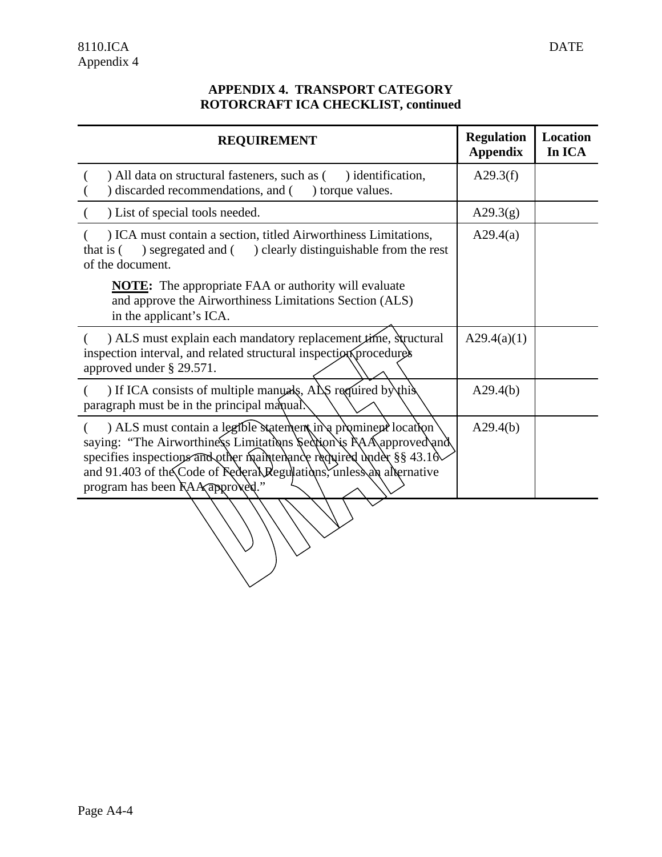### **APPENDIX 4. TRANSPORT CATEGORY ROTORCRAFT ICA CHECKLIST, continued**

| <b>REQUIREMENT</b>                                                                                                                                                                                                                                                                                                    | <b>Regulation</b><br><b>Appendix</b> | <b>Location</b><br>In ICA |
|-----------------------------------------------------------------------------------------------------------------------------------------------------------------------------------------------------------------------------------------------------------------------------------------------------------------------|--------------------------------------|---------------------------|
| ) All data on structural fasteners, such as (<br>) identification,<br>discarded recommendations, and () torque values.                                                                                                                                                                                                | A29.3(f)                             |                           |
| ) List of special tools needed.                                                                                                                                                                                                                                                                                       | A29.3(g)                             |                           |
| ) ICA must contain a section, titled Airworthiness Limitations,<br>) segregated and (<br>) clearly distinguishable from the rest<br>that is (<br>of the document.                                                                                                                                                     | A29.4(a)                             |                           |
| <b>NOTE:</b> The appropriate FAA or authority will evaluate<br>and approve the Airworthiness Limitations Section (ALS)<br>in the applicant's ICA.                                                                                                                                                                     |                                      |                           |
| ) ALS must explain each mandatory replacement time, structural<br>inspection interval, and related structural inspection procedures<br>approved under § 29.571.                                                                                                                                                       | A29.4(a)(1)                          |                           |
| ) If ICA consists of multiple manuals, ALS required by this<br>paragraph must be in the principal manual.                                                                                                                                                                                                             | A29.4(b)                             |                           |
| ) ALS must contain a legible statement in a prominent location<br>saying: "The Airworthiness Limitations Section is RAA approved and<br>specifies inspections and other maintenance required under §§ 43.16<br>and 91.403 of the Code of Federal Regulations, unless an alternative<br>program has been RAA approved. | A29.4(b)                             |                           |
|                                                                                                                                                                                                                                                                                                                       |                                      |                           |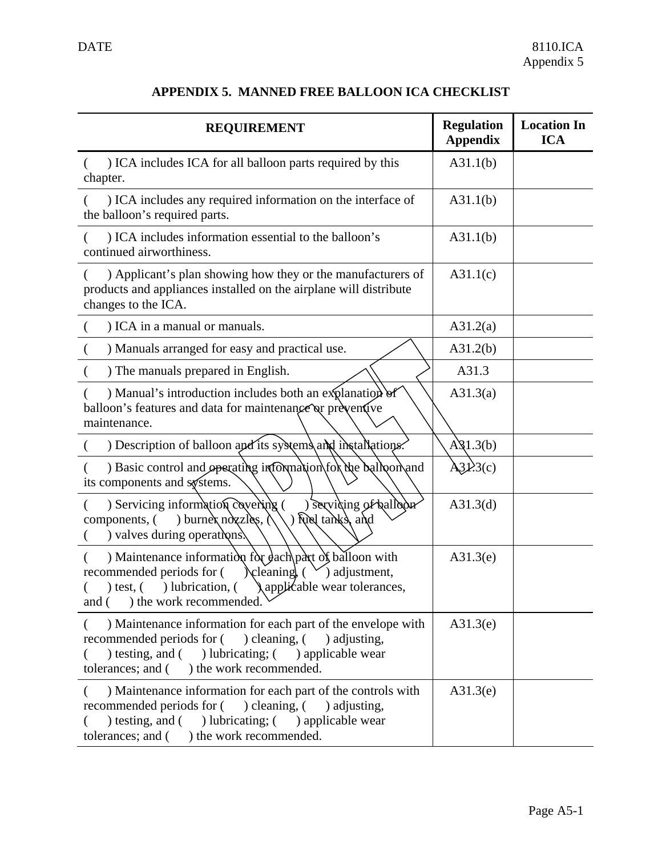# **APPENDIX 5. MANNED FREE BALLOON ICA CHECKLIST**

| <b>REQUIREMENT</b>                                                                                                                                                                                                                        | <b>Regulation</b><br><b>Appendix</b> | <b>Location In</b><br><b>ICA</b> |
|-------------------------------------------------------------------------------------------------------------------------------------------------------------------------------------------------------------------------------------------|--------------------------------------|----------------------------------|
| ) ICA includes ICA for all balloon parts required by this<br>chapter.                                                                                                                                                                     | A31.1(b)                             |                                  |
| ) ICA includes any required information on the interface of<br>the balloon's required parts.                                                                                                                                              | A31.1(b)                             |                                  |
| ) ICA includes information essential to the balloon's<br>continued airworthiness.                                                                                                                                                         | A31.1(b)                             |                                  |
| ) Applicant's plan showing how they or the manufacturers of<br>products and appliances installed on the airplane will distribute<br>changes to the ICA.                                                                                   | A31.1(c)                             |                                  |
| ) ICA in a manual or manuals.                                                                                                                                                                                                             | A31.2(a)                             |                                  |
| ) Manuals arranged for easy and practical use.                                                                                                                                                                                            | A31.2(b)                             |                                  |
| ) The manuals prepared in English.                                                                                                                                                                                                        | A31.3                                |                                  |
| ) Manual's introduction includes both an explanation of<br>balloon's features and data for maintenance or preventive<br>maintenance.                                                                                                      | A31.3(a)                             |                                  |
| ) Description of balloon and its systems and installations.                                                                                                                                                                               | $A\$ {1.3(b)}                        |                                  |
| Basic control and operating information (for the balloon and<br>its components and systems.                                                                                                                                               | A32.3(c)                             |                                  |
| servicing of balloon<br>) Servicing information covering (<br>€<br>fuel tanks, and<br>) burnex $n \partial z$ les, $\partial$<br>components, (<br>) valves during operations.                                                             | A31.3(d)                             |                                  |
| ) Maintenance information for each part of balloon with<br>recommended periods for (<br>Cleaning, (<br>) adjustment,<br>applicable wear tolerances,<br>) lubrication, (<br>) test, $($<br>) the work recommended. $\vee$<br>and (         | A31.3(e)                             |                                  |
| ) Maintenance information for each part of the envelope with<br>$)$ cleaning, $($<br>recommended periods for (<br>) adjusting,<br>) testing, and $($ ) lubricating; $($ ) applicable wear<br>tolerances; and (<br>) the work recommended. | A31.3(e)                             |                                  |
| ) Maintenance information for each part of the controls with<br>recommended periods for () cleaning, (<br>) adjusting,<br>) testing, and $($ ) lubricating; $($ ) applicable wear<br>tolerances; and (<br>) the work recommended.         | A31.3(e)                             |                                  |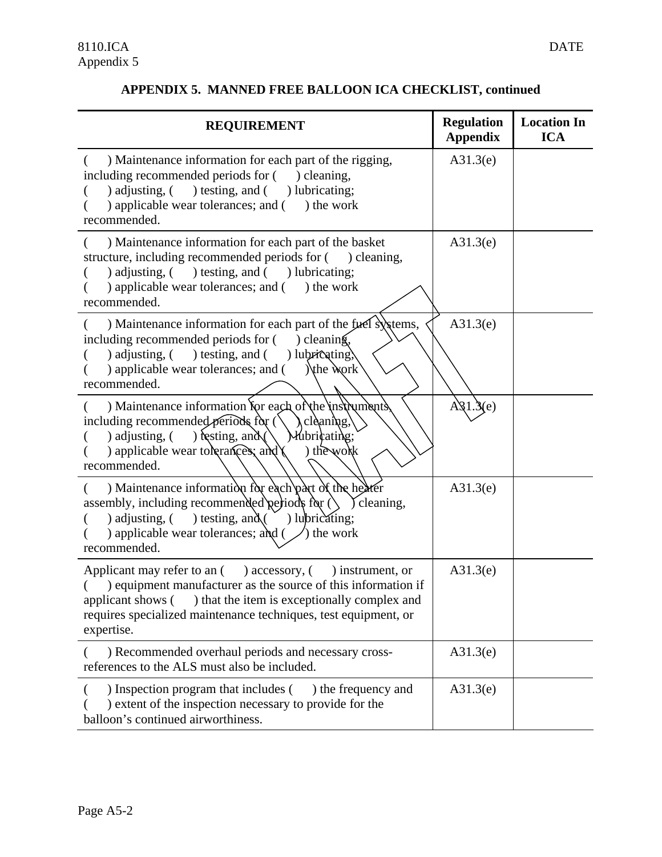# **APPENDIX 5. MANNED FREE BALLOON ICA CHECKLIST, continued**

| <b>REQUIREMENT</b>                                                                                                                                                                                                                                                                   | <b>Regulation</b><br><b>Appendix</b> | <b>Location In</b><br><b>ICA</b> |
|--------------------------------------------------------------------------------------------------------------------------------------------------------------------------------------------------------------------------------------------------------------------------------------|--------------------------------------|----------------------------------|
| ) Maintenance information for each part of the rigging,<br>including recommended periods for (<br>) cleaning,<br>) adjusting, ( ) testing, and ( ) lubricating;<br>) applicable wear tolerances; and ( ) the work<br>recommended.                                                    | A31.3(e)                             |                                  |
| ) Maintenance information for each part of the basket<br>€<br>structure, including recommended periods for () cleaning,<br>) adjusting, ( ) testing, and ( ) lubricating;<br>) applicable wear tolerances; and () the work<br>recommended.                                           | A31.3(e)                             |                                  |
| ) Maintenance information for each part of the fuel systems,<br>) cleaning,<br>including recommended periods for (<br>) lubricating,<br>$\alpha$ ) adjusting, $\alpha$ ) testing, and $\alpha$<br>) the work<br>) applicable wear tolerances; and (<br>recommended.                  | A31.3(e)                             |                                  |
| ) Maintenance information for each of the instruments,<br>including recommended periods for (<br>cleaning,<br>Mubricating;<br>) resting, and $\left($<br>) adjusting, $($<br>) applicable wear tolerances; and $\chi$<br>) the work<br>recommended.                                  | A§1.3(e)                             |                                  |
| ) Maintenance information for each part of the heater<br>assembly, including recommended periods for (<br>$\zeta$ cleaning,<br>) adjusting, $($ ) testing, and $($<br>) lubricating;<br>) applicable wear tolerances; and $(\swarrow)$ the work<br>recommended.                      | A31.3(e)                             |                                  |
| Applicant may refer to an () accessory, (<br>) instrument, or<br>) equipment manufacturer as the source of this information if<br>) that the item is exceptionally complex and<br>applicant shows (<br>requires specialized maintenance techniques, test equipment, or<br>expertise. | A31.3(e)                             |                                  |
| ) Recommended overhaul periods and necessary cross-<br>references to the ALS must also be included.                                                                                                                                                                                  | A31.3(e)                             |                                  |
| ) Inspection program that includes (<br>) the frequency and<br>) extent of the inspection necessary to provide for the<br>balloon's continued airworthiness.                                                                                                                         | A31.3(e)                             |                                  |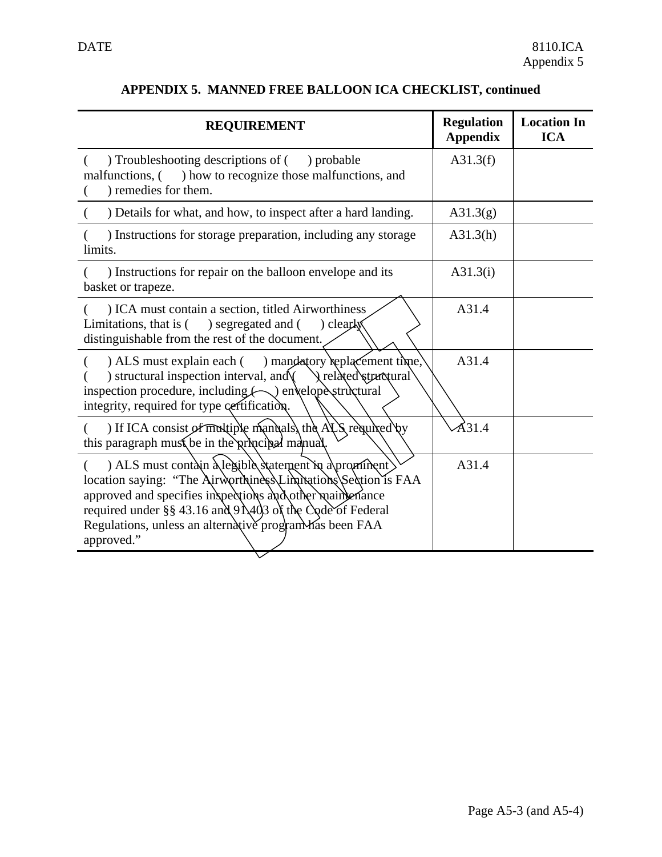# **APPENDIX 5. MANNED FREE BALLOON ICA CHECKLIST, continued**

| <b>REQUIREMENT</b>                                                                                                                                                                                                                                                                                                                     | <b>Regulation</b><br><b>Appendix</b> | <b>Location In</b><br><b>ICA</b> |
|----------------------------------------------------------------------------------------------------------------------------------------------------------------------------------------------------------------------------------------------------------------------------------------------------------------------------------------|--------------------------------------|----------------------------------|
| ) Troubleshooting descriptions of () probable<br>malfunctions, () how to recognize those malfunctions, and<br>) remedies for them.                                                                                                                                                                                                     | A31.3(f)                             |                                  |
| ) Details for what, and how, to inspect after a hard landing.                                                                                                                                                                                                                                                                          | A31.3(g)                             |                                  |
| ) Instructions for storage preparation, including any storage<br>limits.                                                                                                                                                                                                                                                               | A31.3(h)                             |                                  |
| ) Instructions for repair on the balloon envelope and its<br>basket or trapeze.                                                                                                                                                                                                                                                        | A31.3(i)                             |                                  |
| ) ICA must contain a section, titled Airworthiness<br>Limitations, that is $($ ) segregated and $($<br>$)$ clearly<br>distinguishable from the rest of the document.                                                                                                                                                                   | A31.4                                |                                  |
| ) ALS must explain each ( ) mandatory replacement time,<br>) related stractural<br>) structural inspection interval, and $\chi$<br>inspection procedure, including ( ) envelope structural<br>integrity, required for type certification.                                                                                              | A31.4                                |                                  |
| ) If ICA consist of multiple manuals, the $A\&S$ required by<br>this paragraph must be in the principal manual                                                                                                                                                                                                                         | A31.4                                |                                  |
| ) ALS must contain a legible statement in a prominent<br>location saying: "The Airworthiness Limitations Section is FAA<br>approved and specifies inspections and other maintenance<br>required under $\S$ § 43.16 and 9 \\40 $\beta$ 3 of the Code of Federal<br>Regulations, unless an alternative programMas been FAA<br>approved." | A31.4                                |                                  |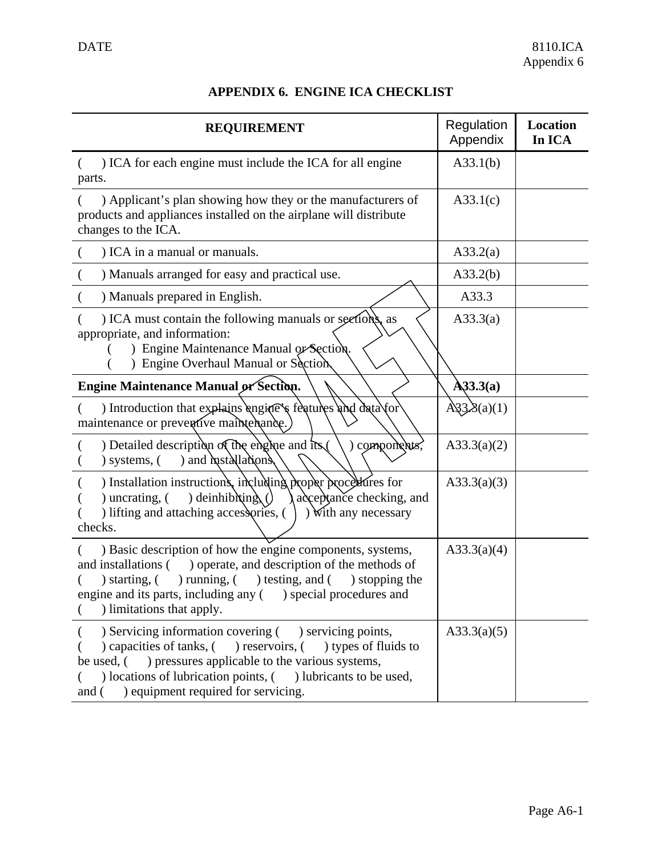# **APPENDIX 6. ENGINE ICA CHECKLIST**

| <b>REQUIREMENT</b>                                                                                                                                                                                                                                                                                       | Regulation<br>Appendix     | <b>Location</b><br>In ICA |
|----------------------------------------------------------------------------------------------------------------------------------------------------------------------------------------------------------------------------------------------------------------------------------------------------------|----------------------------|---------------------------|
| ) ICA for each engine must include the ICA for all engine<br>$\left($<br>parts.                                                                                                                                                                                                                          | A33.1(b)                   |                           |
| ) Applicant's plan showing how they or the manufacturers of<br>products and appliances installed on the airplane will distribute<br>changes to the ICA.                                                                                                                                                  | A33.1(c)                   |                           |
| ) ICA in a manual or manuals.                                                                                                                                                                                                                                                                            | A33.2(a)                   |                           |
| ) Manuals arranged for easy and practical use.<br>€                                                                                                                                                                                                                                                      | A33.2(b)                   |                           |
| ) Manuals prepared in English.                                                                                                                                                                                                                                                                           | A33.3                      |                           |
| ) ICA must contain the following manuals or sections, as<br>appropriate, and information:<br>Engine Maintenance Manual or Section.<br>Engine Overhaul Manual or Section                                                                                                                                  | A33.3(a)                   |                           |
| Engine Maintenance Manual or Section.                                                                                                                                                                                                                                                                    | A33.3(a)                   |                           |
| ) Introduction that explains engine $\mathcal{E}$ features and data for<br>maintenance or preventive maintenance.                                                                                                                                                                                        | $A\sqrt{3}3\sqrt{3}(a)(1)$ |                           |
| ) Detailed description of the engine and its<br>) components,<br>) and mstallations<br>) systems, (                                                                                                                                                                                                      | A33.3(a)(2)                |                           |
| ) Installation instructions, including proper procedures for<br>) deinhibiting $()$<br>uncrating, (<br>acceptance checking, and<br>) lifting and attaching accessories, (<br>) with any necessary<br>checks.                                                                                             | A33.3(a)(3)                |                           |
| ) Basic description of how the engine components, systems,<br>) operate, and description of the methods of<br>and installations (<br>) running, ( ) testing, and ( ) stopping the<br>) starting, $($<br>engine and its parts, including any () special procedures and<br>) limitations that apply.       | A33.3(a)(4)                |                           |
| ) Servicing information covering ( ) servicing points,<br>) capacities of tanks, (<br>reservoirs, () types of fluids to<br>be used, () pressures applicable to the various systems,<br>(beta locations of lubrication points, (c) lubricants to be used,<br>) equipment required for servicing.<br>and ( | A33.3(a)(5)                |                           |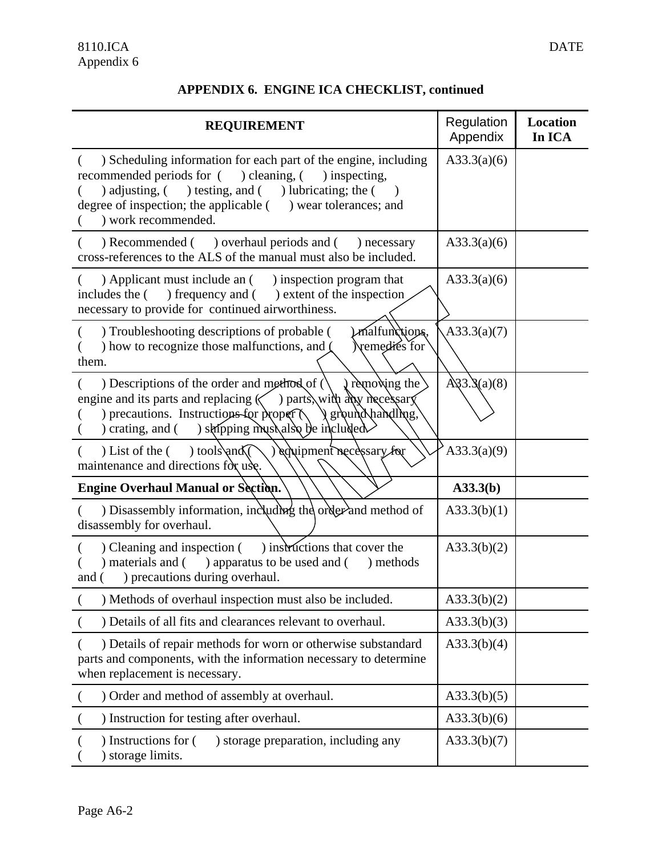# **APPENDIX 6. ENGINE ICA CHECKLIST, continued**

| <b>REQUIREMENT</b>                                                                                                                                                                                                                                                                                                                          | Regulation<br>Appendix     | <b>Location</b><br>In ICA |
|---------------------------------------------------------------------------------------------------------------------------------------------------------------------------------------------------------------------------------------------------------------------------------------------------------------------------------------------|----------------------------|---------------------------|
| ) Scheduling information for each part of the engine, including<br>$\left($<br>recommended periods for () cleaning, () inspecting,<br>) adjusting, ( ) testing, and ( ) lubricating; the (<br>degree of inspection; the applicable () wear tolerances; and<br>) work recommended.                                                           | A33.3(a)(6)                |                           |
| ) Recommended ( ) overhaul periods and ( ) necessary<br>cross-references to the ALS of the manual must also be included.                                                                                                                                                                                                                    | A33.3(a)(6)                |                           |
| $\alpha$ ) Applicant must include an $\alpha$ inspection program that<br>includes the (<br>frequency and () extent of the inspection<br>necessary to provide for continued airworthiness.                                                                                                                                                   | A33.3(a)(6)                |                           |
| Analfunctions,<br>) Troubleshooting descriptions of probable (<br>remedies for<br>) how to recognize those malfunctions, and $\zeta$<br>them.                                                                                                                                                                                               | A33.3(a)(7)                |                           |
| ) Descriptions of the order and method of $\left(\begin{array}{c} \lambda \\ \lambda \end{array}\right)$ removing the<br>(<br>engine and its parts and replacing $\langle \rangle$ parts, with any mecessary<br>) precautions. Instructions for proper $\wedge$ $\gamma$ ground handling,<br>crating, and () shipping must also be included | $\angle A\$ 3. $\Im(a)(8)$ |                           |
| $\log_{\text{mod}}(x)$ bedwipment necessary for<br>) List of the $($<br>maintenance and directions for use.                                                                                                                                                                                                                                 | A33.3(a)(9)                |                           |
| Engine Overhaul Manual or Section.                                                                                                                                                                                                                                                                                                          | A33.3(b)                   |                           |
| ) Disassembly information, including the order and method of<br>disassembly for overhaul.                                                                                                                                                                                                                                                   | A33.3(b)(1)                |                           |
| Cleaning and inspection ( ) instructions that cover the<br>) materials and ( ) apparatus to be used and ( ) methods<br>) precautions during overhaul.<br>and (                                                                                                                                                                              | A33.3(b)(2)                |                           |
| ) Methods of overhaul inspection must also be included.                                                                                                                                                                                                                                                                                     | A33.3(b)(2)                |                           |
| ) Details of all fits and clearances relevant to overhaul.                                                                                                                                                                                                                                                                                  | A33.3(b)(3)                |                           |
| ) Details of repair methods for worn or otherwise substandard<br>parts and components, with the information necessary to determine<br>when replacement is necessary.                                                                                                                                                                        | A33.3(b)(4)                |                           |
| ) Order and method of assembly at overhaul.                                                                                                                                                                                                                                                                                                 | A33.3(b)(5)                |                           |
| ) Instruction for testing after overhaul.<br>$\overline{ }$                                                                                                                                                                                                                                                                                 | A33.3(b)(6)                |                           |
| ) Instructions for (<br>) storage preparation, including any<br>storage limits.                                                                                                                                                                                                                                                             | A33.3(b)(7)                |                           |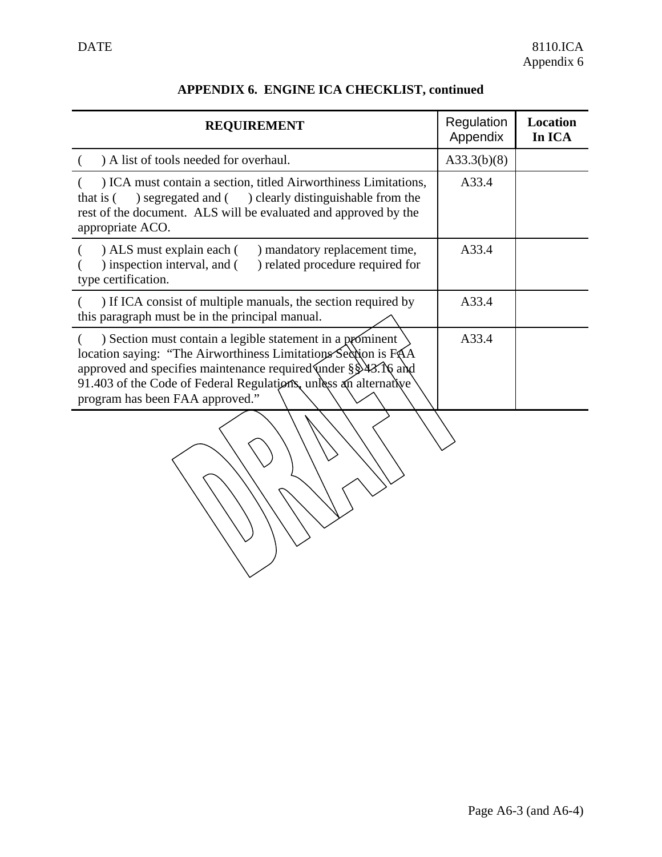|  |  | APPENDIX 6. ENGINE ICA CHECKLIST, continued |  |  |
|--|--|---------------------------------------------|--|--|
|--|--|---------------------------------------------|--|--|

| <b>REQUIREMENT</b>                                                                                                                                                                                                                                                                                       | Regulation<br>Appendix | <b>Location</b><br>In ICA |
|----------------------------------------------------------------------------------------------------------------------------------------------------------------------------------------------------------------------------------------------------------------------------------------------------------|------------------------|---------------------------|
| ) A list of tools needed for overhaul.                                                                                                                                                                                                                                                                   | A33.3(b)(8)            |                           |
| ) ICA must contain a section, titled Airworthiness Limitations,<br>that is $($ ) segregated and $($ ) clearly distinguishable from the<br>rest of the document. ALS will be evaluated and approved by the<br>appropriate ACO.                                                                            | A33.4                  |                           |
| ) ALS must explain each (<br>) mandatory replacement time,<br>) inspection interval, and (<br>) related procedure required for<br>type certification.                                                                                                                                                    | A33.4                  |                           |
| ) If ICA consist of multiple manuals, the section required by<br>this paragraph must be in the principal manual.                                                                                                                                                                                         | A33.4                  |                           |
| ) Section must contain a legible statement in a prominent<br>location saying: "The Airworthiness Limitations Section is F&A<br>approved and specifies maintenance required under $\S$ \$43.16 and<br>91.403 of the Code of Federal Regulations, unless an alternative<br>program has been FAA approved." | A33.4                  |                           |
|                                                                                                                                                                                                                                                                                                          |                        |                           |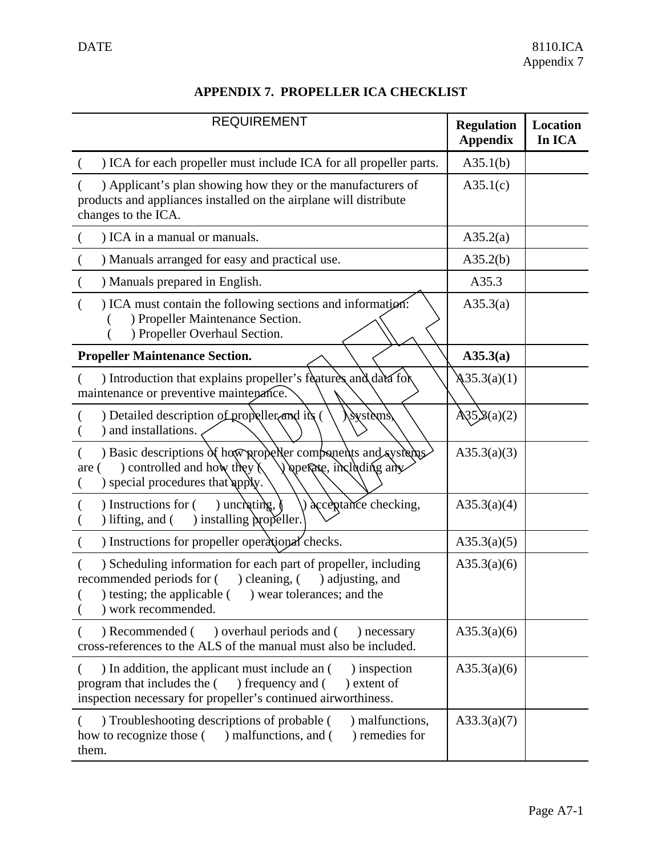|  | APPENDIX 7. PROPELLER ICA CHECKLIST |  |
|--|-------------------------------------|--|
|--|-------------------------------------|--|

| <b>REQUIREMENT</b>                                                                                                                                                                                                    | <b>Regulation</b><br><b>Appendix</b> | Location<br>In ICA |
|-----------------------------------------------------------------------------------------------------------------------------------------------------------------------------------------------------------------------|--------------------------------------|--------------------|
| ) ICA for each propeller must include ICA for all propeller parts.                                                                                                                                                    | A35.1(b)                             |                    |
| ) Applicant's plan showing how they or the manufacturers of<br>products and appliances installed on the airplane will distribute<br>changes to the ICA.                                                               | A35.1(c)                             |                    |
| ) ICA in a manual or manuals.                                                                                                                                                                                         | A35.2(a)                             |                    |
| ) Manuals arranged for easy and practical use.                                                                                                                                                                        | A35.2(b)                             |                    |
| ) Manuals prepared in English.                                                                                                                                                                                        | A35.3                                |                    |
| ) ICA must contain the following sections and information:<br>$\left($<br>) Propeller Maintenance Section.<br>) Propeller Overhaul Section.                                                                           | A35.3(a)                             |                    |
| <b>Propeller Maintenance Section.</b>                                                                                                                                                                                 | A35.3(a)                             |                    |
| ) Introduction that explains propeller's features and data for<br>maintenance or preventive maintenance.                                                                                                              | 435.3(a)(1)                          |                    |
| ) Detailed description of propeller and its $($<br>systems,<br>) and installations.                                                                                                                                   | A35,8(a)(2)                          |                    |
| ) Basic descriptions of how propeller components and systems<br>operate, including any<br>) controlled and how they $\Diamond$<br>are<br>) special procedures that apply.                                             | A35.3(a)(3)                          |                    |
| ) Instructions for (<br>) uncrating, $\phi$<br>acceptance checking,<br>) installing propeller.<br>) lifting, and $($                                                                                                  | A35.3(a)(4)                          |                    |
| ) Instructions for propeller operational checks.                                                                                                                                                                      | A35.3(a)(5)                          |                    |
| ) Scheduling information for each part of propeller, including<br>recommended periods for (<br>$)$ cleaning, $($<br>) adjusting, and<br>) testing; the applicable ( ) wear tolerances; and the<br>) work recommended. | A35.3(a)(6)                          |                    |
| ) overhaul periods and (<br>) Recommended (<br>) necessary<br>cross-references to the ALS of the manual must also be included.                                                                                        | A35.3(a)(6)                          |                    |
| ) In addition, the applicant must include an (<br>) inspection<br>€<br>program that includes the (<br>) frequency and (<br>) extent of<br>inspection necessary for propeller's continued airworthiness.               | A35.3(a)(6)                          |                    |
| ) malfunctions,<br>) Troubleshooting descriptions of probable (<br>how to recognize those (<br>) malfunctions, and (<br>) remedies for<br>them.                                                                       | A33.3(a)(7)                          |                    |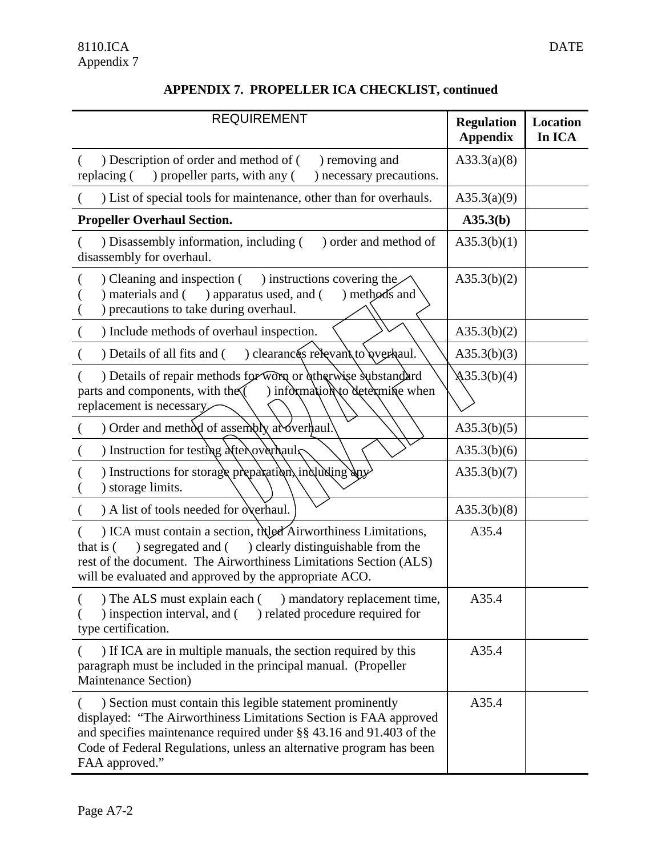# **APPENDIX 7. PROPELLER ICA CHECKLIST, continued**

| <b>REQUIREMENT</b>                                                                                                                                                                                                                                                                                 | <b>Regulation</b><br><b>Appendix</b> | <b>Location</b><br>In ICA |
|----------------------------------------------------------------------------------------------------------------------------------------------------------------------------------------------------------------------------------------------------------------------------------------------------|--------------------------------------|---------------------------|
| ) Description of order and method of (<br>) removing and<br>replacing (<br>) propeller parts, with any (<br>) necessary precautions.                                                                                                                                                               | A33.3(a)(8)                          |                           |
| ) List of special tools for maintenance, other than for overhauls.                                                                                                                                                                                                                                 | A35.3(a)(9)                          |                           |
| <b>Propeller Overhaul Section.</b>                                                                                                                                                                                                                                                                 | A35.3(b)                             |                           |
| ) order and method of<br>) Disassembly information, including (<br>disassembly for overhaul.                                                                                                                                                                                                       | A35.3(b)(1)                          |                           |
| Cleaning and inspection () instructions covering the<br>) methods and<br>) materials and ( ) apparatus used, and (<br>) precautions to take during overhaul.                                                                                                                                       | A35.3(b)(2)                          |                           |
| ) Include methods of overhaul inspection.                                                                                                                                                                                                                                                          | A35.3(b)(2)                          |                           |
| ) clearances relevant to overhaul.<br>) Details of all fits and (                                                                                                                                                                                                                                  | A35.3(b)(3)                          |                           |
| Details of repair methods for word or otherwise substandard<br>) information to determine when<br>parts and components, with the<br>replacement is necessary                                                                                                                                       | $\frac{\text{A35.3(b)(4)}}{ }$       |                           |
| ) Order and method of assembly arrowerhaul.                                                                                                                                                                                                                                                        | A35.3(b)(5)                          |                           |
| ) Instruction for testing atter over hault                                                                                                                                                                                                                                                         | A35.3(b)(6)                          |                           |
| ) Instructions for storage preparation, including any<br>) storage limits.                                                                                                                                                                                                                         | A35.3(b)(7)                          |                           |
| ) A list of tools needed for overhaul.                                                                                                                                                                                                                                                             | A35.3(b)(8)                          |                           |
| ) ICA must contain a section, titled Airworthiness Limitations,<br>) segregated and (<br>) clearly distinguishable from the<br>that is (<br>rest of the document. The Airworthiness Limitations Section (ALS)<br>will be evaluated and approved by the appropriate ACO.                            | A35.4                                |                           |
| ) The ALS must explain each (<br>) mandatory replacement time,<br>) inspection interval, and (<br>) related procedure required for<br>type certification.                                                                                                                                          | A35.4                                |                           |
| ) If ICA are in multiple manuals, the section required by this<br>paragraph must be included in the principal manual. (Propeller<br>Maintenance Section)                                                                                                                                           | A35.4                                |                           |
| ) Section must contain this legible statement prominently<br>displayed: "The Airworthiness Limitations Section is FAA approved<br>and specifies maintenance required under $\S$ § 43.16 and 91.403 of the<br>Code of Federal Regulations, unless an alternative program has been<br>FAA approved." | A35.4                                |                           |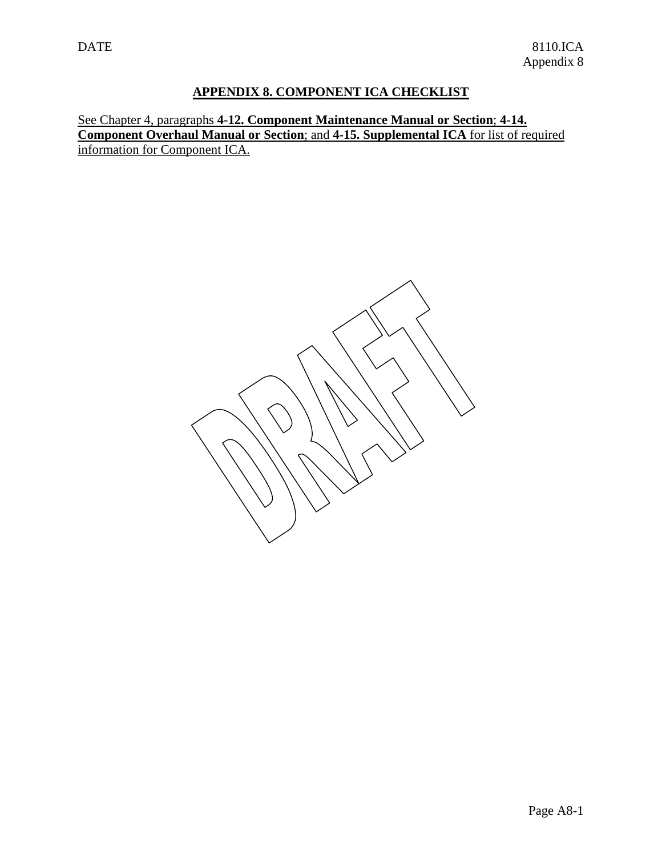# **APPENDIX 8. COMPONENT ICA CHECKLIST**

See Chapter 4, paragraphs **4-12. Component Maintenance Manual or Section**; **4-14. Component Overhaul Manual or Section**; and **4-15. Supplemental ICA** for list of required information for Component ICA.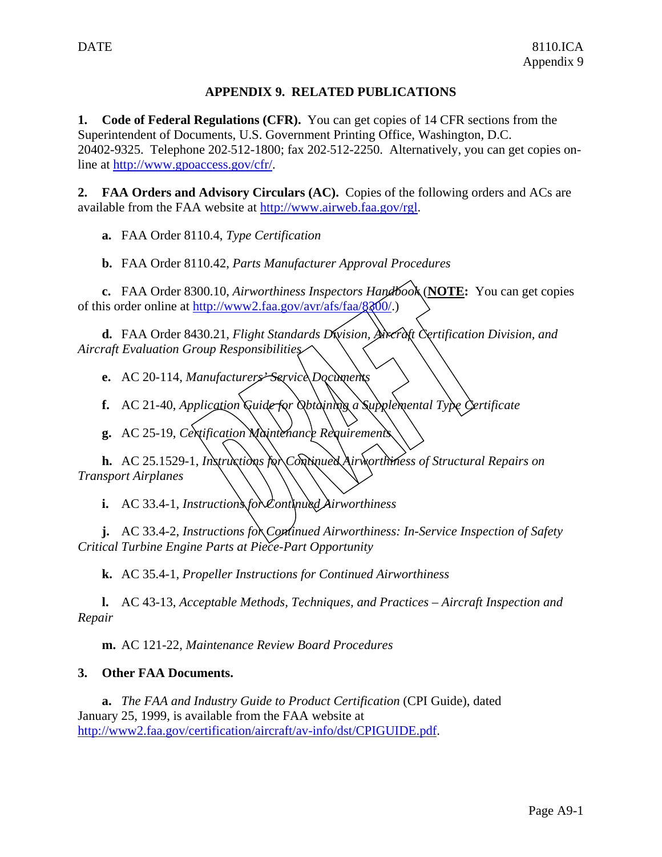## **APPENDIX 9. RELATED PUBLICATIONS**

**1. Code of Federal Regulations (CFR).** You can get copies of 14 CFR sections from the Superintendent of Documents, U.S. Government Printing Office, Washington, D.C. 20402-9325. Telephone 202-512-1800; fax 202-512-2250. Alternatively, you can get copies online at [http://www.gpoaccess.gov/cfr/.](http://www.gpoaccess.gov/cfr/)

**2. FAA Orders and Advisory Circulars (AC).** [Co](http://av-info.faa.gov/)pies of the following orders and ACs are available from the FAA website at [http://www.airweb.faa.gov/rgl.](http://www.airweb.faa.gov/rgl)

**a.** FAA Order 8110.4, *Type Certification*

**b.** FAA Order 8110.42, *Parts Manufacturer Approval Procedures*

**c.** FAA Order 8300.10, *Airworthiness Inspectors Handbook* (**NOTE:** You can get copies of this order online at [http://www2.faa.gov/avr/afs/faa/8300/.](http://www2.faa.gov/avr/afs/faa/8300/))

**d.** FAA Order 8430.21, *Flight Standards Division, Aircraft Certification Division, and Aircraft Evaluation Group Responsibilities*

**e.** AC 20-114, *Manufacturers' Service Documents*

- **f.** AC 21-40, *Application Guide for Obtaining a Supplemental Type Certificate*
- **g.** AC 25-19, *Certification Maintenance Requirements*

**h.** AC 25.1529-1, *Instructions for Continued Airworthiness of Structural Repairs on Transport Airplanes*

**i.** AC 33.4-1, *Instructions for Continued Airworthiness*

**j.** AC 33.4-2, *Instructions for Continued Airworthiness: In-Service Inspection of Safety Critical Turbine Engine Parts at Piece-Part Opportunity*

**k.** AC 35.4-1, *Propeller Instructions for Continued Airworthiness*

**l.** AC 43-13, *Acceptable Methods, Techniques, and Practices – Aircraft Inspection and Repair*

**m.** AC 121-22, *Maintenance Review Board Procedures*

#### **3. Other FAA Documents.**

**a.** *The FAA and Industry Guide to Product Certification* (CPI Guide), dated January 25, 1999, is available from the FAA website at [http://www2.faa.gov/certification/aircraft/av-info/dst/CPIGUIDE.pdf.](http://www2.faa.gov/certification/aircraft/av-info/dst/CPIGUIDE.pdf)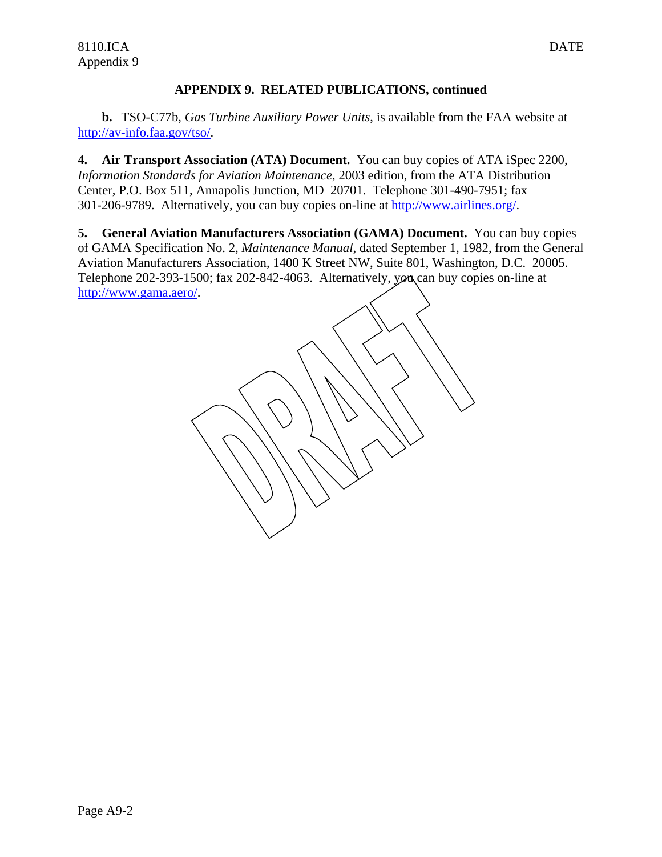### **APPENDIX 9. RELATED PUBLICATIONS, continued**

**b.** TSO-C77b, *Gas Turbine Auxiliary Power Units*, is available from the FAA website at [http://av-info.faa.gov/tso/.](http://av-info.faa.gov/tso/)

**4. Air Transport Association (ATA) Document.** You can buy copies of ATA iSpec 2200, *Information Standards for Aviation Maintenance*, 2003 edition, from the ATA Distribution Center, P.O. Box 511, Annapolis Junction, MD 20701. Telephone 301-490-7951; fax 301-206-9789. Alternatively, you can buy copies on-line at [http://www.airlines.org/.](http://www.airlines.org/)

**5. General Aviation Manufacturers Association (GAMA) Document.** You can buy copies of GAMA Specification No. 2, *Maintenance Manual*, dated September 1, 1982, from the General Aviation Manufacturers Association, 1400 K Street NW, Suite 801, Washington, D.C. 20005. Telephone 202-393-1500; fax 202-842-4063. Alternatively, you can buy copies on-line at [http://www.gama.aero/.](http://www.gama.aero/)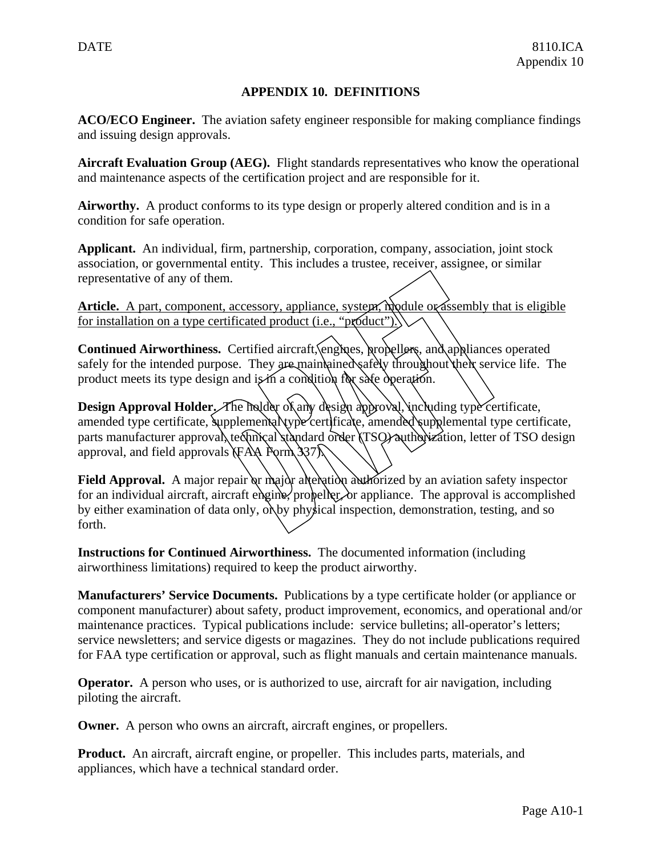### **APPENDIX 10. DEFINITIONS**

**ACO/ECO Engineer.** The aviation safety engineer responsible for making compliance findings and issuing design approvals.

**Aircraft Evaluation Group (AEG).** Flight standards representatives who know the operational and maintenance aspects of the certification project and are responsible for it.

**Airworthy.** A product conforms to its type design or properly altered condition and is in a condition for safe operation.

**Applicant.** An individual, firm, partnership, corporation, company, association, joint stock association, or governmental entity. This includes a trustee, receiver, assignee, or similar representative of any of them.

Article. A part, component, accessory, appliance, system, module or assembly that is eligible for installation on a type certificated product (i.e., "product")

Continued Airworthiness. Certified aircraft, engines, propellers, and appliances operated safely for the intended purpose. They are maintained safely throughout their service life. The product meets its type design and  $i \times n$  a condition for safe operation.

Design Approval Holder, The holder of any design approval, including type certificate, amended type certificate, supplemental type certificate, amended supplemental type certificate, parts manufacturer approval, technical standard order (TSO) authorization, letter of TSO design approval, and field approvals  $\forall$ FA $\forall$ A Form  $\exists$ 37).

Field Approval. A major repair or major alteration authorized by an aviation safety inspector for an individual aircraft, aircraft engine, propeller, or appliance. The approval is accomplished by either examination of data only,  $\partial \phi$  physical inspection, demonstration, testing, and so forth.

**Instructions for Continued Airworthiness.** The documented information (including airworthiness limitations) required to keep the product airworthy.

**Manufacturers' Service Documents.** Publications by a type certificate holder (or appliance or component manufacturer) about safety, product improvement, economics, and operational and/or maintenance practices. Typical publications include: service bulletins; all-operator's letters; service newsletters; and service digests or magazines. They do not include publications required for FAA type certification or approval, such as flight manuals and certain maintenance manuals.

**Operator.** A person who uses, or is authorized to use, aircraft for air navigation, including piloting the aircraft.

**Owner.** A person who owns an aircraft, aircraft engines, or propellers.

**Product.** An aircraft, aircraft engine, or propeller. This includes parts, materials, and appliances, which have a technical standard order.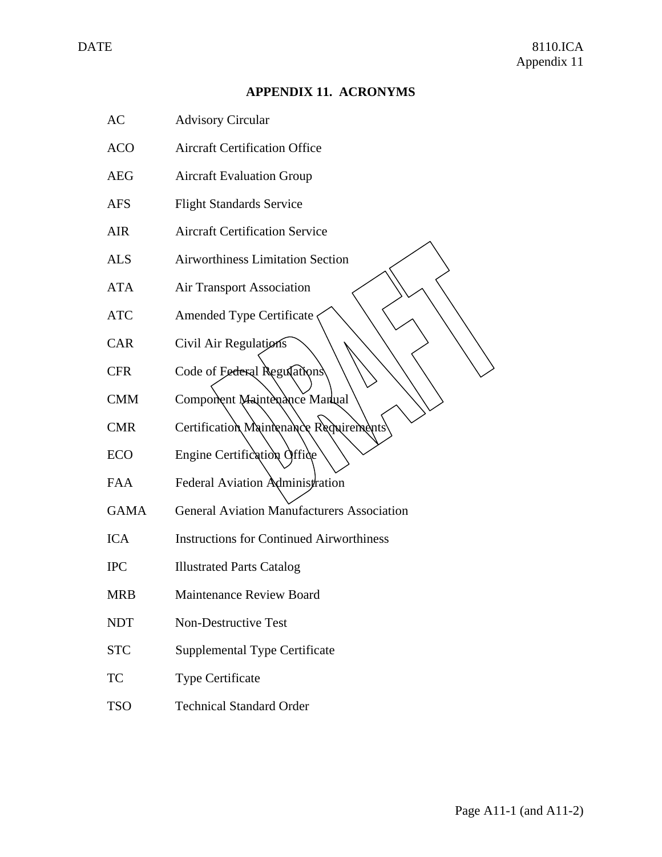### **APPENDIX 11. ACRONYMS**

- AC Advisory Circular
- ACO Aircraft Certification Office
- AEG Aircraft Evaluation Group
- AFS Flight Standards Service
- AIR Aircraft Certification Service
- ALS Airworthiness Limitation Section
- ATA Air Transport Association
- ATC Amended Type Certificate
- CAR Civil Air Regulations
- CFR Code of Federal Regulations
- CMM Component Maintenance Manual
- CMR Certification Maintenance Requirements
- ECO Engine Certification Office
- FAA Federal Aviation Administration
- GAMA General Aviation Manufacturers Association
- ICA Instructions for Continued Airworthiness
- IPC Illustrated Parts Catalog
- MRB Maintenance Review Board
- NDT Non-Destructive Test
- STC Supplemental Type Certificate
- TC Type Certificate
- TSO Technical Standard Order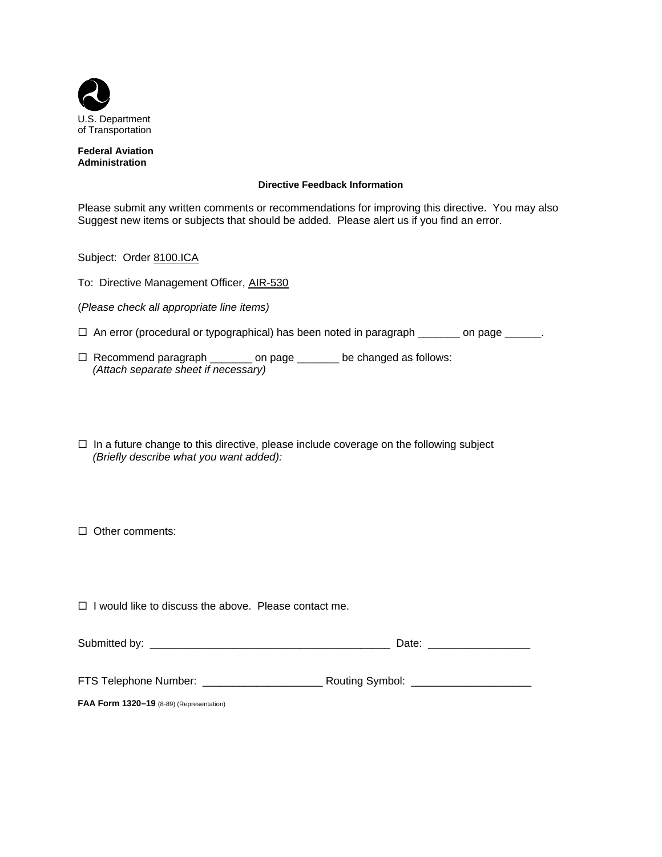

**Federal Aviation Administration**

#### **Directive Feedback Information**

Please submit any written comments or recommendations for improving this directive. You may also Suggest new items or subjects that should be added. Please alert us if you find an error.

#### Subject: Order 8100.ICA

- To: Directive Management Officer, AIR-530
- (*Please check all appropriate line items)*
- □ An error (procedural or typographical) has been noted in paragraph \_\_\_\_\_\_ on page \_\_\_\_\_\_.
- □ Recommend paragraph \_\_\_\_\_\_\_ on page \_\_\_\_\_\_ be changed as follows: *(Attach separate sheet if necessary)*
- $\Box$  In a future change to this directive, please include coverage on the following subject *(Briefly describe what you want added):*

 $\Box$  Other comments:

| Subr<br>. |  |
|-----------|--|
|           |  |

FTS Telephone Number: \_\_\_\_\_\_\_\_\_\_\_\_\_\_\_\_\_\_\_\_ Routing Symbol: \_\_\_\_\_\_\_\_\_\_\_\_\_\_\_\_\_\_\_\_

**FAA Form 1320–19** (8-89) (Representation)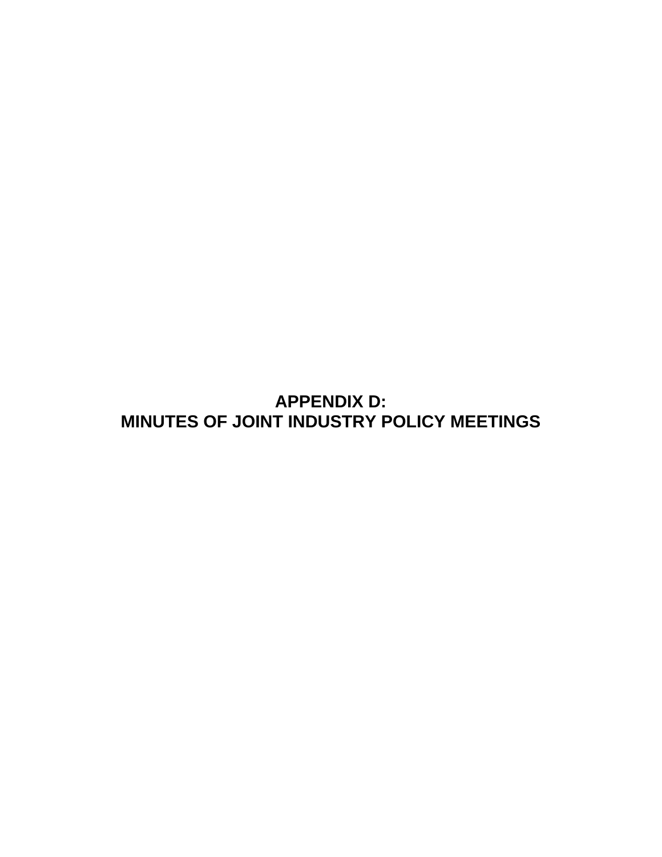**APPENDIX D: MINUTES OF JOINT INDUSTRY POLICY MEETINGS**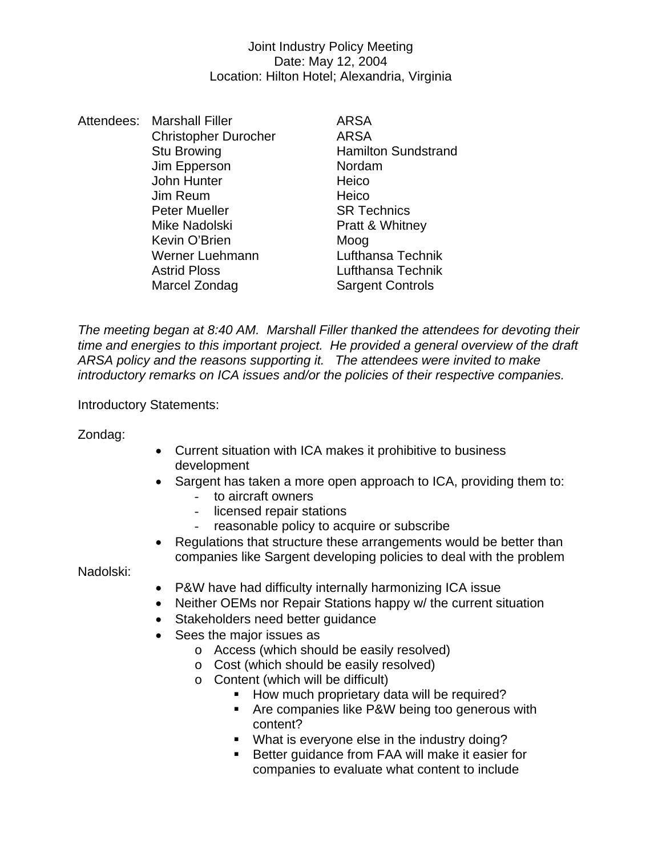Joint Industry Policy Meeting Date: May 12, 2004 Location: Hilton Hotel; Alexandria, Virginia

Attendees: Marshall Filler Christopher Durocher Stu Browing Jim Epperson John Hunter Jim Reum Peter Mueller Mike Nadolski Kevin O'Brien Werner Luehmann Astrid Ploss Marcel Zondag

ARSA ARSA Hamilton Sundstrand Nordam **Heico Heico** SR Technics Pratt & Whitney Moog Lufthansa Technik Lufthansa Technik Sargent Controls

*The meeting began at 8:40 AM. Marshall Filler thanked the attendees for devoting their time and energies to this important project. He provided a general overview of the draft ARSA policy and the reasons supporting it. The attendees were invited to make introductory remarks on ICA issues and/or the policies of their respective companies.* 

Introductory Statements:

Zondag:

- Current situation with ICA makes it prohibitive to business development
- Sargent has taken a more open approach to ICA, providing them to:
	- to aircraft owners
	- licensed repair stations
	- reasonable policy to acquire or subscribe
- Regulations that structure these arrangements would be better than companies like Sargent developing policies to deal with the problem

Nadolski:

- P&W have had difficulty internally harmonizing ICA issue
- Neither OEMs nor Repair Stations happy w/ the current situation
- Stakeholders need better guidance
- Sees the major issues as
	- o Access (which should be easily resolved)
	- o Cost (which should be easily resolved)
	- o Content (which will be difficult)
		- How much proprietary data will be required?
		- Are companies like P&W being too generous with content?
		- What is everyone else in the industry doing?
		- Better guidance from FAA will make it easier for companies to evaluate what content to include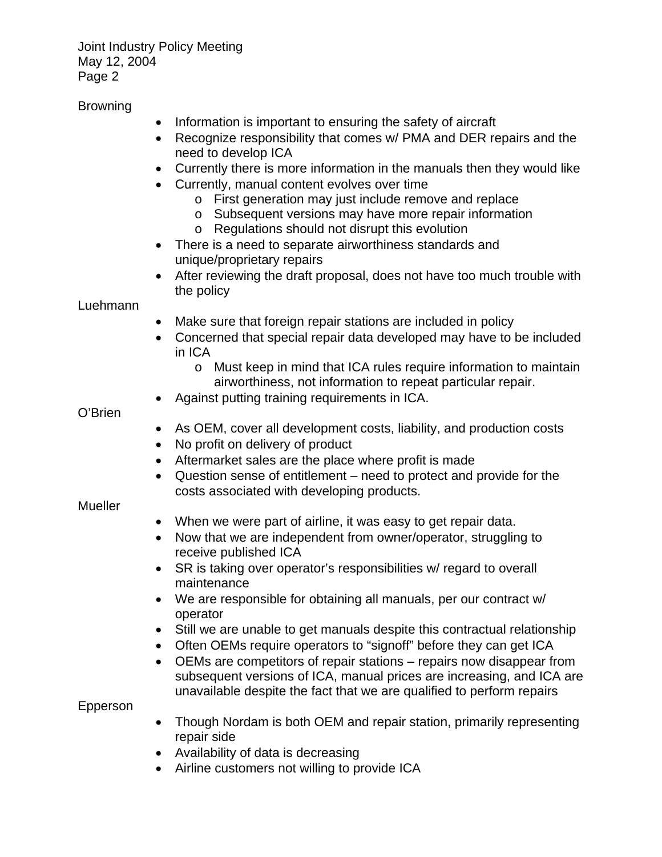## **Browning**

- Information is important to ensuring the safety of aircraft
- Recognize responsibility that comes w/ PMA and DER repairs and the need to develop ICA
- Currently there is more information in the manuals then they would like
- Currently, manual content evolves over time
	- o First generation may just include remove and replace
	- o Subsequent versions may have more repair information
	- o Regulations should not disrupt this evolution
- There is a need to separate airworthiness standards and unique/proprietary repairs
- After reviewing the draft proposal, does not have too much trouble with the policy

## Luehmann

- Make sure that foreign repair stations are included in policy
- Concerned that special repair data developed may have to be included in ICA
	- o Must keep in mind that ICA rules require information to maintain airworthiness, not information to repeat particular repair.
- Against putting training requirements in ICA.

## O'Brien

- As OEM, cover all development costs, liability, and production costs
- No profit on delivery of product
- Aftermarket sales are the place where profit is made
- Question sense of entitlement need to protect and provide for the costs associated with developing products.

# **Mueller**

- When we were part of airline, it was easy to get repair data.
- Now that we are independent from owner/operator, struggling to receive published ICA
- SR is taking over operator's responsibilities w/ regard to overall maintenance
- We are responsible for obtaining all manuals, per our contract w/ operator
- Still we are unable to get manuals despite this contractual relationship
- Often OEMs require operators to "signoff" before they can get ICA
- OEMs are competitors of repair stations repairs now disappear from subsequent versions of ICA, manual prices are increasing, and ICA are unavailable despite the fact that we are qualified to perform repairs

# Epperson

- Though Nordam is both OEM and repair station, primarily representing repair side
- Availability of data is decreasing
- Airline customers not willing to provide ICA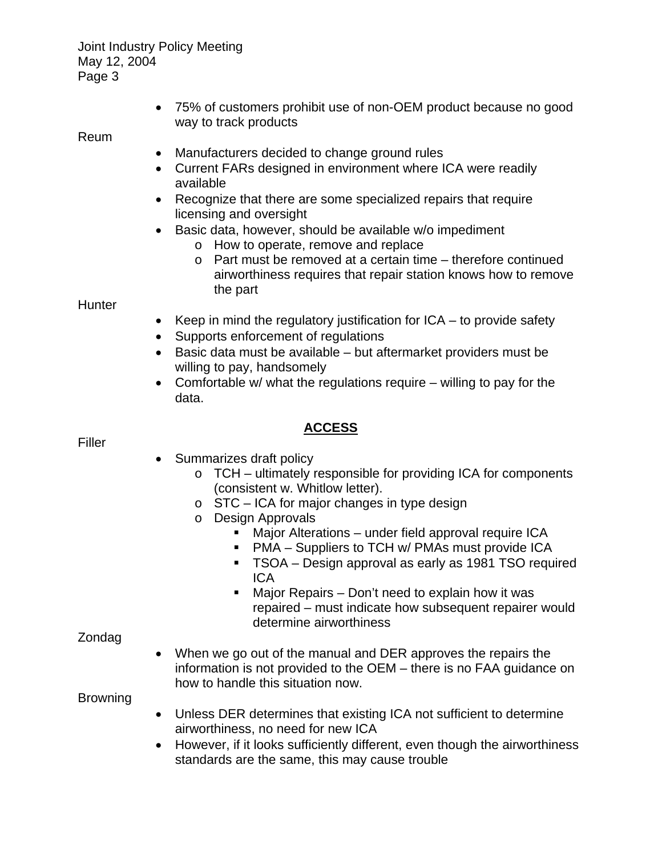> • 75% of customers prohibit use of non-OEM product because no good way to track products

Reum

- Manufacturers decided to change ground rules
- Current FARs designed in environment where ICA were readily available
- Recognize that there are some specialized repairs that require licensing and oversight
- Basic data, however, should be available w/o impediment
	- o How to operate, remove and replace
	- o Part must be removed at a certain time therefore continued airworthiness requires that repair station knows how to remove the part

**Hunter** 

- Keep in mind the regulatory justification for  $ICA -$  to provide safety
- Supports enforcement of regulations
- Basic data must be available but aftermarket providers must be willing to pay, handsomely
- Comfortable w/ what the regulations require willing to pay for the data.

### **Filler**

# **ACCESS**

- Summarizes draft policy
	- o TCH ultimately responsible for providing ICA for components (consistent w. Whitlow letter).
	- $\circ$  STC ICA for major changes in type design
	- o Design Approvals
		- Major Alterations under field approval require ICA
		- **PMA Suppliers to TCH w/ PMAs must provide ICA**
		- TSOA Design approval as early as 1981 TSO required ICA
		- Major Repairs Don't need to explain how it was repaired – must indicate how subsequent repairer would determine airworthiness

### Zondag

• When we go out of the manual and DER approves the repairs the information is not provided to the OEM – there is no FAA guidance on how to handle this situation now.

**Browning** 

- Unless DER determines that existing ICA not sufficient to determine airworthiness, no need for new ICA
- However, if it looks sufficiently different, even though the airworthiness standards are the same, this may cause trouble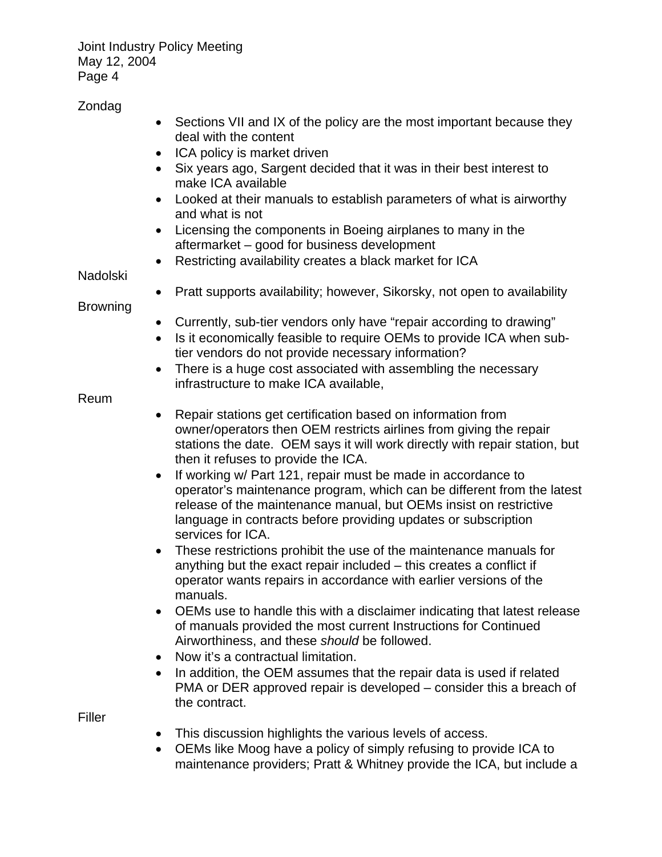### Zondag

- Sections VII and IX of the policy are the most important because they deal with the content
- ICA policy is market driven
- Six years ago, Sargent decided that it was in their best interest to make ICA available
- Looked at their manuals to establish parameters of what is airworthy and what is not
- Licensing the components in Boeing airplanes to many in the aftermarket – good for business development
- Restricting availability creates a black market for ICA

Nadolski

• Pratt supports availability; however, Sikorsky, not open to availability

**Browning** 

- Currently, sub-tier vendors only have "repair according to drawing"
- Is it economically feasible to require OEMs to provide ICA when subtier vendors do not provide necessary information?
- There is a huge cost associated with assembling the necessary infrastructure to make ICA available,

Reum

- Repair stations get certification based on information from owner/operators then OEM restricts airlines from giving the repair stations the date. OEM says it will work directly with repair station, but then it refuses to provide the ICA.
- If working w/ Part 121, repair must be made in accordance to operator's maintenance program, which can be different from the latest release of the maintenance manual, but OEMs insist on restrictive language in contracts before providing updates or subscription services for ICA.
- These restrictions prohibit the use of the maintenance manuals for anything but the exact repair included – this creates a conflict if operator wants repairs in accordance with earlier versions of the manuals.
- OEMs use to handle this with a disclaimer indicating that latest release of manuals provided the most current Instructions for Continued Airworthiness, and these *should* be followed.
- Now it's a contractual limitation.
- In addition, the OEM assumes that the repair data is used if related PMA or DER approved repair is developed – consider this a breach of the contract.

Filler

- This discussion highlights the various levels of access.
- OEMs like Moog have a policy of simply refusing to provide ICA to maintenance providers; Pratt & Whitney provide the ICA, but include a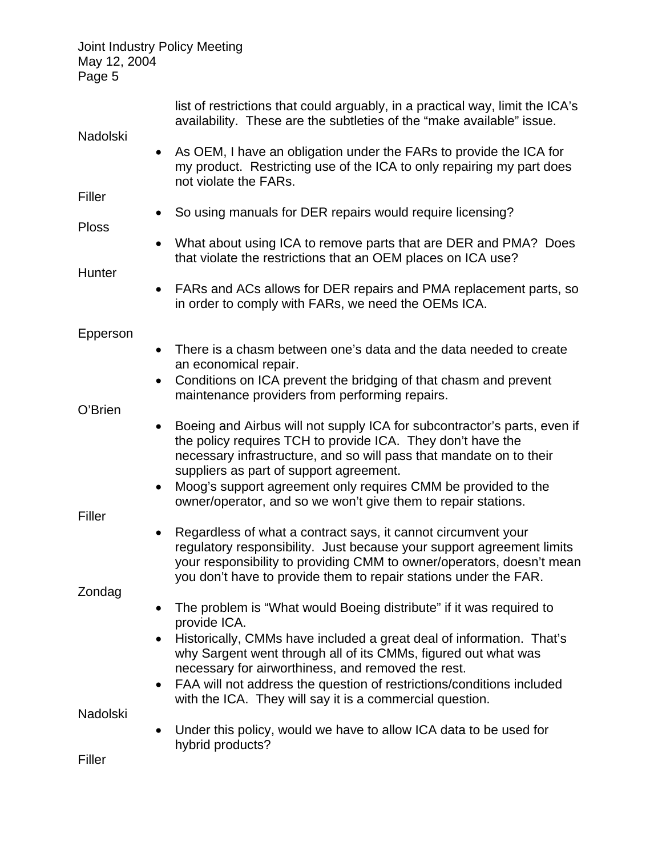| May 12, 2004<br>Page 5 |           | Joint Industry Policy Meeting                                                                                                                                                                                                                                                       |
|------------------------|-----------|-------------------------------------------------------------------------------------------------------------------------------------------------------------------------------------------------------------------------------------------------------------------------------------|
| Nadolski               |           | list of restrictions that could arguably, in a practical way, limit the ICA's<br>availability. These are the subtleties of the "make available" issue.                                                                                                                              |
|                        | $\bullet$ | As OEM, I have an obligation under the FARs to provide the ICA for<br>my product. Restricting use of the ICA to only repairing my part does<br>not violate the FARs.                                                                                                                |
| Filler                 |           | So using manuals for DER repairs would require licensing?                                                                                                                                                                                                                           |
| <b>Ploss</b>           |           |                                                                                                                                                                                                                                                                                     |
| Hunter                 | $\bullet$ | What about using ICA to remove parts that are DER and PMA? Does<br>that violate the restrictions that an OEM places on ICA use?                                                                                                                                                     |
|                        | $\bullet$ | FARs and ACs allows for DER repairs and PMA replacement parts, so<br>in order to comply with FARs, we need the OEMs ICA.                                                                                                                                                            |
| Epperson               |           |                                                                                                                                                                                                                                                                                     |
|                        | $\bullet$ | There is a chasm between one's data and the data needed to create<br>an economical repair.                                                                                                                                                                                          |
|                        | $\bullet$ | Conditions on ICA prevent the bridging of that chasm and prevent<br>maintenance providers from performing repairs.                                                                                                                                                                  |
| O'Brien                |           |                                                                                                                                                                                                                                                                                     |
|                        | $\bullet$ | Boeing and Airbus will not supply ICA for subcontractor's parts, even if<br>the policy requires TCH to provide ICA. They don't have the<br>necessary infrastructure, and so will pass that mandate on to their                                                                      |
|                        |           | suppliers as part of support agreement.<br>Moog's support agreement only requires CMM be provided to the                                                                                                                                                                            |
| Filler                 |           | owner/operator, and so we won't give them to repair stations.                                                                                                                                                                                                                       |
|                        |           | Regardless of what a contract says, it cannot circumvent your<br>regulatory responsibility. Just because your support agreement limits<br>your responsibility to providing CMM to owner/operators, doesn't mean<br>you don't have to provide them to repair stations under the FAR. |
| Zondag                 |           |                                                                                                                                                                                                                                                                                     |
|                        | $\bullet$ | The problem is "What would Boeing distribute" if it was required to<br>provide ICA.                                                                                                                                                                                                 |
|                        | $\bullet$ | Historically, CMMs have included a great deal of information. That's<br>why Sargent went through all of its CMMs, figured out what was                                                                                                                                              |
|                        | $\bullet$ | necessary for airworthiness, and removed the rest.<br>FAA will not address the question of restrictions/conditions included<br>with the ICA. They will say it is a commercial question.                                                                                             |
| Nadolski               |           |                                                                                                                                                                                                                                                                                     |
|                        | $\bullet$ | Under this policy, would we have to allow ICA data to be used for<br>hybrid products?                                                                                                                                                                                               |
| Filler                 |           |                                                                                                                                                                                                                                                                                     |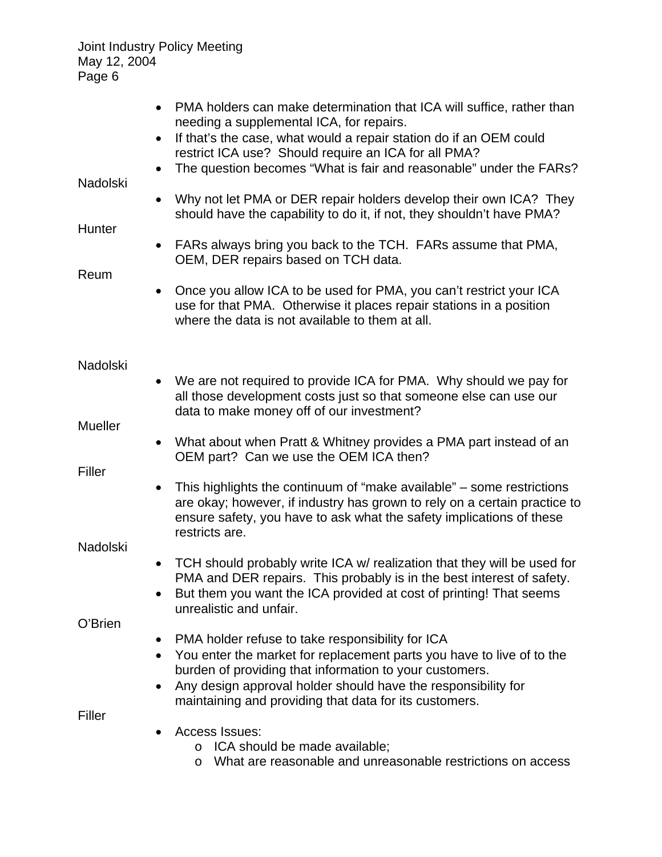|                | PMA holders can make determination that ICA will suffice, rather than<br>$\bullet$<br>needing a supplemental ICA, for repairs.<br>If that's the case, what would a repair station do if an OEM could<br>$\bullet$<br>restrict ICA use? Should require an ICA for all PMA?<br>The question becomes "What is fair and reasonable" under the FARs? |
|----------------|-------------------------------------------------------------------------------------------------------------------------------------------------------------------------------------------------------------------------------------------------------------------------------------------------------------------------------------------------|
| Nadolski       | Why not let PMA or DER repair holders develop their own ICA? They<br>should have the capability to do it, if not, they shouldn't have PMA?                                                                                                                                                                                                      |
| Hunter         | FARs always bring you back to the TCH. FARs assume that PMA,<br>٠<br>OEM, DER repairs based on TCH data.                                                                                                                                                                                                                                        |
| Reum           | Once you allow ICA to be used for PMA, you can't restrict your ICA<br>$\bullet$<br>use for that PMA. Otherwise it places repair stations in a position<br>where the data is not available to them at all.                                                                                                                                       |
| Nadolski       | • We are not required to provide ICA for PMA. Why should we pay for                                                                                                                                                                                                                                                                             |
| <b>Mueller</b> | all those development costs just so that someone else can use our<br>data to make money off of our investment?                                                                                                                                                                                                                                  |
|                | What about when Pratt & Whitney provides a PMA part instead of an<br>$\bullet$<br>OEM part? Can we use the OEM ICA then?                                                                                                                                                                                                                        |
| Filler         | This highlights the continuum of "make available" - some restrictions<br>$\bullet$<br>are okay; however, if industry has grown to rely on a certain practice to<br>ensure safety, you have to ask what the safety implications of these<br>restricts are.                                                                                       |
| Nadolski       | TCH should probably write ICA w/ realization that they will be used for<br>PMA and DER repairs. This probably is in the best interest of safety.<br>But them you want the ICA provided at cost of printing! That seems<br>unrealistic and unfair.                                                                                               |
| O'Brien        | PMA holder refuse to take responsibility for ICA<br>You enter the market for replacement parts you have to live of to the<br>burden of providing that information to your customers.                                                                                                                                                            |
| Filler         | Any design approval holder should have the responsibility for<br>maintaining and providing that data for its customers.                                                                                                                                                                                                                         |
|                | Access Issues:<br>$\circ$ ICA should be made available;<br>What are reasonable and unreasonable restrictions on access<br>$\circ$                                                                                                                                                                                                               |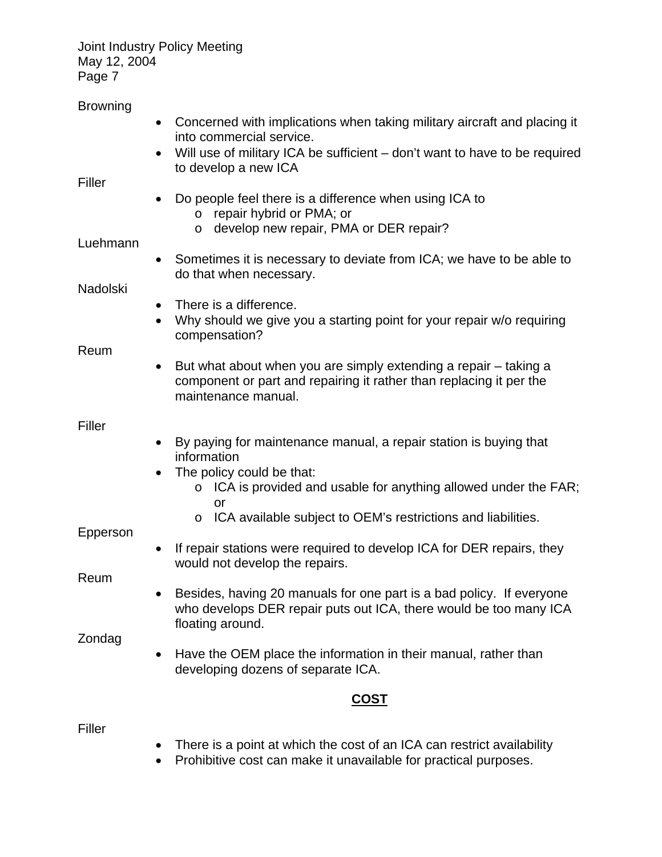## **Browning**

- Concerned with implications when taking military aircraft and placing it into commercial service.
- Will use of military ICA be sufficient don't want to have to be required to develop a new ICA

Filler

- Do people feel there is a difference when using ICA to o repair hybrid or PMA; or
	- o develop new repair, PMA or DER repair?

### Luehmann

• Sometimes it is necessary to deviate from ICA; we have to be able to do that when necessary.

#### Nadolski

- There is a difference.
- Why should we give you a starting point for your repair w/o requiring compensation?

#### Reum

• But what about when you are simply extending a repair – taking a component or part and repairing it rather than replacing it per the maintenance manual.

#### Filler

- By paying for maintenance manual, a repair station is buying that information
- The policy could be that:
	- o ICA is provided and usable for anything allowed under the FAR; or
	- o ICA available subject to OEM's restrictions and liabilities.

#### Epperson

• If repair stations were required to develop ICA for DER repairs, they would not develop the repairs.

#### Reum

• Besides, having 20 manuals for one part is a bad policy. If everyone who develops DER repair puts out ICA, there would be too many ICA floating around.

### Zondag

• Have the OEM place the information in their manual, rather than developing dozens of separate ICA.

# **COST**

#### Filler

- There is a point at which the cost of an ICA can restrict availability
- Prohibitive cost can make it unavailable for practical purposes.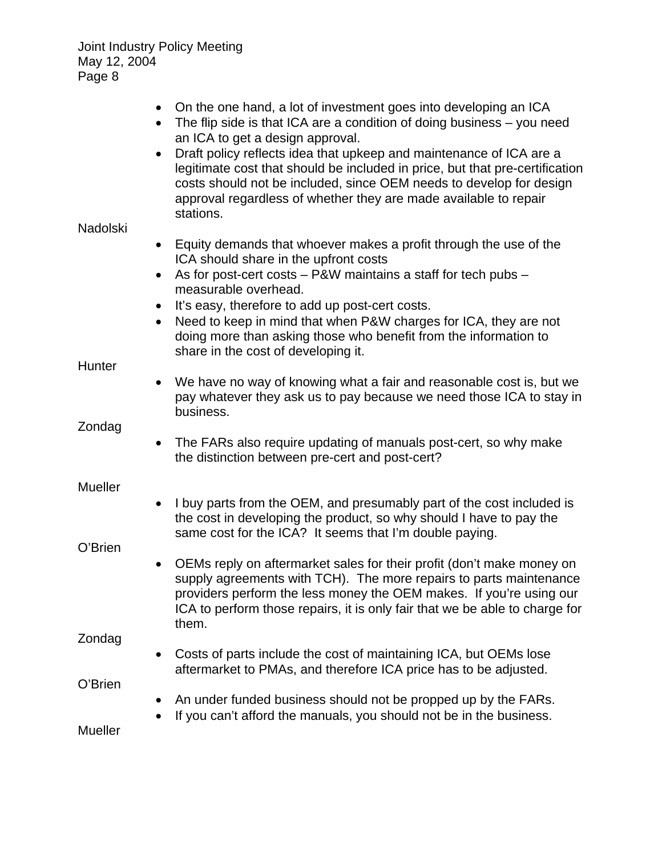- On the one hand, a lot of investment goes into developing an ICA
- The flip side is that ICA are a condition of doing business you need an ICA to get a design approval.
- Draft policy reflects idea that upkeep and maintenance of ICA are a legitimate cost that should be included in price, but that pre-certification costs should not be included, since OEM needs to develop for design approval regardless of whether they are made available to repair stations.

### Nadolski

- Equity demands that whoever makes a profit through the use of the ICA should share in the upfront costs
- As for post-cert costs P&W maintains a staff for tech pubs measurable overhead.
- It's easy, therefore to add up post-cert costs.
- Need to keep in mind that when P&W charges for ICA, they are not doing more than asking those who benefit from the information to share in the cost of developing it.

#### **Hunter**

• We have no way of knowing what a fair and reasonable cost is, but we pay whatever they ask us to pay because we need those ICA to stay in business.

#### Zondag

• The FARs also require updating of manuals post-cert, so why make the distinction between pre-cert and post-cert?

#### **Mueller**

• I buy parts from the OEM, and presumably part of the cost included is the cost in developing the product, so why should I have to pay the same cost for the ICA? It seems that I'm double paying.

### O'Brien

• OEMs reply on aftermarket sales for their profit (don't make money on supply agreements with TCH). The more repairs to parts maintenance providers perform the less money the OEM makes. If you're using our ICA to perform those repairs, it is only fair that we be able to charge for them.

Zondag

• Costs of parts include the cost of maintaining ICA, but OEMs lose aftermarket to PMAs, and therefore ICA price has to be adjusted.

O'Brien

- An under funded business should not be propped up by the FARs.
- If you can't afford the manuals, you should not be in the business.

**Mueller**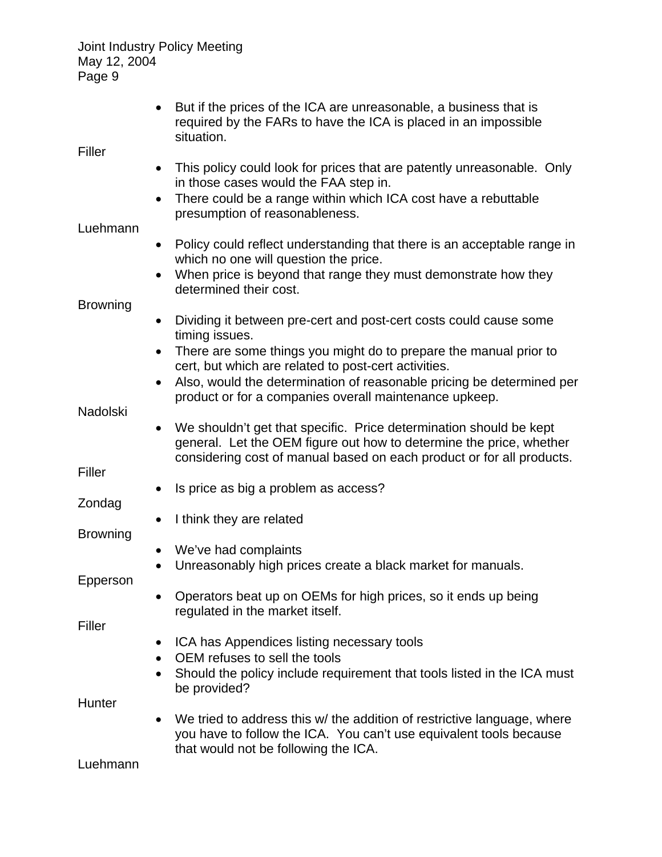> • But if the prices of the ICA are unreasonable, a business that is required by the FARs to have the ICA is placed in an impossible situation.

Filler

- This policy could look for prices that are patently unreasonable. Only in those cases would the FAA step in.
- There could be a range within which ICA cost have a rebuttable presumption of reasonableness.

Luehmann

- Policy could reflect understanding that there is an acceptable range in which no one will question the price.
- When price is beyond that range they must demonstrate how they determined their cost.

**Browning** 

- Dividing it between pre-cert and post-cert costs could cause some timing issues.
- There are some things you might do to prepare the manual prior to cert, but which are related to post-cert activities.
- Also, would the determination of reasonable pricing be determined per product or for a companies overall maintenance upkeep.

Nadolski

• We shouldn't get that specific. Price determination should be kept general. Let the OEM figure out how to determine the price, whether considering cost of manual based on each product or for all products.

Filler

• Is price as big a problem as access?

Zondag

• I think they are related

**Browning** 

- We've had complaints
- Unreasonably high prices create a black market for manuals.

Epperson

• Operators beat up on OEMs for high prices, so it ends up being regulated in the market itself.

Filler

- ICA has Appendices listing necessary tools
- OEM refuses to sell the tools
- Should the policy include requirement that tools listed in the ICA must be provided?

**Hunter** 

• We tried to address this w/ the addition of restrictive language, where you have to follow the ICA. You can't use equivalent tools because that would not be following the ICA.

Luehmann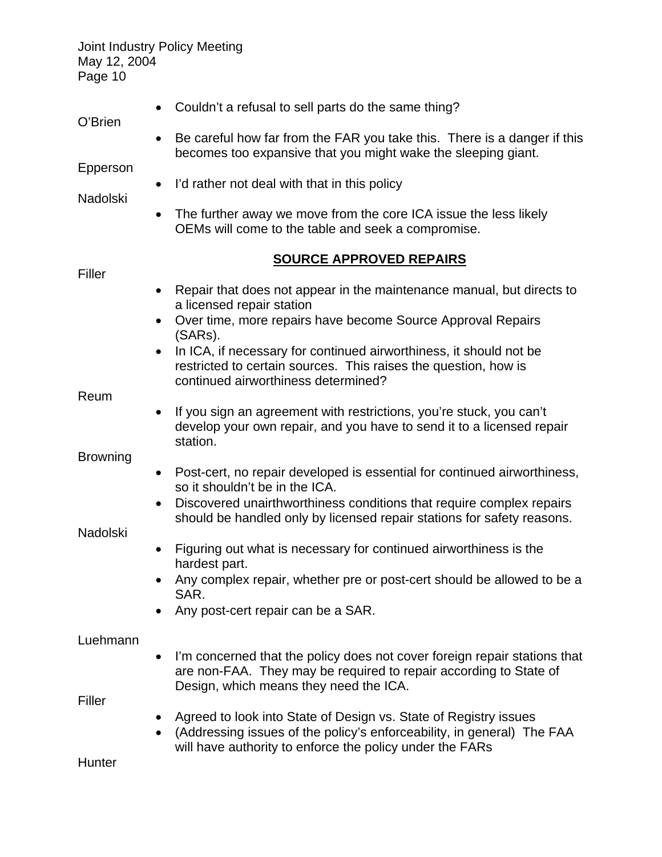• Couldn't a refusal to sell parts do the same thing? O'Brien • Be careful how far from the FAR you take this. There is a danger if this becomes too expansive that you might wake the sleeping giant. Epperson • I'd rather not deal with that in this policy Nadolski • The further away we move from the core ICA issue the less likely OEMs will come to the table and seek a compromise. **SOURCE APPROVED REPAIRS** Filler • Repair that does not appear in the maintenance manual, but directs to a licensed repair station • Over time, more repairs have become Source Approval Repairs (SARs). • In ICA, if necessary for continued airworthiness, it should not be restricted to certain sources. This raises the question, how is continued airworthiness determined? Reum • If you sign an agreement with restrictions, you're stuck, you can't develop your own repair, and you have to send it to a licensed repair station. **Browning** • Post-cert, no repair developed is essential for continued airworthiness, so it shouldn't be in the ICA. • Discovered unairthworthiness conditions that require complex repairs should be handled only by licensed repair stations for safety reasons. Nadolski • Figuring out what is necessary for continued airworthiness is the hardest part. • Any complex repair, whether pre or post-cert should be allowed to be a SAR. • Any post-cert repair can be a SAR. Luehmann • I'm concerned that the policy does not cover foreign repair stations that are non-FAA. They may be required to repair according to State of Design, which means they need the ICA. Filler • Agreed to look into State of Design vs. State of Registry issues • (Addressing issues of the policy's enforceability, in general) The FAA will have authority to enforce the policy under the FARs **Hunter**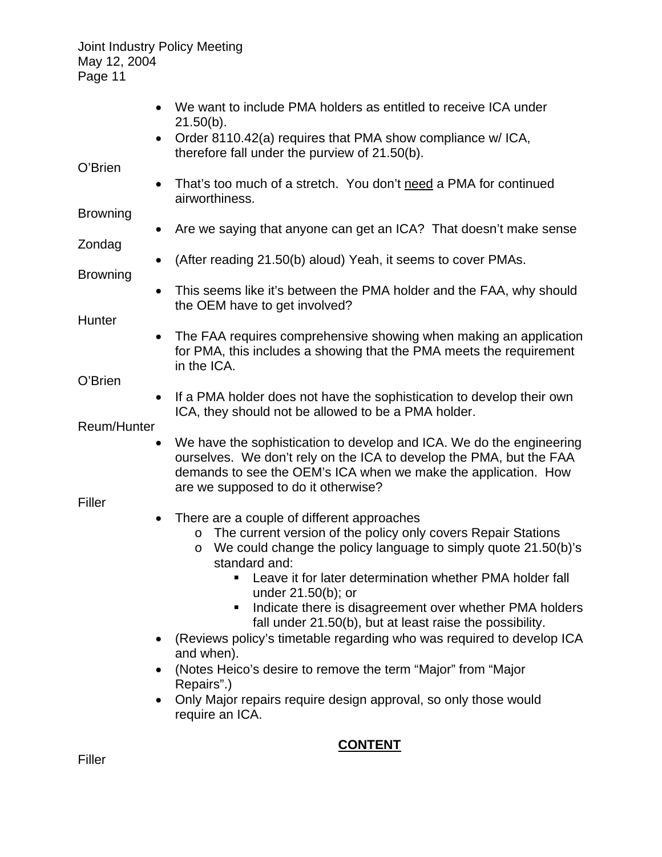- We want to include PMA holders as entitled to receive ICA under 21.50(b).
- Order 8110.42(a) requires that PMA show compliance w/ ICA, therefore fall under the purview of 21.50(b).

O'Brien

• That's too much of a stretch. You don't need a PMA for continued airworthiness.

**Browning** 

- Are we saying that anyone can get an ICA? That doesn't make sense
- (After reading 21.50(b) aloud) Yeah, it seems to cover PMAs.

**Browning** 

Zondag

• This seems like it's between the PMA holder and the FAA, why should the OEM have to get involved?

**Hunter** 

• The FAA requires comprehensive showing when making an application for PMA, this includes a showing that the PMA meets the requirement in the ICA.

O'Brien

If a PMA holder does not have the sophistication to develop their own ICA, they should not be allowed to be a PMA holder.

Reum/Hunter

• We have the sophistication to develop and ICA. We do the engineering ourselves. We don't rely on the ICA to develop the PMA, but the FAA demands to see the OEM's ICA when we make the application. How are we supposed to do it otherwise?

Filler

- There are a couple of different approaches
	- o The current version of the policy only covers Repair Stations
	- o We could change the policy language to simply quote 21.50(b)'s standard and:
		- **EXECT:** Leave it for later determination whether PMA holder fall under 21.50(b); or
		- Indicate there is disagreement over whether PMA holders fall under 21.50(b), but at least raise the possibility.
- (Reviews policy's timetable regarding who was required to develop ICA and when).
- (Notes Heico's desire to remove the term "Major" from "Major Repairs".)
- Only Major repairs require design approval, so only those would require an ICA.

# **CONTENT**

Filler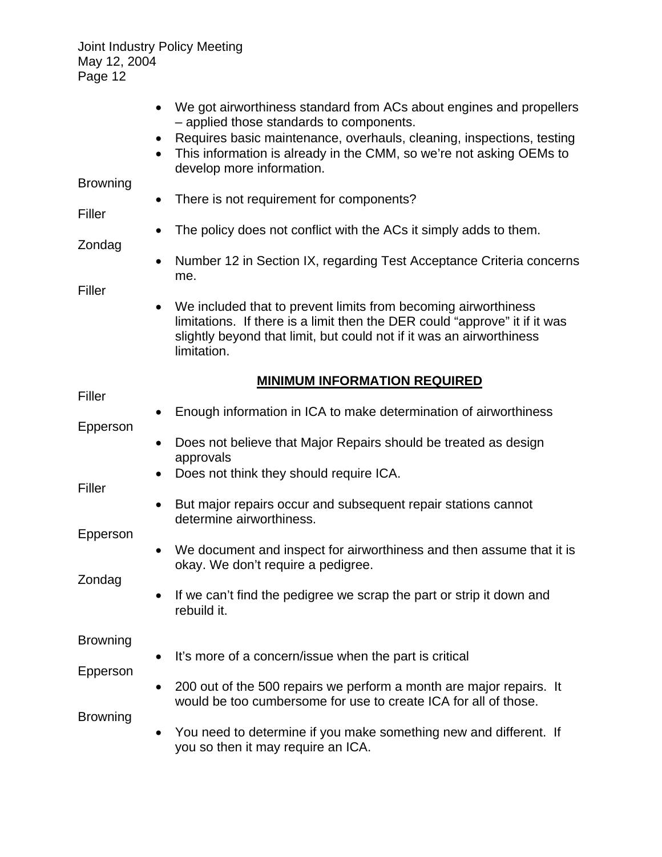|                           | We got airworthiness standard from ACs about engines and propellers<br>- applied those standards to components.<br>Requires basic maintenance, overhauls, cleaning, inspections, testing<br>$\bullet$<br>This information is already in the CMM, so we're not asking OEMs to<br>$\bullet$<br>develop more information. |
|---------------------------|------------------------------------------------------------------------------------------------------------------------------------------------------------------------------------------------------------------------------------------------------------------------------------------------------------------------|
| <b>Browning</b><br>Filler | There is not requirement for components?                                                                                                                                                                                                                                                                               |
| Zondag                    | The policy does not conflict with the ACs it simply adds to them.                                                                                                                                                                                                                                                      |
| Filler                    | Number 12 in Section IX, regarding Test Acceptance Criteria concerns<br>$\bullet$<br>me.                                                                                                                                                                                                                               |
|                           | We included that to prevent limits from becoming airworthiness<br>$\bullet$<br>limitations. If there is a limit then the DER could "approve" it if it was<br>slightly beyond that limit, but could not if it was an airworthiness<br>limitation.                                                                       |
|                           | <b>MINIMUM INFORMATION REQUIRED</b>                                                                                                                                                                                                                                                                                    |
| Filler                    | Enough information in ICA to make determination of airworthiness                                                                                                                                                                                                                                                       |
| Epperson                  | Does not believe that Major Repairs should be treated as design<br>approvals                                                                                                                                                                                                                                           |
| Filler                    | Does not think they should require ICA.<br>٠                                                                                                                                                                                                                                                                           |
|                           | But major repairs occur and subsequent repair stations cannot<br>determine airworthiness.                                                                                                                                                                                                                              |
| Epperson                  | We document and inspect for airworthiness and then assume that it is<br>$\bullet$<br>okay. We don't require a pedigree.                                                                                                                                                                                                |
| Zondag                    | If we can't find the pedigree we scrap the part or strip it down and<br>rebuild it.                                                                                                                                                                                                                                    |
| <b>Browning</b>           |                                                                                                                                                                                                                                                                                                                        |
| Epperson                  | It's more of a concern/issue when the part is critical                                                                                                                                                                                                                                                                 |
|                           | 200 out of the 500 repairs we perform a month are major repairs. It<br>would be too cumbersome for use to create ICA for all of those.                                                                                                                                                                                 |
| <b>Browning</b>           | You need to determine if you make something new and different. If<br>you so then it may require an ICA.                                                                                                                                                                                                                |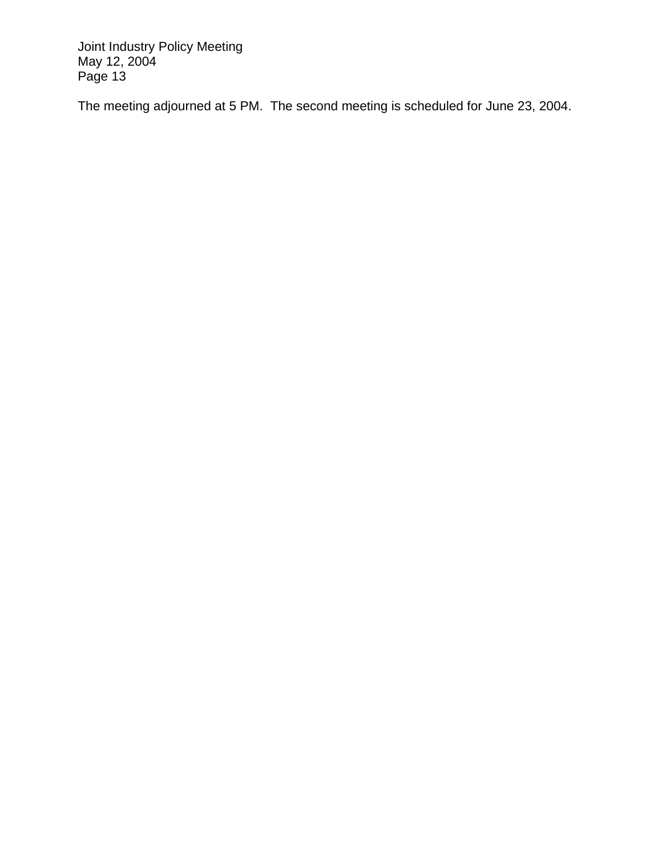The meeting adjourned at 5 PM. The second meeting is scheduled for June 23, 2004.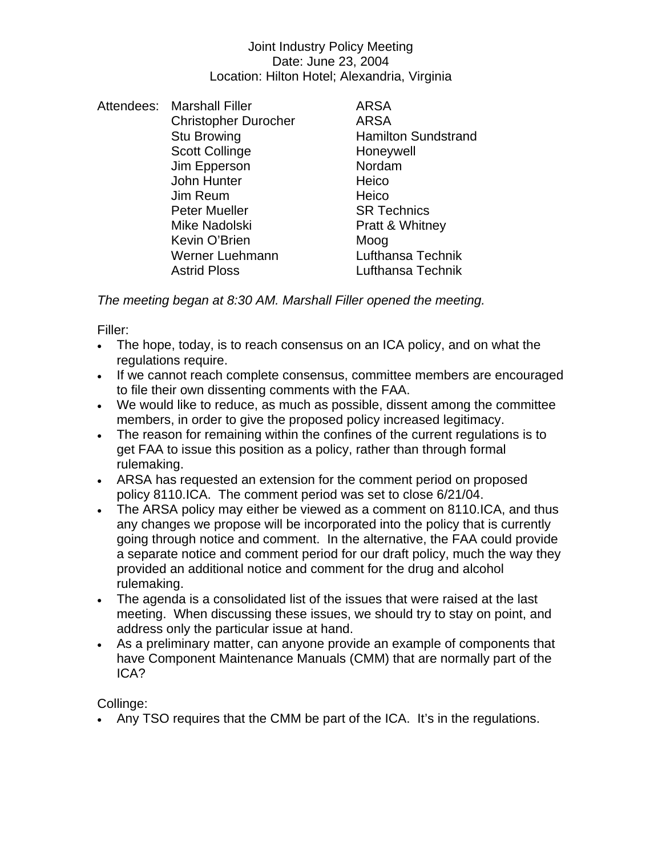Joint Industry Policy Meeting Date: June 23, 2004 Location: Hilton Hotel; Alexandria, Virginia

Attendees: Marshall Filler Christopher Durocher Stu Browing Scott Collinge Jim Epperson John Hunter Jim Reum Peter Mueller Mike Nadolski Kevin O'Brien Werner Luehmann Astrid Ploss

ARSA ARSA Hamilton Sundstrand Honeywell Nordam **Heico Heico** SR Technics Pratt & Whitney Moog Lufthansa Technik Lufthansa Technik

*The meeting began at 8:30 AM. Marshall Filler opened the meeting.* 

Filler:

- The hope, today, is to reach consensus on an ICA policy, and on what the regulations require.
- If we cannot reach complete consensus, committee members are encouraged to file their own dissenting comments with the FAA.
- We would like to reduce, as much as possible, dissent among the committee members, in order to give the proposed policy increased legitimacy.
- The reason for remaining within the confines of the current regulations is to get FAA to issue this position as a policy, rather than through formal rulemaking.
- ARSA has requested an extension for the comment period on proposed policy 8110.ICA. The comment period was set to close 6/21/04.
- The ARSA policy may either be viewed as a comment on 8110.ICA, and thus any changes we propose will be incorporated into the policy that is currently going through notice and comment. In the alternative, the FAA could provide a separate notice and comment period for our draft policy, much the way they provided an additional notice and comment for the drug and alcohol rulemaking.
- The agenda is a consolidated list of the issues that were raised at the last meeting. When discussing these issues, we should try to stay on point, and address only the particular issue at hand.
- As a preliminary matter, can anyone provide an example of components that have Component Maintenance Manuals (CMM) that are normally part of the ICA?

Collinge:

• Any TSO requires that the CMM be part of the ICA. It's in the regulations.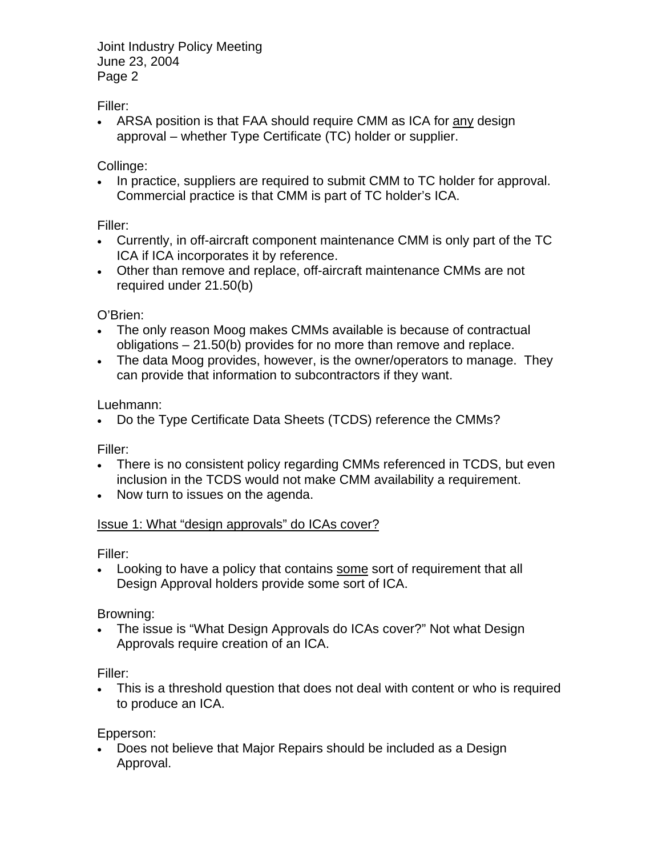Filler:

ARSA position is that FAA should require CMM as ICA for any design approval – whether Type Certificate (TC) holder or supplier.

Collinge:

• In practice, suppliers are required to submit CMM to TC holder for approval. Commercial practice is that CMM is part of TC holder's ICA.

Filler:

- Currently, in off-aircraft component maintenance CMM is only part of the TC ICA if ICA incorporates it by reference.
- Other than remove and replace, off-aircraft maintenance CMMs are not required under 21.50(b)

O'Brien:

- The only reason Moog makes CMMs available is because of contractual obligations – 21.50(b) provides for no more than remove and replace.
- The data Moog provides, however, is the owner/operators to manage. They can provide that information to subcontractors if they want.

Luehmann:

• Do the Type Certificate Data Sheets (TCDS) reference the CMMs?

Filler:

- There is no consistent policy regarding CMMs referenced in TCDS, but even inclusion in the TCDS would not make CMM availability a requirement.
- Now turn to issues on the agenda.

## Issue 1: What "design approvals" do ICAs cover?

Filler:

• Looking to have a policy that contains some sort of requirement that all Design Approval holders provide some sort of ICA.

Browning:

• The issue is "What Design Approvals do ICAs cover?" Not what Design Approvals require creation of an ICA.

Filler:

This is a threshold question that does not deal with content or who is required to produce an ICA.

Epperson:

• Does not believe that Major Repairs should be included as a Design Approval.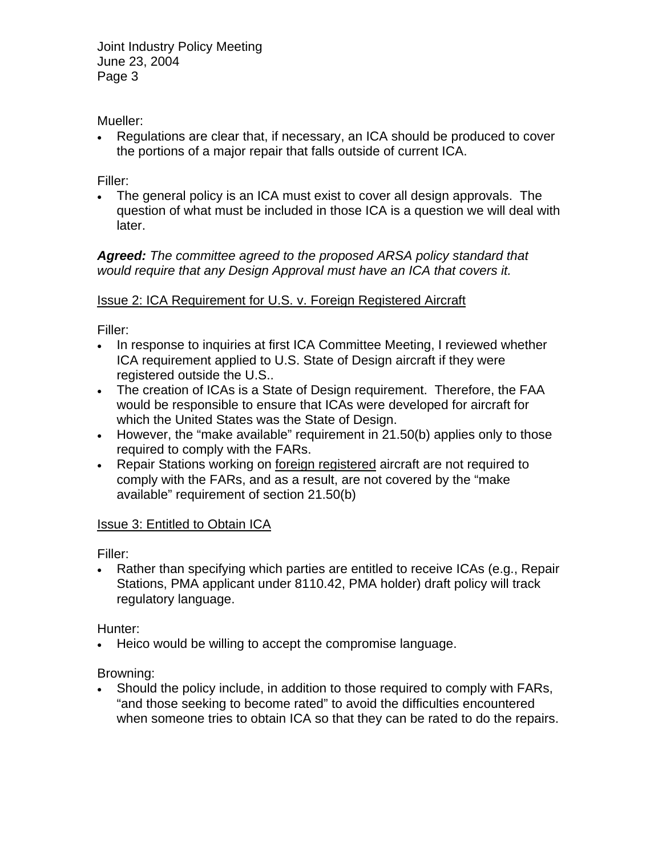Mueller:

• Regulations are clear that, if necessary, an ICA should be produced to cover the portions of a major repair that falls outside of current ICA.

Filler:

• The general policy is an ICA must exist to cover all design approvals. The question of what must be included in those ICA is a question we will deal with later.

*Agreed: The committee agreed to the proposed ARSA policy standard that would require that any Design Approval must have an ICA that covers it.*

# Issue 2: ICA Requirement for U.S. v. Foreign Registered Aircraft

Filler:

- In response to inquiries at first ICA Committee Meeting, I reviewed whether ICA requirement applied to U.S. State of Design aircraft if they were registered outside the U.S..
- The creation of ICAs is a State of Design requirement. Therefore, the FAA would be responsible to ensure that ICAs were developed for aircraft for which the United States was the State of Design.
- However, the "make available" requirement in 21.50(b) applies only to those required to comply with the FARs.
- Repair Stations working on foreign registered aircraft are not required to comply with the FARs, and as a result, are not covered by the "make available" requirement of section 21.50(b)

## Issue 3: Entitled to Obtain ICA

Filler:

• Rather than specifying which parties are entitled to receive ICAs (e.g., Repair Stations, PMA applicant under 8110.42, PMA holder) draft policy will track regulatory language.

Hunter:

• Heico would be willing to accept the compromise language.

Browning:

• Should the policy include, in addition to those required to comply with FARs, "and those seeking to become rated" to avoid the difficulties encountered when someone tries to obtain ICA so that they can be rated to do the repairs.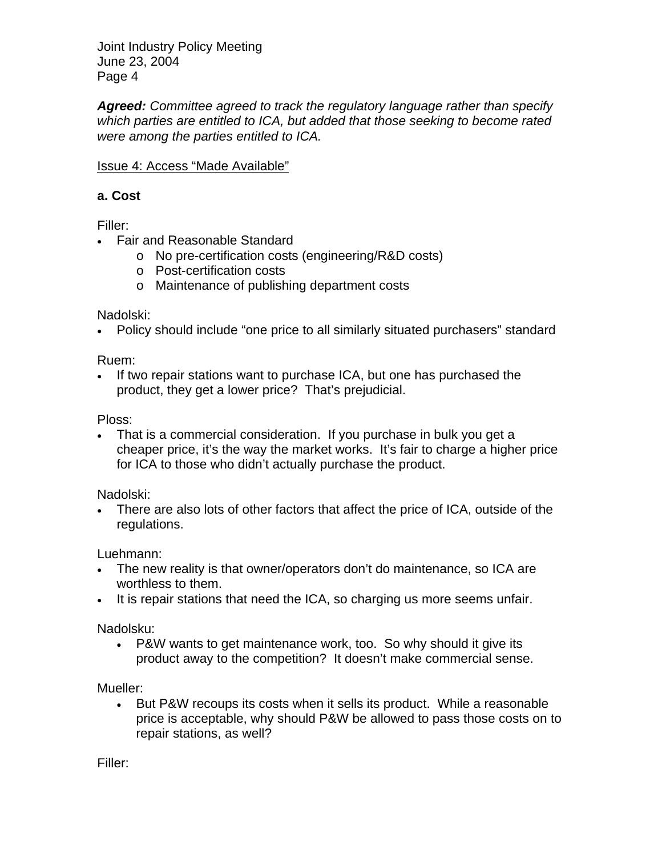*Agreed: Committee agreed to track the regulatory language rather than specify which parties are entitled to ICA, but added that those seeking to become rated were among the parties entitled to ICA.*

# Issue 4: Access "Made Available"

# **a. Cost**

Filler:

- Fair and Reasonable Standard
	- o No pre-certification costs (engineering/R&D costs)
	- o Post-certification costs
	- o Maintenance of publishing department costs

Nadolski:

• Policy should include "one price to all similarly situated purchasers" standard

Ruem:

• If two repair stations want to purchase ICA, but one has purchased the product, they get a lower price? That's prejudicial.

Ploss:

• That is a commercial consideration. If you purchase in bulk you get a cheaper price, it's the way the market works. It's fair to charge a higher price for ICA to those who didn't actually purchase the product.

Nadolski:

There are also lots of other factors that affect the price of ICA, outside of the regulations.

Luehmann:

- The new reality is that owner/operators don't do maintenance, so ICA are worthless to them.
- It is repair stations that need the ICA, so charging us more seems unfair.

Nadolsku:

• P&W wants to get maintenance work, too. So why should it give its product away to the competition? It doesn't make commercial sense.

Mueller:

• But P&W recoups its costs when it sells its product. While a reasonable price is acceptable, why should P&W be allowed to pass those costs on to repair stations, as well?

Filler: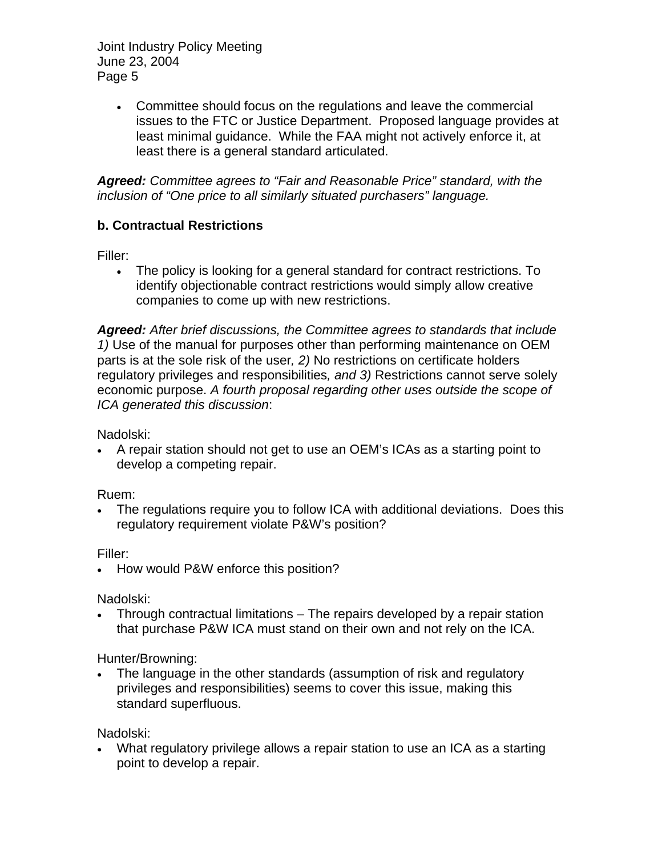> • Committee should focus on the regulations and leave the commercial issues to the FTC or Justice Department. Proposed language provides at least minimal guidance. While the FAA might not actively enforce it, at least there is a general standard articulated.

*Agreed: Committee agrees to "Fair and Reasonable Price" standard, with the inclusion of "One price to all similarly situated purchasers" language.*

# **b. Contractual Restrictions**

Filler:

• The policy is looking for a general standard for contract restrictions. To identify objectionable contract restrictions would simply allow creative companies to come up with new restrictions.

*Agreed: After brief discussions, the Committee agrees to standards that include 1)* Use of the manual for purposes other than performing maintenance on OEM parts is at the sole risk of the user*, 2)* No restrictions on certificate holders regulatory privileges and responsibilities*, and 3)* Restrictions cannot serve solely economic purpose. *A fourth proposal regarding other uses outside the scope of ICA generated this discussion*:

Nadolski:

• A repair station should not get to use an OEM's ICAs as a starting point to develop a competing repair.

Ruem:

The regulations require you to follow ICA with additional deviations. Does this regulatory requirement violate P&W's position?

Filler:

• How would P&W enforce this position?

Nadolski:

• Through contractual limitations – The repairs developed by a repair station that purchase P&W ICA must stand on their own and not rely on the ICA.

Hunter/Browning:

• The language in the other standards (assumption of risk and regulatory privileges and responsibilities) seems to cover this issue, making this standard superfluous.

Nadolski:

• What regulatory privilege allows a repair station to use an ICA as a starting point to develop a repair.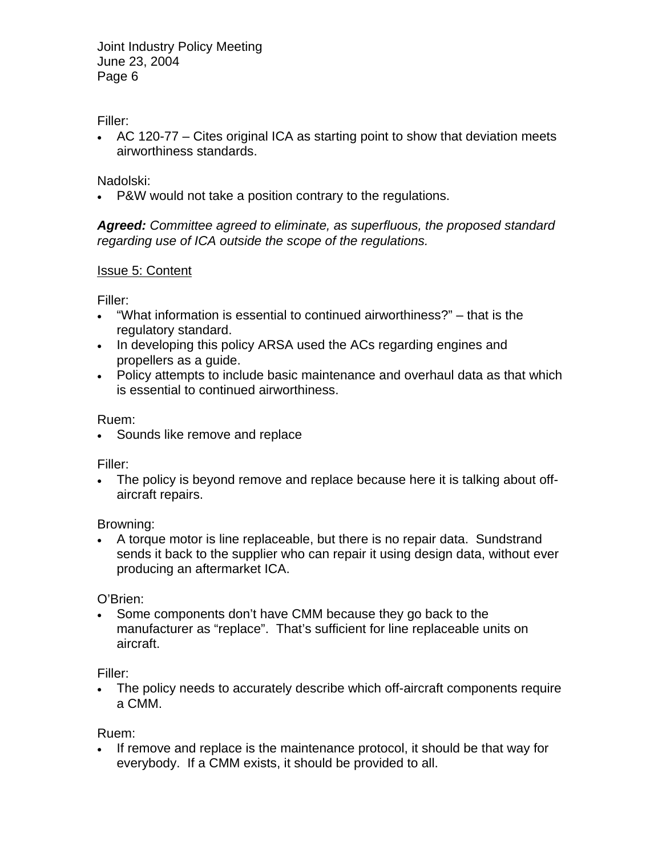Filler:

• AC 120-77 – Cites original ICA as starting point to show that deviation meets airworthiness standards.

Nadolski:

• P&W would not take a position contrary to the regulations.

*Agreed: Committee agreed to eliminate, as superfluous, the proposed standard regarding use of ICA outside the scope of the regulations.*

# Issue 5: Content

Filler:

- "What information is essential to continued airworthiness?" that is the regulatory standard.
- In developing this policy ARSA used the ACs regarding engines and propellers as a guide.
- Policy attempts to include basic maintenance and overhaul data as that which is essential to continued airworthiness.

Ruem:

• Sounds like remove and replace

Filler:

• The policy is beyond remove and replace because here it is talking about offaircraft repairs.

Browning:

• A torque motor is line replaceable, but there is no repair data. Sundstrand sends it back to the supplier who can repair it using design data, without ever producing an aftermarket ICA.

O'Brien:

Some components don't have CMM because they go back to the manufacturer as "replace". That's sufficient for line replaceable units on aircraft.

Filler:

• The policy needs to accurately describe which off-aircraft components require a CMM.

Ruem:

If remove and replace is the maintenance protocol, it should be that way for everybody. If a CMM exists, it should be provided to all.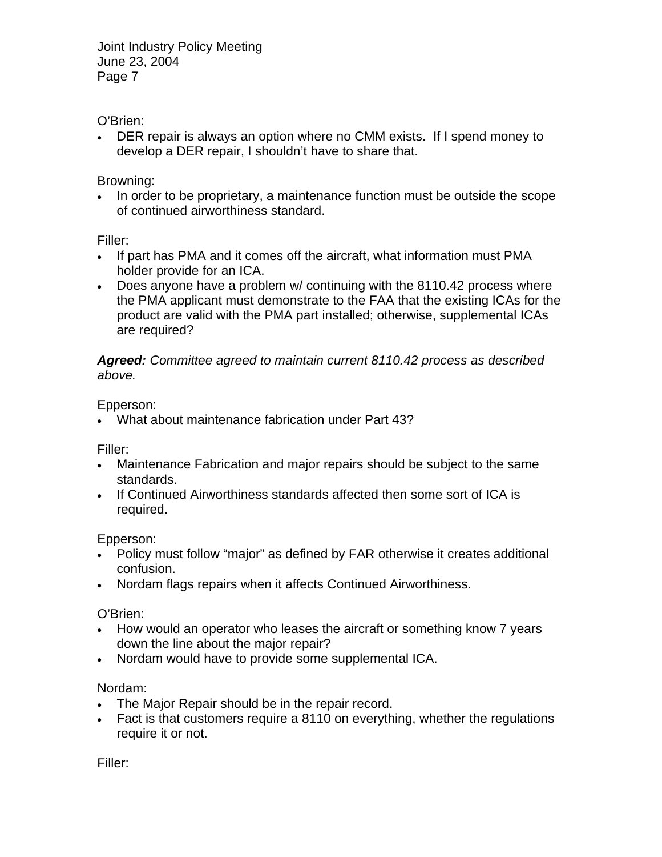O'Brien:

• DER repair is always an option where no CMM exists. If I spend money to develop a DER repair, I shouldn't have to share that.

Browning:

• In order to be proprietary, a maintenance function must be outside the scope of continued airworthiness standard.

Filler:

- If part has PMA and it comes off the aircraft, what information must PMA holder provide for an ICA.
- Does anyone have a problem w/ continuing with the 8110.42 process where the PMA applicant must demonstrate to the FAA that the existing ICAs for the product are valid with the PMA part installed; otherwise, supplemental ICAs are required?

*Agreed: Committee agreed to maintain current 8110.42 process as described above.*

Epperson:

• What about maintenance fabrication under Part 43?

Filler:

- Maintenance Fabrication and major repairs should be subject to the same standards.
- If Continued Airworthiness standards affected then some sort of ICA is required.

Epperson:

- Policy must follow "major" as defined by FAR otherwise it creates additional confusion.
- Nordam flags repairs when it affects Continued Airworthiness.

O'Brien:

- How would an operator who leases the aircraft or something know 7 years down the line about the major repair?
- Nordam would have to provide some supplemental ICA.

Nordam:

- The Major Repair should be in the repair record.
- Fact is that customers require a 8110 on everything, whether the regulations require it or not.

Filler: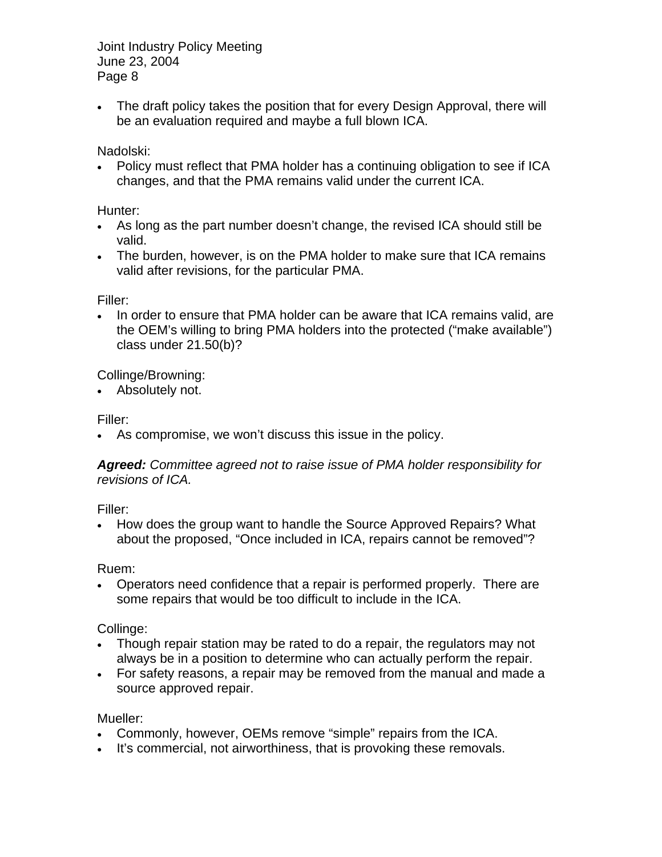• The draft policy takes the position that for every Design Approval, there will be an evaluation required and maybe a full blown ICA.

Nadolski:

• Policy must reflect that PMA holder has a continuing obligation to see if ICA changes, and that the PMA remains valid under the current ICA.

Hunter:

- As long as the part number doesn't change, the revised ICA should still be valid.
- The burden, however, is on the PMA holder to make sure that ICA remains valid after revisions, for the particular PMA.

Filler:

• In order to ensure that PMA holder can be aware that ICA remains valid, are the OEM's willing to bring PMA holders into the protected ("make available") class under 21.50(b)?

Collinge/Browning:

• Absolutely not.

Filler:

• As compromise, we won't discuss this issue in the policy.

## *Agreed: Committee agreed not to raise issue of PMA holder responsibility for revisions of ICA.*

Filler:

• How does the group want to handle the Source Approved Repairs? What about the proposed, "Once included in ICA, repairs cannot be removed"?

Ruem:

• Operators need confidence that a repair is performed properly. There are some repairs that would be too difficult to include in the ICA.

Collinge:

- Though repair station may be rated to do a repair, the regulators may not always be in a position to determine who can actually perform the repair.
- For safety reasons, a repair may be removed from the manual and made a source approved repair.

Mueller:

- Commonly, however, OEMs remove "simple" repairs from the ICA.
- It's commercial, not airworthiness, that is provoking these removals.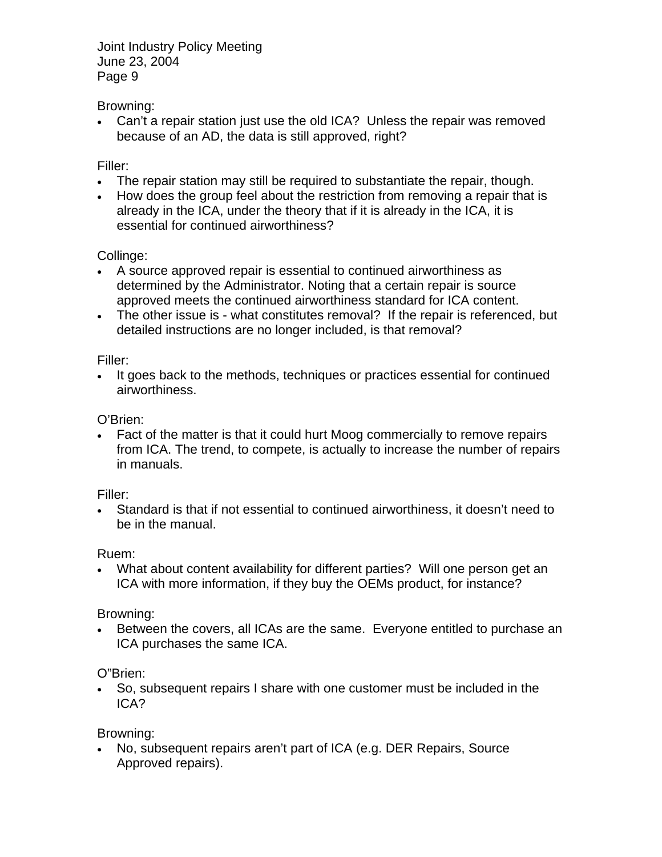Browning:

• Can't a repair station just use the old ICA? Unless the repair was removed because of an AD, the data is still approved, right?

Filler:

- The repair station may still be required to substantiate the repair, though.
- How does the group feel about the restriction from removing a repair that is already in the ICA, under the theory that if it is already in the ICA, it is essential for continued airworthiness?

Collinge:

- A source approved repair is essential to continued airworthiness as determined by the Administrator. Noting that a certain repair is source approved meets the continued airworthiness standard for ICA content.
- The other issue is what constitutes removal? If the repair is referenced, but detailed instructions are no longer included, is that removal?

Filler:

• It goes back to the methods, techniques or practices essential for continued airworthiness.

O'Brien:

• Fact of the matter is that it could hurt Moog commercially to remove repairs from ICA. The trend, to compete, is actually to increase the number of repairs in manuals.

Filler:

Standard is that if not essential to continued airworthiness, it doesn't need to be in the manual.

Ruem:

• What about content availability for different parties? Will one person get an ICA with more information, if they buy the OEMs product, for instance?

Browning:

• Between the covers, all ICAs are the same. Everyone entitled to purchase an ICA purchases the same ICA.

O"Brien:

• So, subsequent repairs I share with one customer must be included in the ICA?

Browning:

• No, subsequent repairs aren't part of ICA (e.g. DER Repairs, Source Approved repairs).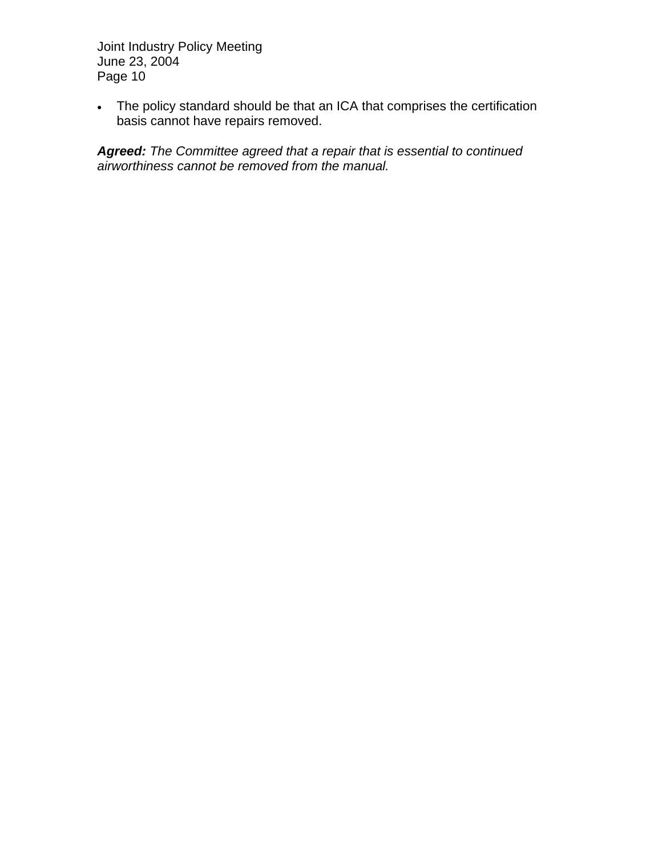• The policy standard should be that an ICA that comprises the certification basis cannot have repairs removed.

*Agreed: The Committee agreed that a repair that is essential to continued airworthiness cannot be removed from the manual.*